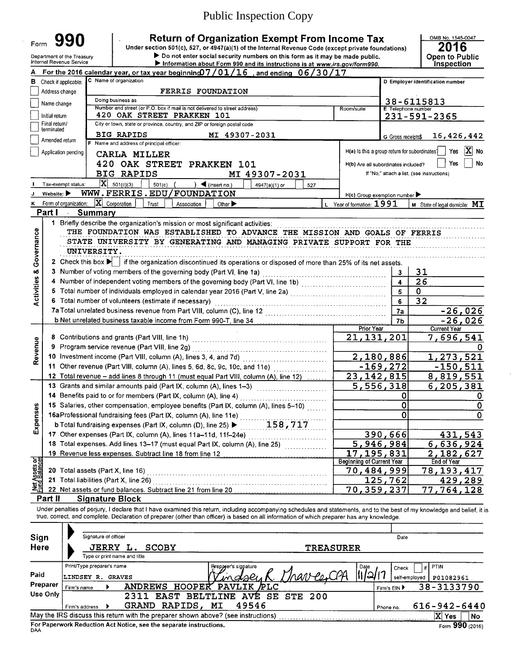# Public Inspection Copy

Department of the Treasury<br>Internal Revenue Service

Form **990 Canadiation Strum of Organization Exempt From Income Tax** Under section 501(c), 527, or 4947(a)(1) of the Internal Revenue Code (except private foundations)

Department of the Treasury **Department of the Treasury Consecution** Do not enter social security numbers on this form as it may be made public. **Information about Form 990 and its instructions is at www.irs.gov/form990.** 

# **2016** Open to Public<br>Inspection

|                         |                                 | For the 2016 calendar year, or tax year beginning $07/01/16$ , and ending $06/30/17$                                                                                                            |                  |                                                     |                    |                                                                                |  |  |  |  |  |  |  |  |  |
|-------------------------|---------------------------------|-------------------------------------------------------------------------------------------------------------------------------------------------------------------------------------------------|------------------|-----------------------------------------------------|--------------------|--------------------------------------------------------------------------------|--|--|--|--|--|--|--|--|--|
| в                       | Check if applicable:            | C Name of organization                                                                                                                                                                          |                  |                                                     |                    | D Employer identification number                                               |  |  |  |  |  |  |  |  |  |
|                         | Address change                  | FERRIS FOUNDATION                                                                                                                                                                               |                  |                                                     |                    |                                                                                |  |  |  |  |  |  |  |  |  |
|                         | Name change                     | Doing business as<br>38-6115813<br>Number and street (or P.O. box if mail is not delivered to street address)<br>Room/suite<br>E Telephone number<br>420 OAK STREET PRAKKEN 101<br>231-591-2365 |                  |                                                     |                    |                                                                                |  |  |  |  |  |  |  |  |  |
|                         |                                 |                                                                                                                                                                                                 |                  |                                                     |                    |                                                                                |  |  |  |  |  |  |  |  |  |
|                         | Initial return                  |                                                                                                                                                                                                 |                  |                                                     |                    |                                                                                |  |  |  |  |  |  |  |  |  |
|                         | Final return/<br>terminated     | City or town, state or province, country, and ZIP or foreign postal code                                                                                                                        |                  |                                                     |                    |                                                                                |  |  |  |  |  |  |  |  |  |
|                         | Amended return                  | <b>BIG RAPIDS</b><br>MI 49307-2031                                                                                                                                                              |                  |                                                     | G Gross receipts\$ | 16,426,442                                                                     |  |  |  |  |  |  |  |  |  |
|                         |                                 | F Name and address of principal officer:                                                                                                                                                        |                  |                                                     |                    |                                                                                |  |  |  |  |  |  |  |  |  |
|                         | Application pending             | CARLA MILLER                                                                                                                                                                                    |                  |                                                     |                    | X No<br>Yes<br>$H(a)$ is this a group return for subordinates $\left  \right $ |  |  |  |  |  |  |  |  |  |
|                         |                                 | 420 OAK STREET PRAKKEN 101                                                                                                                                                                      |                  | H(b) Are all subordinates included?                 |                    | No<br>Yes                                                                      |  |  |  |  |  |  |  |  |  |
|                         |                                 | <b>BIG RAPIDS</b><br>MI 49307-2031                                                                                                                                                              |                  |                                                     |                    | If "No," attach a list. (see instructions)                                     |  |  |  |  |  |  |  |  |  |
|                         | Tax-exempt status:              | $X = 501(c)(3)$<br>501(c) $($<br>$\bigcup$ (insert no.)<br>4947(a)(1) or<br>527                                                                                                                 |                  |                                                     |                    |                                                                                |  |  |  |  |  |  |  |  |  |
|                         | Website: $\blacktriangleright$  | WWW.FERRIS.EDU/FOUNDATION                                                                                                                                                                       |                  | $H(c)$ Group exemption number $\blacktriangleright$ |                    |                                                                                |  |  |  |  |  |  |  |  |  |
|                         |                                 | Form of organization: $ \mathbf{X} $ Corporation<br>Trust<br>Association<br>Other $\blacktriangleright$                                                                                         |                  | L Year of formation: $1991$                         |                    | <b>M</b> State of legal domicile: $ML$                                         |  |  |  |  |  |  |  |  |  |
|                         | Part I<br>$\mathcal{A}^{\pm}$ . | <b>Summary</b>                                                                                                                                                                                  |                  |                                                     |                    |                                                                                |  |  |  |  |  |  |  |  |  |
|                         |                                 |                                                                                                                                                                                                 |                  |                                                     |                    |                                                                                |  |  |  |  |  |  |  |  |  |
|                         |                                 | 1 Briefly describe the organization's mission or most significant activities:                                                                                                                   |                  |                                                     |                    |                                                                                |  |  |  |  |  |  |  |  |  |
|                         |                                 | THE FOUNDATION WAS ESTABLISHED TO ADVANCE THE MISSION AND GOALS OF FERRIS                                                                                                                       |                  |                                                     |                    |                                                                                |  |  |  |  |  |  |  |  |  |
|                         |                                 | STATE UNIVERSITY BY GENERATING AND MANAGING PRIVATE SUPPORT FOR THE                                                                                                                             |                  |                                                     |                    |                                                                                |  |  |  |  |  |  |  |  |  |
|                         |                                 | <b>UNIVERSITY.</b>                                                                                                                                                                              |                  |                                                     |                    |                                                                                |  |  |  |  |  |  |  |  |  |
| Governance              |                                 | 2 Check this box $\blacktriangleright$   if the organization discontinued its operations or disposed of more than 25% of its net assets.                                                        |                  |                                                     |                    |                                                                                |  |  |  |  |  |  |  |  |  |
|                         |                                 | 3 Number of voting members of the governing body (Part VI, line 1a)                                                                                                                             |                  |                                                     | 3                  | 31                                                                             |  |  |  |  |  |  |  |  |  |
|                         |                                 |                                                                                                                                                                                                 |                  |                                                     |                    |                                                                                |  |  |  |  |  |  |  |  |  |
|                         |                                 |                                                                                                                                                                                                 | $\blacktriangle$ | 26                                                  |                    |                                                                                |  |  |  |  |  |  |  |  |  |
| <b>Activities &amp;</b> |                                 |                                                                                                                                                                                                 |                  |                                                     | 5                  | 0                                                                              |  |  |  |  |  |  |  |  |  |
|                         |                                 | 6 Total number of volunteers (estimate if necessary)                                                                                                                                            |                  |                                                     | 6                  | $\overline{32}$                                                                |  |  |  |  |  |  |  |  |  |
|                         |                                 | 7a Total unrelated business revenue from Part VIII, column (C), line 12                                                                                                                         |                  |                                                     | 7a                 | $-26,026$                                                                      |  |  |  |  |  |  |  |  |  |
|                         |                                 | b Net unrelated business taxable income from Form 990-T, line 34                                                                                                                                |                  |                                                     | 7b                 | $-26,026$                                                                      |  |  |  |  |  |  |  |  |  |
|                         |                                 |                                                                                                                                                                                                 |                  | Prior Year                                          |                    | <b>Current Year</b>                                                            |  |  |  |  |  |  |  |  |  |
|                         |                                 |                                                                                                                                                                                                 |                  | 21, 131, 201                                        |                    | 7,696,541                                                                      |  |  |  |  |  |  |  |  |  |
|                         | 9                               | Program service revenue (Part VIII, line 2g)                                                                                                                                                    |                  |                                                     |                    |                                                                                |  |  |  |  |  |  |  |  |  |
| Revenue                 |                                 |                                                                                                                                                                                                 |                  | 2,180,886                                           |                    | 1,273,521                                                                      |  |  |  |  |  |  |  |  |  |
|                         |                                 | 11 Other revenue (Part VIII, column (A), lines 5, 6d, 8c, 9c, 10c, and 11e)                                                                                                                     |                  |                                                     | $-169, 272$        | $-150,511$                                                                     |  |  |  |  |  |  |  |  |  |
|                         |                                 | 12 Total revenue - add lines 8 through 11 (must equal Part VIII, column (A), line 12)                                                                                                           |                  | $\overline{23,142,815}$                             |                    | $\overline{8}$ , 819, 551                                                      |  |  |  |  |  |  |  |  |  |
|                         |                                 | 13 Grants and similar amounts paid (Part IX, column (A), lines 1-3)                                                                                                                             |                  | 5,556,318                                           |                    | 6,205,381                                                                      |  |  |  |  |  |  |  |  |  |
|                         |                                 |                                                                                                                                                                                                 |                  |                                                     |                    |                                                                                |  |  |  |  |  |  |  |  |  |
|                         |                                 | 14 Benefits paid to or for members (Part IX, column (A), line 4)                                                                                                                                |                  |                                                     | 0                  | 0                                                                              |  |  |  |  |  |  |  |  |  |
|                         |                                 | 15 Salaries, other compensation, employee benefits (Part IX, column (A), lines 5-10)                                                                                                            |                  |                                                     | 0                  | 0                                                                              |  |  |  |  |  |  |  |  |  |
|                         |                                 | 16aProfessional fundraising fees (Part IX, column (A), line 11e)                                                                                                                                |                  |                                                     | 0                  | 0                                                                              |  |  |  |  |  |  |  |  |  |
| Expenses                |                                 | 158,717<br><b>b</b> Total fundraising expenses (Part IX, column (D), line 25) $\blacktriangleright$                                                                                             |                  |                                                     |                    |                                                                                |  |  |  |  |  |  |  |  |  |
|                         |                                 | 17 Other expenses (Part IX, column (A), lines 11a-11d, 11f-24e)                                                                                                                                 |                  |                                                     | 390,666            | 431,543                                                                        |  |  |  |  |  |  |  |  |  |
|                         |                                 | 18 Total expenses. Add lines 13-17 (must equal Part IX, column (A), line 25)                                                                                                                    |                  | 5,946,984                                           |                    | 6,636,924                                                                      |  |  |  |  |  |  |  |  |  |
|                         |                                 |                                                                                                                                                                                                 |                  | 17, 195, 831                                        |                    | 2,182,627                                                                      |  |  |  |  |  |  |  |  |  |
|                         |                                 |                                                                                                                                                                                                 |                  | <b>Beginning of Current Year</b>                    |                    | End of Year                                                                    |  |  |  |  |  |  |  |  |  |
|                         |                                 | 20 Total assets (Part X, line 16)                                                                                                                                                               |                  | 70,484,999                                          |                    | 78, 193, 417                                                                   |  |  |  |  |  |  |  |  |  |
|                         |                                 | 21 Total liabilities (Part X, line 26)                                                                                                                                                          |                  |                                                     | 125, 762           | 429,289                                                                        |  |  |  |  |  |  |  |  |  |
| Net Assets or           |                                 | 22 Net assets or fund balances. Subtract line 21 from line 20                                                                                                                                   |                  | 70, 359, 237                                        |                    | $\overline{77,764,128}$                                                        |  |  |  |  |  |  |  |  |  |
|                         | Part II                         | <b>Signature Block</b>                                                                                                                                                                          |                  |                                                     |                    |                                                                                |  |  |  |  |  |  |  |  |  |
|                         |                                 | Under penalties of perjury, I declare that I have examined this return, including accompanying schedules and statements, and to the best of my knowledge and belief, it is                      |                  |                                                     |                    |                                                                                |  |  |  |  |  |  |  |  |  |
|                         |                                 | true, correct, and complete. Declaration of preparer (other than officer) is based on all information of which preparer has any knowledge.                                                      |                  |                                                     |                    |                                                                                |  |  |  |  |  |  |  |  |  |
|                         |                                 |                                                                                                                                                                                                 |                  |                                                     |                    |                                                                                |  |  |  |  |  |  |  |  |  |
|                         |                                 |                                                                                                                                                                                                 |                  |                                                     |                    |                                                                                |  |  |  |  |  |  |  |  |  |

|                                                                                   |                | Signature of officer                        |      |                |         |                           |    |                                      |            |                  |               |                        |                              |                    |
|-----------------------------------------------------------------------------------|----------------|---------------------------------------------|------|----------------|---------|---------------------------|----|--------------------------------------|------------|------------------|---------------|------------------------|------------------------------|--------------------|
| Sign<br>Here                                                                      |                | <b>JERRY</b>                                |      | <b>SCOBY</b>   |         |                           |    |                                      |            | <b>TREASURER</b> |               | Date                   |                              |                    |
|                                                                                   |                | Type or print name and title                |      |                |         |                           |    |                                      |            |                  |               |                        |                              |                    |
| Paid                                                                              | LINDSEY R.     | Print/Type preparer's name<br><b>GRAVES</b> |      |                |         |                           |    | <b>Reparer's signature</b><br>indski |            |                  | Date<br> ച്വി | Check<br>self-employed | <b>PTIN</b><br>P01082961     |                    |
| Preparer<br>Use Only                                                              | Firm's name    |                                             | 2311 | <b>ANDREWS</b> | EAST    | HOOPER<br><b>BELTLINE</b> |    | PAVLIK PLC<br>AVE                    | SE STE 200 |                  |               | Firm's EIN             |                              | 38-3133790         |
|                                                                                   | Firm's address |                                             |      | <b>GRAND</b>   | RAPIDS, |                           | MI | 49546                                |            |                  | Phone no.     |                        |                              | $616 - 942 - 6440$ |
| May the IRS discuss this return with the preparer shown above? (see instructions) |                |                                             |      |                |         |                           |    |                                      |            |                  |               |                        | $ \mathbf{x} $<br><b>Yes</b> | No                 |
| For Paperwork Reduction Act Notice, see the separate instructions.<br>DAA         |                |                                             |      |                |         |                           |    |                                      |            |                  |               |                        |                              | Form 990 (2016)    |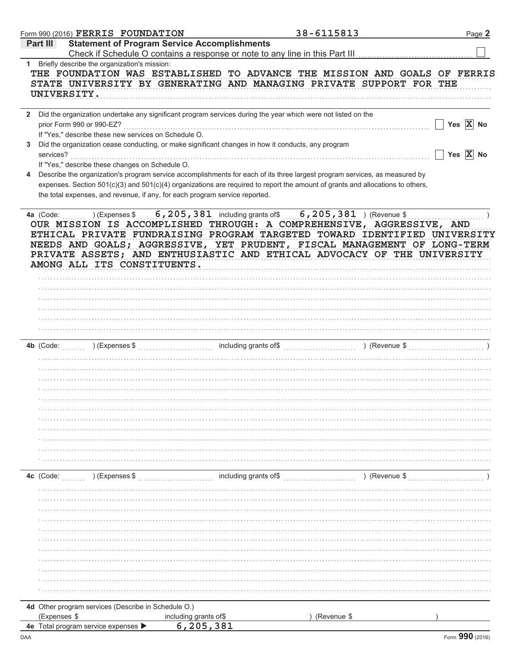|              |                 |                           | Form 990 (2016) $\verb FERRIS $ $\verb FOUNDATION $ |                                                                                                              |                       | 38-6115813  |                                                                                                                                                                                                                                  | Page 2                |
|--------------|-----------------|---------------------------|-----------------------------------------------------|--------------------------------------------------------------------------------------------------------------|-----------------------|-------------|----------------------------------------------------------------------------------------------------------------------------------------------------------------------------------------------------------------------------------|-----------------------|
|              | <b>Part III</b> |                           |                                                     | <b>Statement of Program Service Accomplishments</b>                                                          |                       |             |                                                                                                                                                                                                                                  |                       |
|              |                 |                           | Briefly describe the organization's mission:        |                                                                                                              |                       |             | Check if Schedule O contains a response or note to any line in this Part III                                                                                                                                                     |                       |
| 1            |                 | UNIVERSITY.               |                                                     |                                                                                                              |                       |             | THE FOUNDATION WAS ESTABLISHED TO ADVANCE THE MISSION AND GOALS OF FERRIS<br>STATE UNIVERSITY BY GENERATING AND MANAGING PRIVATE SUPPORT FOR THE                                                                                 |                       |
| $\mathbf{2}$ |                 | prior Form 990 or 990-EZ? |                                                     | Did the organization undertake any significant program services during the year which were not listed on the |                       |             |                                                                                                                                                                                                                                  | Yes $X$ No            |
|              |                 |                           |                                                     | If "Yes," describe these new services on Schedule O.                                                         |                       |             |                                                                                                                                                                                                                                  |                       |
| 3            | services?       |                           |                                                     | Did the organization cease conducting, or make significant changes in how it conducts, any program           |                       |             |                                                                                                                                                                                                                                  | Yes $\overline{X}$ No |
|              |                 |                           | If "Yes," describe these changes on Schedule O.     |                                                                                                              |                       |             |                                                                                                                                                                                                                                  |                       |
| 4            |                 |                           |                                                     |                                                                                                              |                       |             | Describe the organization's program service accomplishments for each of its three largest program services, as measured by                                                                                                       |                       |
|              |                 |                           |                                                     | the total expenses, and revenue, if any, for each program service reported.                                  |                       |             | expenses. Section 501(c)(3) and 501(c)(4) organizations are required to report the amount of grants and allocations to others,                                                                                                   |                       |
|              |                 |                           |                                                     | AMONG ALL ITS CONSTITUENTS.                                                                                  |                       |             | ETHICAL PRIVATE FUNDRAISING PROGRAM TARGETED TOWARD IDENTIFIED UNIVERSITY<br>NEEDS AND GOALS; AGGRESSIVE, YET PRUDENT, FISCAL MANAGEMENT OF LONG-TERM<br>PRIVATE ASSETS; AND ENTHUSIASTIC AND ETHICAL ADVOCACY OF THE UNIVERSITY |                       |
|              |                 |                           |                                                     |                                                                                                              |                       |             |                                                                                                                                                                                                                                  |                       |
|              |                 |                           |                                                     |                                                                                                              |                       |             |                                                                                                                                                                                                                                  |                       |
|              |                 |                           |                                                     |                                                                                                              |                       |             |                                                                                                                                                                                                                                  |                       |
|              |                 |                           |                                                     |                                                                                                              |                       |             |                                                                                                                                                                                                                                  |                       |
|              |                 |                           |                                                     |                                                                                                              |                       |             |                                                                                                                                                                                                                                  |                       |
|              |                 |                           |                                                     |                                                                                                              |                       |             |                                                                                                                                                                                                                                  |                       |
|              |                 |                           |                                                     |                                                                                                              |                       |             |                                                                                                                                                                                                                                  |                       |
|              |                 |                           |                                                     |                                                                                                              |                       |             |                                                                                                                                                                                                                                  |                       |
|              |                 |                           |                                                     |                                                                                                              |                       |             |                                                                                                                                                                                                                                  |                       |
|              |                 |                           |                                                     |                                                                                                              |                       |             |                                                                                                                                                                                                                                  |                       |
|              |                 |                           |                                                     |                                                                                                              |                       |             |                                                                                                                                                                                                                                  |                       |
|              |                 |                           |                                                     |                                                                                                              |                       |             |                                                                                                                                                                                                                                  |                       |
|              |                 |                           |                                                     |                                                                                                              |                       |             |                                                                                                                                                                                                                                  |                       |
|              |                 |                           |                                                     |                                                                                                              |                       |             |                                                                                                                                                                                                                                  |                       |
|              |                 |                           |                                                     |                                                                                                              |                       |             |                                                                                                                                                                                                                                  |                       |
|              | 4c (Code:       |                           | ) (Expenses \$                                      |                                                                                                              | including grants of\$ |             | ) (Revenue \$                                                                                                                                                                                                                    |                       |
|              |                 |                           |                                                     |                                                                                                              |                       |             |                                                                                                                                                                                                                                  |                       |
|              |                 |                           |                                                     |                                                                                                              |                       |             |                                                                                                                                                                                                                                  |                       |
|              |                 |                           |                                                     |                                                                                                              |                       |             |                                                                                                                                                                                                                                  |                       |
|              |                 |                           |                                                     |                                                                                                              |                       |             |                                                                                                                                                                                                                                  |                       |
|              |                 |                           |                                                     |                                                                                                              |                       |             |                                                                                                                                                                                                                                  |                       |
|              |                 |                           |                                                     |                                                                                                              |                       |             |                                                                                                                                                                                                                                  |                       |
|              |                 |                           |                                                     |                                                                                                              |                       |             |                                                                                                                                                                                                                                  |                       |
|              |                 |                           |                                                     |                                                                                                              |                       |             |                                                                                                                                                                                                                                  |                       |
|              |                 |                           |                                                     |                                                                                                              |                       |             |                                                                                                                                                                                                                                  |                       |
|              |                 |                           |                                                     |                                                                                                              |                       |             |                                                                                                                                                                                                                                  |                       |
|              |                 |                           |                                                     | 4d Other program services (Describe in Schedule O.)                                                          |                       |             |                                                                                                                                                                                                                                  |                       |
|              | (Expenses \$    |                           |                                                     | including grants of\$                                                                                        |                       | (Revenue \$ |                                                                                                                                                                                                                                  |                       |
|              |                 |                           | 4e Total program service expenses                   | 6,205,381                                                                                                    |                       |             |                                                                                                                                                                                                                                  |                       |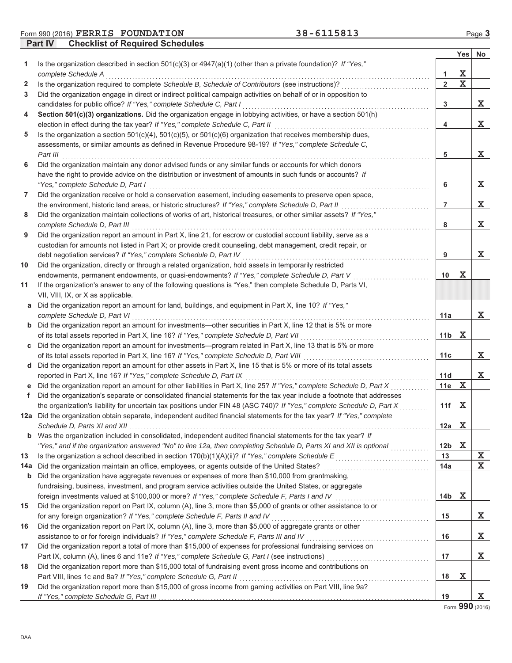Form 990 (2016) FERRIS FOUNDATION 38-6115813 Page 3

**Part IV** Checklist of Required Schedules

|              |                                                                                                                                                                                                                             |                     | Yes         | <b>No</b> |
|--------------|-----------------------------------------------------------------------------------------------------------------------------------------------------------------------------------------------------------------------------|---------------------|-------------|-----------|
| 1            | Is the organization described in section $501(c)(3)$ or $4947(a)(1)$ (other than a private foundation)? If "Yes,"                                                                                                           |                     | X           |           |
| $\mathbf{2}$ | complete Schedule A<br>Is the organization required to complete Schedule B, Schedule of Contributors (see instructions)?                                                                                                    | 1<br>$\overline{2}$ | $\mathbf X$ |           |
| 3            | Did the organization engage in direct or indirect political campaign activities on behalf of or in opposition to                                                                                                            |                     |             |           |
|              | candidates for public office? If "Yes," complete Schedule C, Part I                                                                                                                                                         | 3                   |             | X         |
| 4            | Section 501(c)(3) organizations. Did the organization engage in lobbying activities, or have a section 501(h)                                                                                                               |                     |             |           |
|              | election in effect during the tax year? If "Yes," complete Schedule C, Part II                                                                                                                                              | 4                   |             | X         |
| 5            | Is the organization a section $501(c)(4)$ , $501(c)(5)$ , or $501(c)(6)$ organization that receives membership dues,                                                                                                        |                     |             |           |
|              | assessments, or similar amounts as defined in Revenue Procedure 98-19? If "Yes," complete Schedule C,                                                                                                                       |                     |             |           |
|              | Part III                                                                                                                                                                                                                    | 5                   |             | X.        |
| 6            | Did the organization maintain any donor advised funds or any similar funds or accounts for which donors                                                                                                                     |                     |             |           |
|              | have the right to provide advice on the distribution or investment of amounts in such funds or accounts? If                                                                                                                 |                     |             |           |
|              | "Yes," complete Schedule D, Part I                                                                                                                                                                                          | 6                   |             | X         |
| 7            | Did the organization receive or hold a conservation easement, including easements to preserve open space,                                                                                                                   |                     |             |           |
|              | the environment, historic land areas, or historic structures? If "Yes," complete Schedule D, Part II                                                                                                                        | $\overline{7}$      |             | X         |
| 8            | Did the organization maintain collections of works of art, historical treasures, or other similar assets? If "Yes,"                                                                                                         |                     |             |           |
|              | complete Schedule D, Part III                                                                                                                                                                                               | 8                   |             | X         |
| 9            | Did the organization report an amount in Part X, line 21, for escrow or custodial account liability, serve as a                                                                                                             |                     |             |           |
|              | custodian for amounts not listed in Part X; or provide credit counseling, debt management, credit repair, or                                                                                                                |                     |             |           |
|              | debt negotiation services? If "Yes," complete Schedule D, Part IV                                                                                                                                                           | 9                   |             | X         |
| 10           | Did the organization, directly or through a related organization, hold assets in temporarily restricted                                                                                                                     |                     |             |           |
|              | endowments, permanent endowments, or quasi-endowments? If "Yes," complete Schedule D, Part V                                                                                                                                | 10                  | х           |           |
| 11           | If the organization's answer to any of the following questions is "Yes," then complete Schedule D, Parts VI,                                                                                                                |                     |             |           |
|              | VII, VIII, IX, or X as applicable.                                                                                                                                                                                          |                     |             |           |
| а            | Did the organization report an amount for land, buildings, and equipment in Part X, line 10? If "Yes,"                                                                                                                      |                     |             |           |
|              | complete Schedule D, Part VI                                                                                                                                                                                                | 11a                 |             | x         |
|              | <b>b</b> Did the organization report an amount for investments—other securities in Part X, line 12 that is 5% or more                                                                                                       |                     |             |           |
|              | of its total assets reported in Part X, line 16? If "Yes," complete Schedule D, Part VII                                                                                                                                    | 11 <sub>b</sub>     | X           |           |
| C            | Did the organization report an amount for investments—program related in Part X, line 13 that is 5% or more                                                                                                                 |                     |             |           |
|              | of its total assets reported in Part X, line 16? If "Yes," complete Schedule D, Part VIII                                                                                                                                   | 11 <sub>c</sub>     |             | x         |
| d            | Did the organization report an amount for other assets in Part X, line 15 that is 5% or more of its total assets                                                                                                            |                     |             |           |
|              | reported in Part X, line 16? If "Yes," complete Schedule D, Part IX                                                                                                                                                         | 11d                 |             | х         |
|              | Did the organization report an amount for other liabilities in Part X, line 25? If "Yes," complete Schedule D, Part X                                                                                                       | 11e                 | Х           |           |
| f.           | Did the organization's separate or consolidated financial statements for the tax year include a footnote that addresses                                                                                                     |                     |             |           |
|              | the organization's liability for uncertain tax positions under FIN 48 (ASC 740)? If "Yes," complete Schedule D, Part X                                                                                                      | 11f                 | X           |           |
|              | 12a Did the organization obtain separate, independent audited financial statements for the tax year? If "Yes," complete                                                                                                     |                     |             |           |
|              | Schedule D. Parts XI and XII                                                                                                                                                                                                | 12a                 | x           |           |
|              | <b>b</b> Was the organization included in consolidated, independent audited financial statements for the tax year? If                                                                                                       |                     |             |           |
|              | "Yes," and if the organization answered "No" to line 12a, then completing Schedule D, Parts XI and XII is optional                                                                                                          | 12b                 | X           |           |
| 13           | Is the organization a school described in section 170(b)(1)(A)(ii)? If "Yes," complete Schedule E                                                                                                                           | 13                  |             | X         |
| 14a          | Did the organization maintain an office, employees, or agents outside of the United States?                                                                                                                                 | 14a                 |             | X         |
| b            | Did the organization have aggregate revenues or expenses of more than \$10,000 from grantmaking,                                                                                                                            |                     |             |           |
|              | fundraising, business, investment, and program service activities outside the United States, or aggregate<br>foreign investments valued at \$100,000 or more? If "Yes," complete Schedule F, Parts I and IV [[[[[[[[[[[[[[[ | 14b                 | X           |           |
|              |                                                                                                                                                                                                                             |                     |             |           |
| 15           | Did the organization report on Part IX, column (A), line 3, more than \$5,000 of grants or other assistance to or                                                                                                           | 15                  |             |           |
| 16           | for any foreign organization? If "Yes," complete Schedule F, Parts II and IV<br>Did the organization report on Part IX, column (A), line 3, more than \$5,000 of aggregate grants or other                                  |                     |             | X         |
|              |                                                                                                                                                                                                                             | 16                  |             | X.        |
| 17           | Did the organization report a total of more than \$15,000 of expenses for professional fundraising services on                                                                                                              |                     |             |           |
|              |                                                                                                                                                                                                                             | 17                  |             | X.        |
| 18           | Did the organization report more than \$15,000 total of fundraising event gross income and contributions on                                                                                                                 |                     |             |           |
|              | Part VIII, lines 1c and 8a? If "Yes," complete Schedule G, Part II                                                                                                                                                          | 18                  | х           |           |
| 19           | Did the organization report more than \$15,000 of gross income from gaming activities on Part VIII, line 9a?                                                                                                                |                     |             |           |
|              | If "Yes," complete Schedule G, Part III                                                                                                                                                                                     | 19                  |             | X.        |

Form 990 (2016)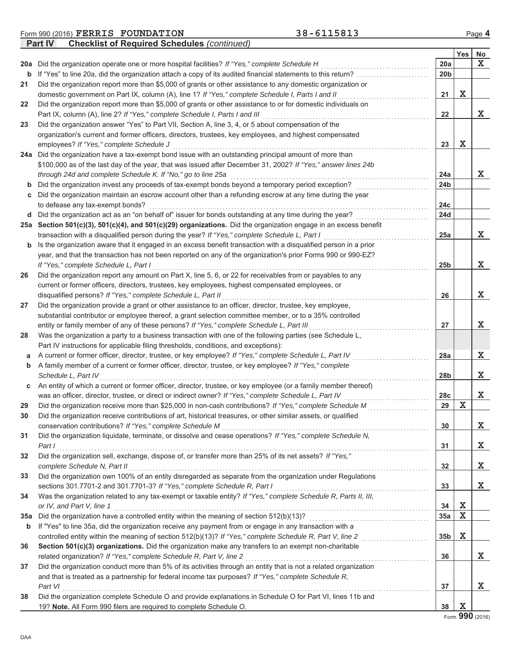| Form 990 (2016) FERRIS FOUNDATION                          | 38-6115813 | Page 4 |
|------------------------------------------------------------|------------|--------|
| <b>Part IV</b> Checklist of Required Schedules (continued) |            |        |

|     |                                                                                                                       |                 | Yes              | No.         |
|-----|-----------------------------------------------------------------------------------------------------------------------|-----------------|------------------|-------------|
| 20a | Did the organization operate one or more hospital facilities? If "Yes," complete Schedule H                           | 20a             |                  | $\mathbf x$ |
| b   | If "Yes" to line 20a, did the organization attach a copy of its audited financial statements to this return?          | 20 <sub>b</sub> |                  |             |
| 21  | Did the organization report more than \$5,000 of grants or other assistance to any domestic organization or           |                 |                  |             |
|     | domestic government on Part IX, column (A), line 1? If "Yes," complete Schedule I, Parts I and II                     | 21              | х                |             |
| 22  | Did the organization report more than \$5,000 of grants or other assistance to or for domestic individuals on         |                 |                  |             |
|     | Part IX, column (A), line 2? If "Yes," complete Schedule I, Parts I and III                                           | 22              |                  | X           |
| 23  | Did the organization answer "Yes" to Part VII, Section A, line 3, 4, or 5 about compensation of the                   |                 |                  |             |
|     | organization's current and former officers, directors, trustees, key employees, and highest compensated               |                 |                  |             |
|     | employees? If "Yes," complete Schedule J                                                                              | 23              | х                |             |
| 24a | Did the organization have a tax-exempt bond issue with an outstanding principal amount of more than                   |                 |                  |             |
|     | \$100,000 as of the last day of the year, that was issued after December 31, 2002? If "Yes," answer lines 24b         |                 |                  |             |
|     | through 24d and complete Schedule K. If "No," go to line 25a                                                          | 24a             |                  | X           |
| b   | Did the organization invest any proceeds of tax-exempt bonds beyond a temporary period exception?                     | 24b             |                  |             |
| С   | Did the organization maintain an escrow account other than a refunding escrow at any time during the year             |                 |                  |             |
|     | to defease any tax-exempt bonds?                                                                                      | 24c             |                  |             |
| d   | Did the organization act as an "on behalf of" issuer for bonds outstanding at any time during the year?               | 24d             |                  |             |
| 25a | Section 501(c)(3), 501(c)(4), and 501(c)(29) organizations. Did the organization engage in an excess benefit          |                 |                  |             |
|     | transaction with a disqualified person during the year? If "Yes," complete Schedule L, Part I                         | 25a             |                  | X           |
| b   | Is the organization aware that it engaged in an excess benefit transaction with a disqualified person in a prior      |                 |                  |             |
|     | year, and that the transaction has not been reported on any of the organization's prior Forms 990 or 990-EZ?          |                 |                  |             |
|     | If "Yes," complete Schedule L, Part I                                                                                 | 25 <sub>b</sub> |                  | X           |
| 26  | Did the organization report any amount on Part X, line 5, 6, or 22 for receivables from or payables to any            |                 |                  |             |
|     | current or former officers, directors, trustees, key employees, highest compensated employees, or                     |                 |                  |             |
|     | disqualified persons? If "Yes," complete Schedule L, Part II                                                          | 26              |                  | х           |
| 27  | Did the organization provide a grant or other assistance to an officer, director, trustee, key employee,              |                 |                  |             |
|     | substantial contributor or employee thereof, a grant selection committee member, or to a 35% controlled               |                 |                  |             |
|     | entity or family member of any of these persons? If "Yes," complete Schedule L, Part III                              | 27              |                  | X           |
| 28  | Was the organization a party to a business transaction with one of the following parties (see Schedule L,             |                 |                  |             |
|     | Part IV instructions for applicable filing thresholds, conditions, and exceptions):                                   |                 |                  |             |
| а   | A current or former officer, director, trustee, or key employee? If "Yes," complete Schedule L, Part IV               | 28a             |                  | Х           |
| b   | A family member of a current or former officer, director, trustee, or key employee? If "Yes," complete                |                 |                  |             |
|     | Schedule L, Part IV                                                                                                   | 28 <sub>b</sub> |                  | х           |
| С   | An entity of which a current or former officer, director, trustee, or key employee (or a family member thereof)       |                 |                  |             |
|     | was an officer, director, trustee, or direct or indirect owner? If "Yes," complete Schedule L, Part IV                | 28c             |                  | Х           |
| 29  | Did the organization receive more than \$25,000 in non-cash contributions? If "Yes," complete Schedule M              | 29              | X                |             |
| 30  | Did the organization receive contributions of art, historical treasures, or other similar assets, or qualified        |                 |                  |             |
|     | conservation contributions? If "Yes," complete Schedule M                                                             | 30              |                  | X           |
| 31  | Did the organization liquidate, terminate, or dissolve and cease operations? If "Yes," complete Schedule N,           |                 |                  |             |
|     | Part I                                                                                                                | 31              |                  | х           |
| 32  | Did the organization sell, exchange, dispose of, or transfer more than 25% of its net assets? If "Yes,"               |                 |                  |             |
|     | complete Schedule N, Part II                                                                                          | 32              |                  | х           |
| 33  | Did the organization own 100% of an entity disregarded as separate from the organization under Regulations            |                 |                  |             |
|     | sections 301.7701-2 and 301.7701-3? If "Yes," complete Schedule R, Part I                                             | 33              |                  | Х           |
| 34  | Was the organization related to any tax-exempt or taxable entity? If "Yes," complete Schedule R, Parts II, III,       |                 |                  |             |
|     | or IV, and Part V, line 1                                                                                             | 34              | Х<br>$\mathbf X$ |             |
| 35a | Did the organization have a controlled entity within the meaning of section 512(b)(13)?                               | 35a             |                  |             |
| b   | If "Yes" to line 35a, did the organization receive any payment from or engage in any transaction with a               |                 | Х                |             |
|     | controlled entity within the meaning of section 512(b)(13)? If "Yes," complete Schedule R, Part V, line 2             | 35 <sub>b</sub> |                  |             |
| 36  | Section 501(c)(3) organizations. Did the organization make any transfers to an exempt non-charitable                  |                 |                  |             |
|     | related organization? If "Yes," complete Schedule R, Part V, line 2                                                   | 36              |                  | Х           |
| 37  | Did the organization conduct more than 5% of its activities through an entity that is not a related organization      |                 |                  |             |
|     | and that is treated as a partnership for federal income tax purposes? If "Yes," complete Schedule R,                  |                 |                  | X           |
|     | Part VI<br>Did the organization complete Schedule O and provide explanations in Schedule O for Part VI, lines 11b and | 37              |                  |             |
| 38  | 19? Note. All Form 990 filers are required to complete Schedule O.                                                    | 38              | х                |             |
|     |                                                                                                                       |                 |                  |             |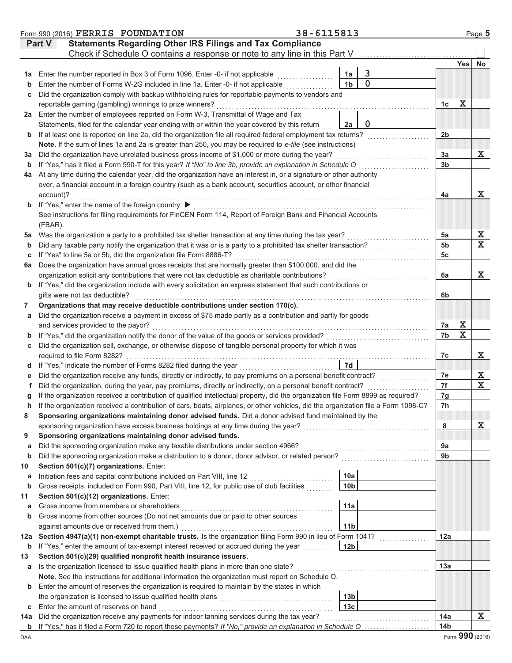|         | Form 990 (2016) FERRIS FOUNDATION                                                                                                                                                       | 38-6115813 |                 |                |                      |                              | Page 5                                             |
|---------|-----------------------------------------------------------------------------------------------------------------------------------------------------------------------------------------|------------|-----------------|----------------|----------------------|------------------------------|----------------------------------------------------|
|         | <b>Statements Regarding Other IRS Filings and Tax Compliance</b><br>Part V                                                                                                              |            |                 |                |                      |                              |                                                    |
|         | Check if Schedule O contains a response or note to any line in this Part V                                                                                                              |            |                 |                |                      |                              |                                                    |
|         |                                                                                                                                                                                         |            |                 |                |                      | Yes                          | <b>No</b>                                          |
| 1a      | Enter the number reported in Box 3 of Form 1096. Enter -0- if not applicable                                                                                                            |            | 1a              | $\overline{3}$ |                      |                              |                                                    |
| b       | Enter the number of Forms W-2G included in line 1a. Enter -0- if not applicable                                                                                                         |            | 1 <sub>b</sub>  | 0              |                      |                              |                                                    |
| С       | Did the organization comply with backup withholding rules for reportable payments to vendors and                                                                                        |            |                 |                |                      |                              |                                                    |
|         | reportable gaming (gambling) winnings to prize winners?                                                                                                                                 |            |                 |                | 1c                   | X                            |                                                    |
| 2a      | Enter the number of employees reported on Form W-3, Transmittal of Wage and Tax                                                                                                         |            |                 |                |                      |                              |                                                    |
|         | Statements, filed for the calendar year ending with or within the year covered by this return                                                                                           |            | 2a              | $\mathbf 0$    |                      |                              |                                                    |
| b       | If at least one is reported on line 2a, did the organization file all required federal employment tax returns?                                                                          |            |                 |                | 2 <sub>b</sub>       |                              |                                                    |
|         | Note. If the sum of lines 1a and 2a is greater than 250, you may be required to e-file (see instructions)                                                                               |            |                 |                |                      |                              |                                                    |
| За      | Did the organization have unrelated business gross income of \$1,000 or more during the year?                                                                                           |            |                 |                | 3a                   |                              | X                                                  |
| b       | If "Yes," has it filed a Form 990-T for this year? If "No" to line 3b, provide an explanation in Schedule O                                                                             |            |                 |                | 3 <sub>b</sub>       |                              |                                                    |
| 4a      | At any time during the calendar year, did the organization have an interest in, or a signature or other authority                                                                       |            |                 |                |                      |                              |                                                    |
|         | over, a financial account in a foreign country (such as a bank account, securities account, or other financial                                                                          |            |                 |                |                      |                              |                                                    |
|         | account)?                                                                                                                                                                               |            |                 |                | 4a                   |                              | X                                                  |
| b       | If "Yes," enter the name of the foreign country: ▶                                                                                                                                      |            |                 |                |                      |                              |                                                    |
|         | See instructions for filing requirements for FinCEN Form 114, Report of Foreign Bank and Financial Accounts                                                                             |            |                 |                |                      |                              |                                                    |
|         | (FBAR).                                                                                                                                                                                 |            |                 |                |                      |                              |                                                    |
| 5a      | Was the organization a party to a prohibited tax shelter transaction at any time during the tax year?                                                                                   |            |                 |                | 5a                   |                              | $\frac{X}{X}$                                      |
| b       | Did any taxable party notify the organization that it was or is a party to a prohibited tax shelter transaction?                                                                        |            |                 |                | 5 <sub>b</sub>       |                              |                                                    |
| С       | If "Yes" to line 5a or 5b, did the organization file Form 8886-T?                                                                                                                       |            |                 |                | 5c                   |                              |                                                    |
| 6a      | Does the organization have annual gross receipts that are normally greater than \$100,000, and did the                                                                                  |            |                 |                |                      |                              |                                                    |
|         | organization solicit any contributions that were not tax deductible as charitable contributions?                                                                                        |            |                 |                | 6a                   |                              | х                                                  |
| b       | If "Yes," did the organization include with every solicitation an express statement that such contributions or                                                                          |            |                 |                |                      |                              |                                                    |
|         | gifts were not tax deductible?                                                                                                                                                          |            |                 |                | 6b                   |                              |                                                    |
| 7       | Organizations that may receive deductible contributions under section 170(c).                                                                                                           |            |                 |                |                      |                              |                                                    |
| a       | Did the organization receive a payment in excess of \$75 made partly as a contribution and partly for goods                                                                             |            |                 |                |                      |                              |                                                    |
|         | and services provided to the payor?                                                                                                                                                     |            |                 |                | 7a                   | X<br>$\overline{\mathbf{x}}$ |                                                    |
| b       | If "Yes," did the organization notify the donor of the value of the goods or services provided?                                                                                         |            |                 |                | 7b                   |                              |                                                    |
| С       | Did the organization sell, exchange, or otherwise dispose of tangible personal property for which it was                                                                                |            |                 |                |                      |                              |                                                    |
|         | required to file Form 8282?                                                                                                                                                             |            |                 |                | 7c                   |                              | X                                                  |
| d       | If "Yes," indicate the number of Forms 8282 filed during the year                                                                                                                       |            | 7d              |                |                      |                              |                                                    |
|         | Did the organization receive any funds, directly or indirectly, to pay premiums on a personal benefit contract?                                                                         |            |                 |                | 7e                   |                              | $\overline{\mathbf{X}}$<br>$\overline{\textbf{x}}$ |
| f       | Did the organization, during the year, pay premiums, directly or indirectly, on a personal benefit contract?                                                                            |            |                 |                | 7f                   |                              |                                                    |
|         | If the organization received a contribution of qualified intellectual property, did the organization file Form 8899 as required?                                                        |            |                 |                | 7g                   |                              |                                                    |
| h       | If the organization received a contribution of cars, boats, airplanes, or other vehicles, did the organization file a Form 1098-C?                                                      |            |                 |                | 7h                   |                              |                                                    |
| 8       | Sponsoring organizations maintaining donor advised funds. Did a donor advised fund maintained by the                                                                                    |            |                 |                |                      |                              |                                                    |
|         | sponsoring organization have excess business holdings at any time during the year?                                                                                                      |            |                 |                | 8                    |                              | х                                                  |
| 9       | Sponsoring organizations maintaining donor advised funds.                                                                                                                               |            |                 |                |                      |                              |                                                    |
| a       | Did the sponsoring organization make any taxable distributions under section 4966?<br>Did the sponsoring organization make a distribution to a donor, donor advisor, or related person? |            |                 |                | 9a<br>9 <sub>b</sub> |                              |                                                    |
| b<br>10 | Section 501(c)(7) organizations. Enter:                                                                                                                                                 |            |                 |                |                      |                              |                                                    |
|         | Initiation fees and capital contributions included on Part VIII, line 12                                                                                                                |            | 10a             |                |                      |                              |                                                    |
| а<br>b  | Gross receipts, included on Form 990, Part VIII, line 12, for public use of club facilities                                                                                             |            | 10 <sub>b</sub> |                |                      |                              |                                                    |
| 11      | Section 501(c)(12) organizations. Enter:                                                                                                                                                |            |                 |                |                      |                              |                                                    |
| а       | Gross income from members or shareholders                                                                                                                                               |            | 11a             |                |                      |                              |                                                    |
| b       | Gross income from other sources (Do not net amounts due or paid to other sources                                                                                                        |            |                 |                |                      |                              |                                                    |
|         | against amounts due or received from them.)                                                                                                                                             |            | 11 <sub>b</sub> |                |                      |                              |                                                    |
| 12a     | Section 4947(a)(1) non-exempt charitable trusts. Is the organization filing Form 990 in lieu of Form 1041?                                                                              |            |                 |                | 12a                  |                              |                                                    |
| b       | If "Yes," enter the amount of tax-exempt interest received or accrued during the year                                                                                                   |            | 12 <sub>b</sub> |                |                      |                              |                                                    |
| 13      | Section 501(c)(29) qualified nonprofit health insurance issuers.                                                                                                                        |            |                 |                |                      |                              |                                                    |
| а       | Is the organization licensed to issue qualified health plans in more than one state?                                                                                                    |            |                 |                | 13a                  |                              |                                                    |
|         | Note. See the instructions for additional information the organization must report on Schedule O.                                                                                       |            |                 |                |                      |                              |                                                    |
| b       | Enter the amount of reserves the organization is required to maintain by the states in which                                                                                            |            |                 |                |                      |                              |                                                    |
|         | the organization is licensed to issue qualified health plans                                                                                                                            |            | 13 <sub>b</sub> |                |                      |                              |                                                    |
| С       | Enter the amount of reserves on hand                                                                                                                                                    |            | 13 <sub>c</sub> |                |                      |                              |                                                    |
| 14a     | Did the organization receive any payments for indoor tanning services during the tax year?                                                                                              |            |                 |                | 14a                  |                              | Х                                                  |
|         | b If "Yes," has it filed a Form 720 to report these payments? If "No," provide an explanation in Schedule O                                                                             |            |                 |                | 14 <sub>b</sub>      |                              |                                                    |
|         |                                                                                                                                                                                         |            |                 |                |                      |                              |                                                    |

DAA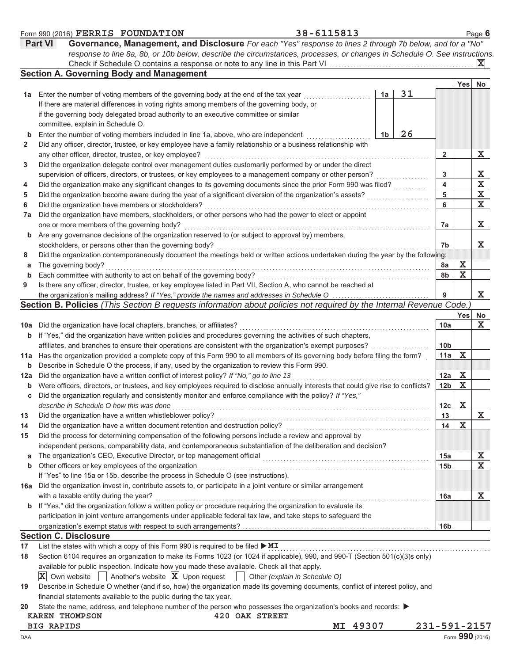|              | <b>Part VI</b><br>Governance, Management, and Disclosure For each "Yes" response to lines 2 through 7b below, and for a "No"        |                 |             |                         |
|--------------|-------------------------------------------------------------------------------------------------------------------------------------|-----------------|-------------|-------------------------|
|              | response to line 8a, 8b, or 10b below, describe the circumstances, processes, or changes in Schedule O. See instructions.           |                 |             | $ \mathbf{X} $          |
|              | <b>Section A. Governing Body and Management</b>                                                                                     |                 |             |                         |
|              |                                                                                                                                     |                 | Yes         | No                      |
| 1а           | 31<br>Enter the number of voting members of the governing body at the end of the tax year<br>1a                                     |                 |             |                         |
|              | If there are material differences in voting rights among members of the governing body, or                                          |                 |             |                         |
|              | if the governing body delegated broad authority to an executive committee or similar                                                |                 |             |                         |
|              | committee, explain in Schedule O.                                                                                                   |                 |             |                         |
| b            | 26<br>Enter the number of voting members included in line 1a, above, who are independent<br>1b                                      |                 |             |                         |
| $\mathbf{2}$ | Did any officer, director, trustee, or key employee have a family relationship or a business relationship with                      |                 |             |                         |
|              | any other officer, director, trustee, or key employee?                                                                              | $\mathbf{2}$    |             | Х                       |
| 3            | Did the organization delegate control over management duties customarily performed by or under the direct                           |                 |             |                         |
|              | supervision of officers, directors, or trustees, or key employees to a management company or other person?                          | 3               |             | X                       |
| 4            | Did the organization make any significant changes to its governing documents since the prior Form 990 was filed?                    | 4               |             | $\overline{\mathbf{x}}$ |
| 5            | Did the organization become aware during the year of a significant diversion of the organization's assets?                          | 5               |             | $\mathbf x$             |
| 6            | Did the organization have members or stockholders?                                                                                  | 6               |             | $\mathbf x$             |
| 7a           | Did the organization have members, stockholders, or other persons who had the power to elect or appoint                             |                 |             |                         |
|              | one or more members of the governing body?                                                                                          | 7a              |             | X                       |
| b            | Are any governance decisions of the organization reserved to (or subject to approval by) members,                                   |                 |             |                         |
|              | stockholders, or persons other than the governing body?                                                                             | 7b              |             | X                       |
| 8            | Did the organization contemporaneously document the meetings held or written actions undertaken during the year by the following:   |                 |             |                         |
| a            | The governing body?                                                                                                                 | 8a              | х           |                         |
| b            | Each committee with authority to act on behalf of the governing body?                                                               | 8b              | $\mathbf x$ |                         |
| 9            | Is there any officer, director, trustee, or key employee listed in Part VII, Section A, who cannot be reached at                    |                 |             |                         |
|              | the organization's mailing address? If "Yes," provide the names and addresses in Schedule O                                         | 9               |             | X                       |
|              | Section B. Policies (This Section B requests information about policies not required by the Internal Revenue Code.                  |                 |             |                         |
|              |                                                                                                                                     |                 | <b>Yes</b>  | No                      |
| 10a          | Did the organization have local chapters, branches, or affiliates?                                                                  | 10a             |             | X                       |
| b            | If "Yes," did the organization have written policies and procedures governing the activities of such chapters,                      |                 |             |                         |
|              | affiliates, and branches to ensure their operations are consistent with the organization's exempt purposes?                         | 10 <sub>b</sub> |             |                         |
| 11a          | Has the organization provided a complete copy of this Form 990 to all members of its governing body before filing the form?         | 11a             | X           |                         |
| b            | Describe in Schedule O the process, if any, used by the organization to review this Form 990.                                       |                 |             |                         |
| 12a          | Did the organization have a written conflict of interest policy? If "No," go to line 13                                             | 12a             | X           |                         |
| b            | Were officers, directors, or trustees, and key employees required to disclose annually interests that could give rise to conflicts? | 12b             | X           |                         |
| c            | Did the organization regularly and consistently monitor and enforce compliance with the policy? If "Yes,"                           |                 |             |                         |
|              | describe in Schedule O how this was done                                                                                            | 12 <sub>c</sub> | X           |                         |
| 13           | Did the organization have a written whistleblower policy?                                                                           | 13              |             | ▵                       |
| 14           | Did the organization have a written document retention and destruction policy?                                                      | 14              | $\mathbf x$ |                         |
| 15           | Did the process for determining compensation of the following persons include a review and approval by                              |                 |             |                         |
|              | independent persons, comparability data, and contemporaneous substantiation of the deliberation and decision?                       |                 |             |                         |
| a            | The organization's CEO, Executive Director, or top management official                                                              | 15a             |             | X                       |
| b            | Other officers or key employees of the organization                                                                                 | 15 <sub>b</sub> |             | $\mathbf X$             |
|              | If "Yes" to line 15a or 15b, describe the process in Schedule O (see instructions).                                                 |                 |             |                         |
| 16a          | Did the organization invest in, contribute assets to, or participate in a joint venture or similar arrangement                      |                 |             |                         |
|              | with a taxable entity during the year?                                                                                              | 16a             |             | X                       |
| b            | If "Yes," did the organization follow a written policy or procedure requiring the organization to evaluate its                      |                 |             |                         |
|              | participation in joint venture arrangements under applicable federal tax law, and take steps to safeguard the                       |                 |             |                         |
|              |                                                                                                                                     | 16 <sub>b</sub> |             |                         |
|              | <b>Section C. Disclosure</b>                                                                                                        |                 |             |                         |
| 17           | List the states with which a copy of this Form 990 is required to be filed $\blacktriangleright$ MI                                 |                 |             |                         |
| 18           | Section 6104 requires an organization to make its Forms 1023 (or 1024 if applicable), 990, and 990-T (Section 501(c)(3)s only)      |                 |             |                         |
|              | available for public inspection. Indicate how you made these available. Check all that apply.                                       |                 |             |                         |
|              | Another's website $ \mathbf{X} $ Upon request<br>IXI.<br>Own website<br>Other (explain in Schedule O)                               |                 |             |                         |
| 19           | Describe in Schedule O whether (and if so, how) the organization made its governing documents, conflict of interest policy, and     |                 |             |                         |
|              | financial statements available to the public during the tax year.                                                                   |                 |             |                         |
| 20           | State the name, address, and telephone number of the person who possesses the organization's books and records: ▶                   |                 |             |                         |
|              | 420 OAK STREET<br><b>KAREN THOMPSON</b>                                                                                             |                 |             |                         |
|              | MI 49307<br>231-591-2157<br><b>BIG RAPIDS</b>                                                                                       |                 |             |                         |
| DAA          |                                                                                                                                     |                 |             | Form 990 (2016)         |

Form 990 (2016)  $\texttt{FERRIS}$   $\texttt{FOUNDATION}$  38 – 6115813  $\texttt{Page 6}$ 

**FERRIS FOUNDATION 38-6115813**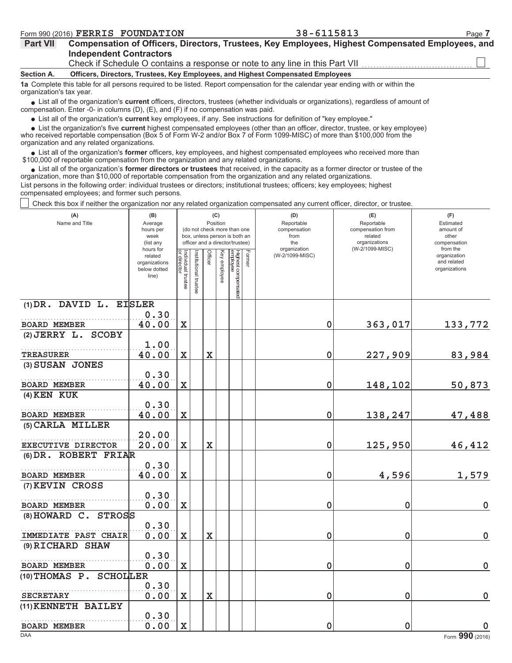| <b>Part VII</b> | Compensation of Officers, Directors, Trustees, Key Employees, Highest Compensated Employees, and |  |
|-----------------|--------------------------------------------------------------------------------------------------|--|
|                 | <b>Independent Contractors</b>                                                                   |  |
|                 |                                                                                                  |  |

Check if Schedule O contains a response or note to any line in this Part VII

### Officers, Directors, Trustees, Key Employees, and Highest Compensated Employees Section A.

1a Complete this table for all persons required to be listed. Report compensation for the calendar year ending with or within the organization's tax year.

• List all of the organization's current officers, directors, trustees (whether individuals or organizations), regardless of amount of compensation. Enter -0- in columns (D), (E), and (F) if no compensation was paid.

• List all of the organization's current key employees, if any. See instructions for definition of "key employee."

• List the organization's five current highest compensated employees (other than an officer, director, trustee, or key employee)

who received reportable compensation (Box 5 of Form W-2 and/or Box 7 of Form 1099-MISC) of more than \$100,000 from the organization and any related organizations.

• List all of the organization's former officers, key employees, and highest compensated employees who received more than \$100,000 of reportable compensation from the organization and any related organizations.

• List all of the organization's former directors or trustees that received, in the capacity as a former director or trustee of the organization, more than \$10,000 of reportable compensation from the organization and any related organizations. List persons in the following order: individual trustees or directors; institutional trustees; officers; key employees; highest compensated employees; and former such persons.

Check this box if neither the organization nor any related organization compensated any current officer, director, or trustee.

| (A)<br>Name and Title                                   | (B)<br>Average<br>hours per<br>week<br>(list any<br>hours for |                                   |                      |                         | (C)<br>Position | (do not check more than one<br>box, unless person is both an<br>officer and a director/trustee) |        | (D)<br>Reportable<br>compensation<br>from<br>the<br>organization |   | (E)<br>Reportable<br>compensation from<br>related<br>organizations<br>(W-2/1099-MISC) | (F)<br>Estimated<br>amount of<br>other<br>compensation<br>from the |  |  |
|---------------------------------------------------------|---------------------------------------------------------------|-----------------------------------|----------------------|-------------------------|-----------------|-------------------------------------------------------------------------------------------------|--------|------------------------------------------------------------------|---|---------------------------------------------------------------------------------------|--------------------------------------------------------------------|--|--|
|                                                         | related<br>organizations<br>below dotted<br>line)             | Individual trustee<br>or director | nstitutional trustee | Officer                 | Key employee    | Highest compensated<br>employee                                                                 | Former | (W-2/1099-MISC)                                                  |   |                                                                                       | organization<br>and related<br>organizations                       |  |  |
| (1) DR. DAVID L. EISLER                                 |                                                               |                                   |                      |                         |                 |                                                                                                 |        |                                                                  |   |                                                                                       |                                                                    |  |  |
| <b>BOARD MEMBER</b>                                     | 0.30<br>40.00                                                 | $\mathbf X$                       |                      |                         |                 |                                                                                                 |        |                                                                  | 0 | 363,017                                                                               | 133,772                                                            |  |  |
| (2) JERRY L. SCOBY                                      |                                                               |                                   |                      |                         |                 |                                                                                                 |        |                                                                  |   |                                                                                       |                                                                    |  |  |
|                                                         | 1.00                                                          |                                   |                      |                         |                 |                                                                                                 |        |                                                                  |   |                                                                                       |                                                                    |  |  |
| <b>TREASURER</b>                                        | 40.00                                                         | $\mathbf X$                       |                      | $\mathbf X$             |                 |                                                                                                 |        |                                                                  | 0 | 227,909                                                                               | 83,984                                                             |  |  |
| (3) SUSAN JONES                                         |                                                               |                                   |                      |                         |                 |                                                                                                 |        |                                                                  |   |                                                                                       |                                                                    |  |  |
|                                                         | 0.30                                                          |                                   |                      |                         |                 |                                                                                                 |        |                                                                  |   |                                                                                       |                                                                    |  |  |
| <b>BOARD MEMBER</b>                                     | 40.00                                                         | $\mathbf X$                       |                      |                         |                 |                                                                                                 |        |                                                                  | 0 | 148,102                                                                               | 50,873                                                             |  |  |
| $(4)$ KEN KUK                                           | 0.30                                                          |                                   |                      |                         |                 |                                                                                                 |        |                                                                  |   |                                                                                       |                                                                    |  |  |
| <b>BOARD MEMBER</b>                                     | 40.00                                                         | $\mathbf X$                       |                      |                         |                 |                                                                                                 |        |                                                                  | 0 | 138,247                                                                               | 47,488                                                             |  |  |
| (5) CARLA MILLER                                        |                                                               |                                   |                      |                         |                 |                                                                                                 |        |                                                                  |   |                                                                                       |                                                                    |  |  |
|                                                         | 20.00                                                         |                                   |                      |                         |                 |                                                                                                 |        |                                                                  |   |                                                                                       |                                                                    |  |  |
| <b>EXECUTIVE DIRECTOR</b>                               | 20.00                                                         | $\mathbf X$                       |                      | $\mathbf X$             |                 |                                                                                                 |        |                                                                  | 0 | 125,950                                                                               | 46,412                                                             |  |  |
| (6) DR. ROBERT FRIAR                                    |                                                               |                                   |                      |                         |                 |                                                                                                 |        |                                                                  |   |                                                                                       |                                                                    |  |  |
|                                                         | 0.30                                                          |                                   |                      |                         |                 |                                                                                                 |        |                                                                  |   |                                                                                       |                                                                    |  |  |
| <b>BOARD MEMBER</b>                                     | 40.00                                                         | $\mathbf x$                       |                      |                         |                 |                                                                                                 |        |                                                                  | 0 | 4,596                                                                                 | 1,579                                                              |  |  |
| (7) KEVIN CROSS                                         |                                                               |                                   |                      |                         |                 |                                                                                                 |        |                                                                  |   |                                                                                       |                                                                    |  |  |
|                                                         | 0.30                                                          |                                   |                      |                         |                 |                                                                                                 |        |                                                                  |   |                                                                                       |                                                                    |  |  |
| <b>BOARD MEMBER</b><br>$(8)$ HOWARD C.<br><b>STROSS</b> | 0.00                                                          | $\mathbf X$                       |                      |                         |                 |                                                                                                 |        |                                                                  | 0 | 0                                                                                     | $\pmb{0}$                                                          |  |  |
|                                                         | 0.30                                                          |                                   |                      |                         |                 |                                                                                                 |        |                                                                  |   |                                                                                       |                                                                    |  |  |
| <b>IMMEDIATE PAST CHAIR</b>                             | 0.00                                                          | $\mathbf X$                       |                      | $\overline{\mathbf{X}}$ |                 |                                                                                                 |        |                                                                  | 0 | 0                                                                                     | $\pmb{0}$                                                          |  |  |
| (9) RICHARD SHAW                                        |                                                               |                                   |                      |                         |                 |                                                                                                 |        |                                                                  |   |                                                                                       |                                                                    |  |  |
|                                                         | 0.30                                                          |                                   |                      |                         |                 |                                                                                                 |        |                                                                  |   |                                                                                       |                                                                    |  |  |
| <b>BOARD MEMBER</b>                                     | 0.00                                                          | $\mathbf X$                       |                      |                         |                 |                                                                                                 |        |                                                                  | 0 | 0                                                                                     | $\mathbf 0$                                                        |  |  |
| $(10)$ THOMAS P.<br><b>SCHOLLER</b>                     |                                                               |                                   |                      |                         |                 |                                                                                                 |        |                                                                  |   |                                                                                       |                                                                    |  |  |
|                                                         | 0.30                                                          |                                   |                      |                         |                 |                                                                                                 |        |                                                                  |   |                                                                                       |                                                                    |  |  |
| <b>SECRETARY</b>                                        | 0.00                                                          | $\mathbf X$                       |                      | $\mathbf X$             |                 |                                                                                                 |        |                                                                  | 0 | 0                                                                                     | 0                                                                  |  |  |
| (11) KENNETH BAILEY                                     | 0.30                                                          |                                   |                      |                         |                 |                                                                                                 |        |                                                                  |   |                                                                                       |                                                                    |  |  |
| <b>BOARD MEMBER</b>                                     | 0.00                                                          | $\mathbf x$                       |                      |                         |                 |                                                                                                 |        |                                                                  | 0 | $\mathbf 0$                                                                           | $\mathbf 0$                                                        |  |  |
| <b>DAA</b>                                              |                                                               |                                   |                      |                         |                 |                                                                                                 |        |                                                                  |   |                                                                                       | 000                                                                |  |  |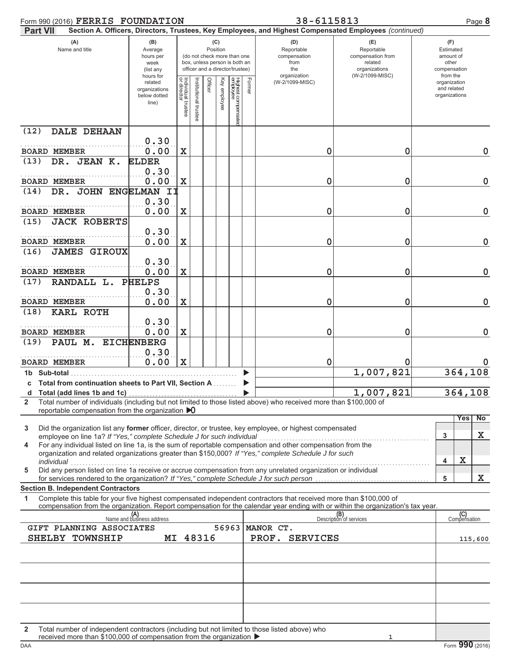| Form 990 (2016) FERRIS FOUNDATION                                                                                                                                                                                                                           |                                                               |                                   |                      |                                                                                                                    |              |                                |        | 38-6115813                                                                                             |                                                                                       |   | Page 8                                                             |
|-------------------------------------------------------------------------------------------------------------------------------------------------------------------------------------------------------------------------------------------------------------|---------------------------------------------------------------|-----------------------------------|----------------------|--------------------------------------------------------------------------------------------------------------------|--------------|--------------------------------|--------|--------------------------------------------------------------------------------------------------------|---------------------------------------------------------------------------------------|---|--------------------------------------------------------------------|
| <b>Part VII</b>                                                                                                                                                                                                                                             |                                                               |                                   |                      |                                                                                                                    |              |                                |        | Section A. Officers, Directors, Trustees, Key Employees, and Highest Compensated Employees (continued) |                                                                                       |   |                                                                    |
| (A)<br>Name and title                                                                                                                                                                                                                                       | (B)<br>Average<br>hours per<br>week<br>(list any<br>hours for |                                   |                      | (C)<br>Position<br>(do not check more than one<br>box, unless person is both an<br>officer and a director/trustee) |              |                                |        | (D)<br>Reportable<br>compensation<br>from<br>the<br>organization                                       | (E)<br>Reportable<br>compensation from<br>related<br>organizations<br>(W-2/1099-MISC) |   | (F)<br>Estimated<br>amount of<br>other<br>compensation<br>from the |
|                                                                                                                                                                                                                                                             | related<br>organizations<br>below dotted<br>line)             | Individual trustee<br>or director | institutional truste | Officer                                                                                                            | Key employee | Highest compensate<br>employee | Former | (W-2/1099-MISC)                                                                                        |                                                                                       |   | organization<br>and related<br>organizations                       |
| (12)<br><b>DALE DEHAAN</b>                                                                                                                                                                                                                                  | 0.30                                                          |                                   |                      |                                                                                                                    |              |                                |        |                                                                                                        |                                                                                       |   |                                                                    |
| <b>BOARD MEMBER</b>                                                                                                                                                                                                                                         | 0.00                                                          | $\mathbf X$                       |                      |                                                                                                                    |              |                                |        | 0                                                                                                      | 0                                                                                     |   | $\mathbf 0$                                                        |
| DR. JEAN K.<br>(13)                                                                                                                                                                                                                                         | <b>ELDER</b><br>0.30                                          |                                   |                      |                                                                                                                    |              |                                |        |                                                                                                        |                                                                                       |   |                                                                    |
| <b>BOARD MEMBER</b>                                                                                                                                                                                                                                         | 0.00                                                          | $\mathbf X$                       |                      |                                                                                                                    |              |                                |        | 0                                                                                                      | 0                                                                                     |   | $\mathbf 0$                                                        |
| DR. JOHN ENGELMAN II<br>(14)                                                                                                                                                                                                                                |                                                               |                                   |                      |                                                                                                                    |              |                                |        |                                                                                                        |                                                                                       |   |                                                                    |
| <b>BOARD MEMBER</b>                                                                                                                                                                                                                                         | 0.30<br>0.00                                                  | X                                 |                      |                                                                                                                    |              |                                |        | 0                                                                                                      | 0                                                                                     |   | $\mathbf 0$                                                        |
| <b>JACK ROBERTS</b><br>(15)                                                                                                                                                                                                                                 |                                                               |                                   |                      |                                                                                                                    |              |                                |        |                                                                                                        |                                                                                       |   |                                                                    |
|                                                                                                                                                                                                                                                             | 0.30                                                          |                                   |                      |                                                                                                                    |              |                                |        |                                                                                                        |                                                                                       |   |                                                                    |
| <b>BOARD MEMBER</b><br><b>JAMES GIROUX</b><br>(16)                                                                                                                                                                                                          | 0.00                                                          | X                                 |                      |                                                                                                                    |              |                                |        | 0                                                                                                      | 0                                                                                     |   | $\mathbf 0$                                                        |
| <b>BOARD MEMBER</b>                                                                                                                                                                                                                                         | 0.30<br>0.00                                                  | $\mathbf X$                       |                      |                                                                                                                    |              |                                |        | 0                                                                                                      | 0                                                                                     |   | $\mathbf 0$                                                        |
| RANDALL L.<br>(17)                                                                                                                                                                                                                                          | <b>PHELPS</b>                                                 |                                   |                      |                                                                                                                    |              |                                |        |                                                                                                        |                                                                                       |   |                                                                    |
| <b>BOARD MEMBER</b>                                                                                                                                                                                                                                         | 0.30<br>0.00                                                  | $\mathbf X$                       |                      |                                                                                                                    |              |                                |        | 0                                                                                                      | 0                                                                                     |   | $\mathbf 0$                                                        |
| <b>KARL ROTH</b><br>(18)                                                                                                                                                                                                                                    | 0.30                                                          |                                   |                      |                                                                                                                    |              |                                |        |                                                                                                        |                                                                                       |   |                                                                    |
| <b>BOARD MEMBER</b>                                                                                                                                                                                                                                         | 0.00                                                          | $\mathbf X$                       |                      |                                                                                                                    |              |                                |        | 0                                                                                                      | 0                                                                                     |   | $\mathbf 0$                                                        |
| PAUL M. EICHENBERG<br>(19)                                                                                                                                                                                                                                  |                                                               |                                   |                      |                                                                                                                    |              |                                |        |                                                                                                        |                                                                                       |   |                                                                    |
| <b>BOARD MEMBER</b>                                                                                                                                                                                                                                         | 0.30<br>0.00                                                  | $\mathbf X$                       |                      |                                                                                                                    |              |                                |        | 0                                                                                                      |                                                                                       |   |                                                                    |
| 1b Sub-total                                                                                                                                                                                                                                                |                                                               |                                   |                      |                                                                                                                    |              |                                |        |                                                                                                        | 1,007,821                                                                             |   | 364,108                                                            |
| c Total from continuation sheets to Part VII, Section A                                                                                                                                                                                                     |                                                               |                                   |                      |                                                                                                                    |              |                                |        |                                                                                                        |                                                                                       |   |                                                                    |
| d Total (add lines 1b and 1c)<br>Total number of individuals (including but not limited to those listed above) who received more than \$100,000 of<br>$\mathbf{2}$                                                                                          |                                                               |                                   |                      |                                                                                                                    |              |                                |        |                                                                                                        | 1,007,821                                                                             |   | 364,108                                                            |
| reportable compensation from the organization $\triangleright$ 0                                                                                                                                                                                            |                                                               |                                   |                      |                                                                                                                    |              |                                |        |                                                                                                        |                                                                                       |   | No<br>Yes                                                          |
| Did the organization list any former officer, director, or trustee, key employee, or highest compensated<br>3                                                                                                                                               |                                                               |                                   |                      |                                                                                                                    |              |                                |        |                                                                                                        |                                                                                       |   |                                                                    |
| employee on line 1a? If "Yes," complete Schedule J for such individual<br>For any individual listed on line 1a, is the sum of reportable compensation and other compensation from the<br>4                                                                  |                                                               |                                   |                      |                                                                                                                    |              |                                |        |                                                                                                        |                                                                                       | 3 | x                                                                  |
| organization and related organizations greater than \$150,000? If "Yes," complete Schedule J for such                                                                                                                                                       |                                                               |                                   |                      |                                                                                                                    |              |                                |        |                                                                                                        |                                                                                       | 4 | X                                                                  |
| individual<br>Did any person listed on line 1a receive or accrue compensation from any unrelated organization or individual<br>5                                                                                                                            |                                                               |                                   |                      |                                                                                                                    |              |                                |        |                                                                                                        |                                                                                       |   |                                                                    |
| for services rendered to the organization? If "Yes," complete Schedule J for such person<br><b>Section B. Independent Contractors</b>                                                                                                                       |                                                               |                                   |                      |                                                                                                                    |              |                                |        |                                                                                                        |                                                                                       | 5 | X                                                                  |
| Complete this table for your five highest compensated independent contractors that received more than \$100,000 of<br>1<br>compensation from the organization. Report compensation for the calendar year ending with or within the organization's tax year. |                                                               |                                   |                      |                                                                                                                    |              |                                |        |                                                                                                        |                                                                                       |   |                                                                    |
|                                                                                                                                                                                                                                                             | (A)<br>Name and business address                              |                                   |                      |                                                                                                                    |              |                                |        |                                                                                                        | (B)<br>Description of services                                                        |   | (C)<br>Compensation                                                |
| GIFT PLANNING ASSOCIATES                                                                                                                                                                                                                                    |                                                               |                                   |                      |                                                                                                                    |              | 56963                          |        | MANOR CT.                                                                                              |                                                                                       |   |                                                                    |
| SHELBY TOWNSHIP                                                                                                                                                                                                                                             |                                                               |                                   | MI 48316             |                                                                                                                    |              |                                |        | PROF. SERVICES                                                                                         |                                                                                       |   | 115,600                                                            |
|                                                                                                                                                                                                                                                             |                                                               |                                   |                      |                                                                                                                    |              |                                |        |                                                                                                        |                                                                                       |   |                                                                    |
|                                                                                                                                                                                                                                                             |                                                               |                                   |                      |                                                                                                                    |              |                                |        |                                                                                                        |                                                                                       |   |                                                                    |
|                                                                                                                                                                                                                                                             |                                                               |                                   |                      |                                                                                                                    |              |                                |        |                                                                                                        |                                                                                       |   |                                                                    |
|                                                                                                                                                                                                                                                             |                                                               |                                   |                      |                                                                                                                    |              |                                |        |                                                                                                        |                                                                                       |   |                                                                    |
| Total number of independent contractors (including but not limited to those listed above) who<br>$\mathbf{2}$<br>received more than \$100,000 of compensation from the organization ▶                                                                       |                                                               |                                   |                      |                                                                                                                    |              |                                |        |                                                                                                        |                                                                                       |   |                                                                    |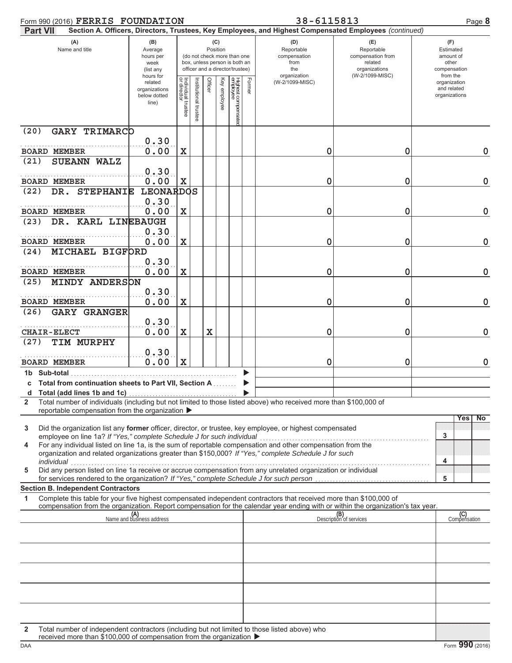| Form 990 (2016) FERRIS FOUNDATION                                                                                                                                                                                                                                                                                 |                                                               |                                   |                      |             |              |                                                                                                 |        | 38-6115813                                                                                             |                                                                                       | Page 8                                                             |
|-------------------------------------------------------------------------------------------------------------------------------------------------------------------------------------------------------------------------------------------------------------------------------------------------------------------|---------------------------------------------------------------|-----------------------------------|----------------------|-------------|--------------|-------------------------------------------------------------------------------------------------|--------|--------------------------------------------------------------------------------------------------------|---------------------------------------------------------------------------------------|--------------------------------------------------------------------|
| <b>Part VII</b>                                                                                                                                                                                                                                                                                                   |                                                               |                                   |                      |             |              |                                                                                                 |        | Section A. Officers, Directors, Trustees, Key Employees, and Highest Compensated Employees (continued) |                                                                                       |                                                                    |
| (A)<br>Name and title                                                                                                                                                                                                                                                                                             | (B)<br>Average<br>hours per<br>week<br>(list any<br>hours for |                                   |                      | Position    | (C)          | (do not check more than one<br>box, unless person is both an<br>officer and a director/trustee) |        | (D)<br>Reportable<br>compensation<br>from<br>the<br>organization                                       | (E)<br>Reportable<br>compensation from<br>related<br>organizations<br>(W-2/1099-MISC) | (F)<br>Estimated<br>amount of<br>other<br>compensation<br>from the |
|                                                                                                                                                                                                                                                                                                                   | related<br>organizations<br>below dotted<br>line)             | Individual trustee<br>or director | Institutional truste | Officer     | Key employee | Highest compensate<br>employee                                                                  | Former | (W-2/1099-MISC)                                                                                        |                                                                                       | organization<br>and related<br>organizations                       |
| (20)<br><b>GARY TRIMARCO</b>                                                                                                                                                                                                                                                                                      |                                                               |                                   |                      |             |              |                                                                                                 |        |                                                                                                        |                                                                                       |                                                                    |
|                                                                                                                                                                                                                                                                                                                   | 0.30                                                          |                                   |                      |             |              |                                                                                                 |        |                                                                                                        |                                                                                       |                                                                    |
| <b>BOARD MEMBER</b>                                                                                                                                                                                                                                                                                               | 0.00                                                          | $\mathbf X$                       |                      |             |              |                                                                                                 |        | 0                                                                                                      | 0                                                                                     | $\mathbf 0$                                                        |
| (21)<br>SUEANN WALZ                                                                                                                                                                                                                                                                                               | 0.30                                                          |                                   |                      |             |              |                                                                                                 |        |                                                                                                        |                                                                                       |                                                                    |
| <b>BOARD MEMBER</b>                                                                                                                                                                                                                                                                                               | 0.00                                                          | X                                 |                      |             |              |                                                                                                 |        | 0                                                                                                      | 0                                                                                     | $\mathbf 0$                                                        |
| DR. STEPHANIE<br>(22)                                                                                                                                                                                                                                                                                             | <b>LEONARDOS</b>                                              |                                   |                      |             |              |                                                                                                 |        |                                                                                                        |                                                                                       |                                                                    |
|                                                                                                                                                                                                                                                                                                                   | 0.30                                                          |                                   |                      |             |              |                                                                                                 |        |                                                                                                        |                                                                                       |                                                                    |
| <b>BOARD MEMBER</b>                                                                                                                                                                                                                                                                                               | 0.00                                                          | $\mathbf X$                       |                      |             |              |                                                                                                 |        | 0                                                                                                      | 0                                                                                     | $\mathbf 0$                                                        |
| DR. KARL LINEBAUGH<br>(23)                                                                                                                                                                                                                                                                                        |                                                               |                                   |                      |             |              |                                                                                                 |        |                                                                                                        |                                                                                       |                                                                    |
| <b>BOARD MEMBER</b>                                                                                                                                                                                                                                                                                               | 0.30<br>0.00                                                  | $\mathbf X$                       |                      |             |              |                                                                                                 |        | 0                                                                                                      | 0                                                                                     | $\mathbf 0$                                                        |
| <b>MICHAEL BIGFORD</b><br>(24)                                                                                                                                                                                                                                                                                    |                                                               |                                   |                      |             |              |                                                                                                 |        |                                                                                                        |                                                                                       |                                                                    |
|                                                                                                                                                                                                                                                                                                                   | 0.30                                                          |                                   |                      |             |              |                                                                                                 |        |                                                                                                        |                                                                                       |                                                                    |
| <b>BOARD MEMBER</b>                                                                                                                                                                                                                                                                                               | 0.00                                                          | $\mathbf X$                       |                      |             |              |                                                                                                 |        | 0                                                                                                      | 0                                                                                     | $\mathbf 0$                                                        |
| <b>MINDY ANDERSON</b><br>(25)                                                                                                                                                                                                                                                                                     |                                                               |                                   |                      |             |              |                                                                                                 |        |                                                                                                        |                                                                                       |                                                                    |
| <b>BOARD MEMBER</b>                                                                                                                                                                                                                                                                                               | 0.30<br>0.00                                                  | $\mathbf X$                       |                      |             |              |                                                                                                 |        | 0                                                                                                      | 0                                                                                     | $\mathbf 0$                                                        |
| <b>GARY GRANGER</b><br>(26)                                                                                                                                                                                                                                                                                       |                                                               |                                   |                      |             |              |                                                                                                 |        |                                                                                                        |                                                                                       |                                                                    |
|                                                                                                                                                                                                                                                                                                                   | 0.30                                                          |                                   |                      |             |              |                                                                                                 |        |                                                                                                        |                                                                                       |                                                                    |
| <b>CHAIR-ELECT</b>                                                                                                                                                                                                                                                                                                | 0.00                                                          | X                                 |                      | $\mathbf x$ |              |                                                                                                 |        | 0                                                                                                      | 0                                                                                     | $\mathbf 0$                                                        |
| TIM MURPHY<br>(27)                                                                                                                                                                                                                                                                                                |                                                               |                                   |                      |             |              |                                                                                                 |        |                                                                                                        |                                                                                       |                                                                    |
| <b>BOARD MEMBER</b>                                                                                                                                                                                                                                                                                               | 0.30<br>0.00                                                  | $\mathbf x$                       |                      |             |              |                                                                                                 |        | 0                                                                                                      | 0                                                                                     | $\mathbf 0$                                                        |
| 1b Sub-total                                                                                                                                                                                                                                                                                                      |                                                               |                                   |                      |             |              |                                                                                                 |        |                                                                                                        |                                                                                       |                                                                    |
| c Total from continuation sheets to Part VII, Section A<br>d Total (add lines 1b and 1c)                                                                                                                                                                                                                          |                                                               |                                   |                      |             |              |                                                                                                 |        |                                                                                                        |                                                                                       |                                                                    |
| Total number of individuals (including but not limited to those listed above) who received more than \$100,000 of<br>$\mathbf{2}$                                                                                                                                                                                 |                                                               |                                   |                      |             |              |                                                                                                 |        |                                                                                                        |                                                                                       |                                                                    |
| reportable compensation from the organization ▶                                                                                                                                                                                                                                                                   |                                                               |                                   |                      |             |              |                                                                                                 |        |                                                                                                        |                                                                                       |                                                                    |
| Did the organization list any former officer, director, or trustee, key employee, or highest compensated<br>3                                                                                                                                                                                                     |                                                               |                                   |                      |             |              |                                                                                                 |        |                                                                                                        |                                                                                       | Yes<br>No                                                          |
| employee on line 1a? If "Yes," complete Schedule J for such individual<br>For any individual listed on line 1a, is the sum of reportable compensation and other compensation from the<br>4<br>organization and related organizations greater than \$150,000? If "Yes," complete Schedule J for such<br>individual |                                                               |                                   |                      |             |              |                                                                                                 |        |                                                                                                        |                                                                                       | 3<br>4                                                             |
| Did any person listed on line 1a receive or accrue compensation from any unrelated organization or individual<br>5                                                                                                                                                                                                |                                                               |                                   |                      |             |              |                                                                                                 |        |                                                                                                        |                                                                                       |                                                                    |
| for services rendered to the organization? If "Yes," complete Schedule J for such person                                                                                                                                                                                                                          |                                                               |                                   |                      |             |              |                                                                                                 |        |                                                                                                        |                                                                                       | 5                                                                  |
| <b>Section B. Independent Contractors</b><br>Complete this table for your five highest compensated independent contractors that received more than \$100,000 of<br>1                                                                                                                                              |                                                               |                                   |                      |             |              |                                                                                                 |        |                                                                                                        |                                                                                       |                                                                    |
| compensation from the organization. Report compensation for the calendar year ending with or within the organization's tax year.                                                                                                                                                                                  |                                                               |                                   |                      |             |              |                                                                                                 |        |                                                                                                        |                                                                                       |                                                                    |
|                                                                                                                                                                                                                                                                                                                   | (A)<br>Name and business address                              |                                   |                      |             |              |                                                                                                 |        |                                                                                                        | (B)<br>Description of services                                                        | (C)<br>Compensation                                                |
|                                                                                                                                                                                                                                                                                                                   |                                                               |                                   |                      |             |              |                                                                                                 |        |                                                                                                        |                                                                                       |                                                                    |
|                                                                                                                                                                                                                                                                                                                   |                                                               |                                   |                      |             |              |                                                                                                 |        |                                                                                                        |                                                                                       |                                                                    |
|                                                                                                                                                                                                                                                                                                                   |                                                               |                                   |                      |             |              |                                                                                                 |        |                                                                                                        |                                                                                       |                                                                    |
|                                                                                                                                                                                                                                                                                                                   |                                                               |                                   |                      |             |              |                                                                                                 |        |                                                                                                        |                                                                                       |                                                                    |
|                                                                                                                                                                                                                                                                                                                   |                                                               |                                   |                      |             |              |                                                                                                 |        |                                                                                                        |                                                                                       |                                                                    |
|                                                                                                                                                                                                                                                                                                                   |                                                               |                                   |                      |             |              |                                                                                                 |        |                                                                                                        |                                                                                       |                                                                    |
|                                                                                                                                                                                                                                                                                                                   |                                                               |                                   |                      |             |              |                                                                                                 |        |                                                                                                        |                                                                                       |                                                                    |
|                                                                                                                                                                                                                                                                                                                   |                                                               |                                   |                      |             |              |                                                                                                 |        |                                                                                                        |                                                                                       |                                                                    |
| Total number of independent contractors (including but not limited to those listed above) who<br>2                                                                                                                                                                                                                |                                                               |                                   |                      |             |              |                                                                                                 |        |                                                                                                        |                                                                                       |                                                                    |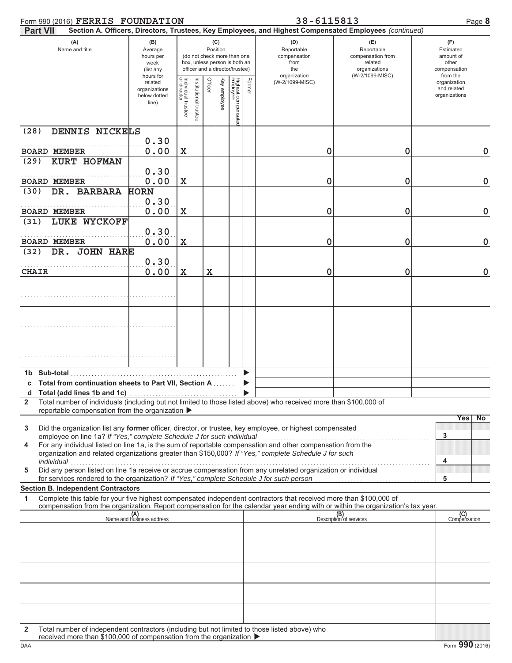|              | Form 990 (2016) FERRIS FOUNDATION                                                                                                                                                                                                                                                              |                                                               |                                   |                     |         |              |                                                                                                 |        | 38-6115813                                                                                             |                                                                                       | Page 8                                                             |
|--------------|------------------------------------------------------------------------------------------------------------------------------------------------------------------------------------------------------------------------------------------------------------------------------------------------|---------------------------------------------------------------|-----------------------------------|---------------------|---------|--------------|-------------------------------------------------------------------------------------------------|--------|--------------------------------------------------------------------------------------------------------|---------------------------------------------------------------------------------------|--------------------------------------------------------------------|
|              | <b>Part VII</b>                                                                                                                                                                                                                                                                                |                                                               |                                   |                     |         |              |                                                                                                 |        | Section A. Officers, Directors, Trustees, Key Employees, and Highest Compensated Employees (continued) |                                                                                       |                                                                    |
|              | (A)<br>Name and title                                                                                                                                                                                                                                                                          | (B)<br>Average<br>hours per<br>week<br>(list any<br>hours for |                                   |                     | (C)     | Position     | (do not check more than one<br>box, unless person is both an<br>officer and a director/trustee) |        | (D)<br>Reportable<br>compensation<br>from<br>the<br>organization                                       | (E)<br>Reportable<br>compensation from<br>related<br>organizations<br>(W-2/1099-MISC) | (F)<br>Estimated<br>amount of<br>other<br>compensation<br>from the |
|              |                                                                                                                                                                                                                                                                                                | related<br>organizations<br>below dotted<br>line)             | Individual trustee<br>or director | nstitutional truste | Officer | Key employee |                                                                                                 | Former | (W-2/1099-MISC)                                                                                        |                                                                                       | organization<br>and related<br>organizations                       |
| (28)         | DENNIS NICKELS                                                                                                                                                                                                                                                                                 |                                                               |                                   |                     |         |              |                                                                                                 |        |                                                                                                        |                                                                                       |                                                                    |
|              | <b>BOARD MEMBER</b>                                                                                                                                                                                                                                                                            | 0.30<br>0.00                                                  | X                                 |                     |         |              |                                                                                                 |        | 0                                                                                                      | 0                                                                                     | $\mathbf 0$                                                        |
| (29)         | KURT HOFMAN                                                                                                                                                                                                                                                                                    |                                                               |                                   |                     |         |              |                                                                                                 |        |                                                                                                        |                                                                                       |                                                                    |
|              | <b>BOARD MEMBER</b>                                                                                                                                                                                                                                                                            | 0.30<br>0.00                                                  | X                                 |                     |         |              |                                                                                                 |        | 0                                                                                                      | 0                                                                                     | $\mathbf 0$                                                        |
| (30)         | DR. BARBARA                                                                                                                                                                                                                                                                                    | <b>HORN</b>                                                   |                                   |                     |         |              |                                                                                                 |        |                                                                                                        |                                                                                       |                                                                    |
|              | <b>BOARD MEMBER</b>                                                                                                                                                                                                                                                                            | 0.30<br>0.00                                                  | X                                 |                     |         |              |                                                                                                 |        | 0                                                                                                      | 0                                                                                     | $\mathbf 0$                                                        |
| (31)         | LUKE WYCKOFF                                                                                                                                                                                                                                                                                   |                                                               |                                   |                     |         |              |                                                                                                 |        |                                                                                                        |                                                                                       |                                                                    |
|              | <b>BOARD MEMBER</b>                                                                                                                                                                                                                                                                            | 0.30<br>0.00                                                  | X                                 |                     |         |              |                                                                                                 |        | 0                                                                                                      | 0                                                                                     | $\mathbf 0$                                                        |
| (32)         | DR. JOHN HARE                                                                                                                                                                                                                                                                                  |                                                               |                                   |                     |         |              |                                                                                                 |        |                                                                                                        |                                                                                       |                                                                    |
|              |                                                                                                                                                                                                                                                                                                | 0.30                                                          |                                   |                     |         |              |                                                                                                 |        |                                                                                                        |                                                                                       |                                                                    |
| <b>CHAIR</b> |                                                                                                                                                                                                                                                                                                | 0.00                                                          | X                                 |                     | X       |              |                                                                                                 |        | 0                                                                                                      | 0                                                                                     | $\mathbf 0$                                                        |
|              |                                                                                                                                                                                                                                                                                                |                                                               |                                   |                     |         |              |                                                                                                 |        |                                                                                                        |                                                                                       |                                                                    |
|              |                                                                                                                                                                                                                                                                                                |                                                               |                                   |                     |         |              |                                                                                                 |        |                                                                                                        |                                                                                       |                                                                    |
|              |                                                                                                                                                                                                                                                                                                |                                                               |                                   |                     |         |              |                                                                                                 |        |                                                                                                        |                                                                                       |                                                                    |
|              |                                                                                                                                                                                                                                                                                                |                                                               |                                   |                     |         |              |                                                                                                 |        |                                                                                                        |                                                                                       |                                                                    |
|              | c Total from continuation sheets to Part VII, Section A                                                                                                                                                                                                                                        |                                                               |                                   |                     |         |              |                                                                                                 |        |                                                                                                        |                                                                                       |                                                                    |
| d<br>2       | Total (add lines 1b and 1c)<br>Total number of individuals (including but not limited to those listed above) who received more than \$100,000 of                                                                                                                                               |                                                               |                                   |                     |         |              |                                                                                                 |        |                                                                                                        |                                                                                       |                                                                    |
|              | reportable compensation from the organization ▶                                                                                                                                                                                                                                                |                                                               |                                   |                     |         |              |                                                                                                 |        |                                                                                                        |                                                                                       |                                                                    |
| 3            | Did the organization list any former officer, director, or trustee, key employee, or highest compensated                                                                                                                                                                                       |                                                               |                                   |                     |         |              |                                                                                                 |        |                                                                                                        |                                                                                       | Yes<br><b>No</b>                                                   |
| 4            | employee on line 1a? If "Yes," complete Schedule J for such individual<br>For any individual listed on line 1a, is the sum of reportable compensation and other compensation from the<br>organization and related organizations greater than \$150,000? If "Yes," complete Schedule J for such |                                                               |                                   |                     |         |              |                                                                                                 |        |                                                                                                        |                                                                                       | 3<br>4                                                             |
| 5            | individual<br>Did any person listed on line 1a receive or accrue compensation from any unrelated organization or individual                                                                                                                                                                    |                                                               |                                   |                     |         |              |                                                                                                 |        |                                                                                                        |                                                                                       |                                                                    |
|              | for services rendered to the organization? If "Yes," complete Schedule J for such person<br><b>Section B. Independent Contractors</b>                                                                                                                                                          |                                                               |                                   |                     |         |              |                                                                                                 |        |                                                                                                        |                                                                                       | 5                                                                  |
| 1            | Complete this table for your five highest compensated independent contractors that received more than \$100,000 of                                                                                                                                                                             |                                                               |                                   |                     |         |              |                                                                                                 |        |                                                                                                        |                                                                                       |                                                                    |
|              | compensation from the organization. Report compensation for the calendar year ending with or within the organization's tax year.                                                                                                                                                               | (A)<br>Name and business address                              |                                   |                     |         |              |                                                                                                 |        |                                                                                                        | (B)<br>Description of services                                                        | (C)<br>Compensation                                                |
|              |                                                                                                                                                                                                                                                                                                |                                                               |                                   |                     |         |              |                                                                                                 |        |                                                                                                        |                                                                                       |                                                                    |
|              |                                                                                                                                                                                                                                                                                                |                                                               |                                   |                     |         |              |                                                                                                 |        |                                                                                                        |                                                                                       |                                                                    |
|              |                                                                                                                                                                                                                                                                                                |                                                               |                                   |                     |         |              |                                                                                                 |        |                                                                                                        |                                                                                       |                                                                    |
|              |                                                                                                                                                                                                                                                                                                |                                                               |                                   |                     |         |              |                                                                                                 |        |                                                                                                        |                                                                                       |                                                                    |
|              |                                                                                                                                                                                                                                                                                                |                                                               |                                   |                     |         |              |                                                                                                 |        |                                                                                                        |                                                                                       |                                                                    |
|              |                                                                                                                                                                                                                                                                                                |                                                               |                                   |                     |         |              |                                                                                                 |        |                                                                                                        |                                                                                       |                                                                    |
|              |                                                                                                                                                                                                                                                                                                |                                                               |                                   |                     |         |              |                                                                                                 |        |                                                                                                        |                                                                                       |                                                                    |
| 2            | Total number of independent contractors (including but not limited to those listed above) who                                                                                                                                                                                                  |                                                               |                                   |                     |         |              |                                                                                                 |        |                                                                                                        |                                                                                       |                                                                    |

received more than \$100,000 of compensation from the organization  $\blacktriangleright$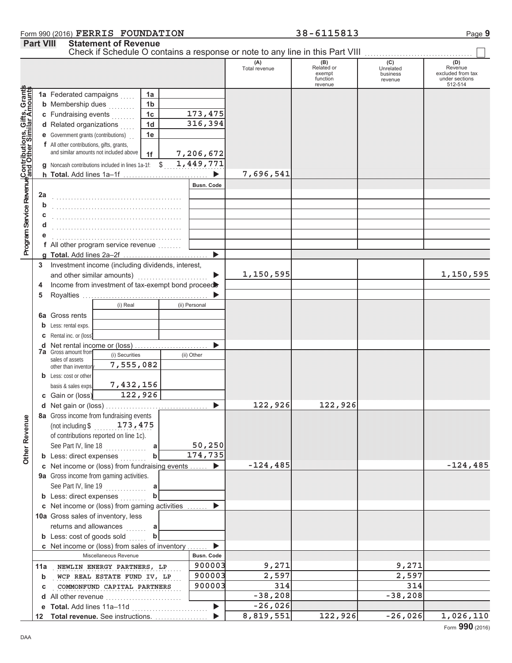### Form 990 (2016)  ${\tt FERRIS}$   ${\tt FOUNDATION}$  38 – 6115813  ${\tt Page~9}$ **FERRIS FOUNDATION 38-6115813**

|                                                                                                           | <b>Part VIII</b> |                                                | <b>Statement of Revenue</b>                         |                |                       |                      |                                                    |                                         |                                                                  |
|-----------------------------------------------------------------------------------------------------------|------------------|------------------------------------------------|-----------------------------------------------------|----------------|-----------------------|----------------------|----------------------------------------------------|-----------------------------------------|------------------------------------------------------------------|
|                                                                                                           |                  |                                                |                                                     |                |                       | (A)<br>Total revenue | (B)<br>Related or<br>exempt<br>function<br>revenue | (C)<br>Unrelated<br>business<br>revenue | (D)<br>Revenue<br>excluded from tax<br>under sections<br>512-514 |
| Program Service Revenue Contributions, Gifts, Grants<br>Program Service Revenue and Other Similar Amounts |                  | 1a Federated campaigns                         |                                                     | 1a             |                       |                      |                                                    |                                         |                                                                  |
|                                                                                                           |                  | <b>b</b> Membership dues                       | .                                                   | 1 <sub>b</sub> |                       |                      |                                                    |                                         |                                                                  |
|                                                                                                           |                  | c Fundraising events                           |                                                     | 1 <sub>c</sub> | 173,475               |                      |                                                    |                                         |                                                                  |
|                                                                                                           |                  | d Related organizations                        |                                                     | 1 <sub>d</sub> | 316,394               |                      |                                                    |                                         |                                                                  |
|                                                                                                           |                  |                                                | <b>e</b> Government grants (contributions)          | 1e             |                       |                      |                                                    |                                         |                                                                  |
|                                                                                                           |                  |                                                | f All other contributions, gifts, grants,           |                |                       |                      |                                                    |                                         |                                                                  |
|                                                                                                           |                  |                                                | and similar amounts not included above              | 1f             | 7,206,672             |                      |                                                    |                                         |                                                                  |
|                                                                                                           |                  |                                                | g Noncash contributions included in lines 1a-1f: \$ |                | 1,449,771             |                      |                                                    |                                         |                                                                  |
|                                                                                                           |                  |                                                | h Total. Add lines 1a-1f                            |                | ▶                     | 7,696,541            |                                                    |                                         |                                                                  |
|                                                                                                           |                  |                                                |                                                     |                | <b>Busn, Code</b>     |                      |                                                    |                                         |                                                                  |
|                                                                                                           | 2a               |                                                |                                                     |                |                       |                      |                                                    |                                         |                                                                  |
|                                                                                                           | b                |                                                |                                                     |                |                       |                      |                                                    |                                         |                                                                  |
|                                                                                                           |                  |                                                |                                                     |                |                       |                      |                                                    |                                         |                                                                  |
|                                                                                                           |                  |                                                |                                                     |                |                       |                      |                                                    |                                         |                                                                  |
|                                                                                                           |                  |                                                |                                                     |                |                       |                      |                                                    |                                         |                                                                  |
|                                                                                                           |                  |                                                |                                                     |                |                       |                      |                                                    |                                         |                                                                  |
|                                                                                                           |                  |                                                | f All other program service revenue                 |                |                       |                      |                                                    |                                         |                                                                  |
|                                                                                                           |                  |                                                | g Total. Add lines 2a-2f                            |                | ▶                     |                      |                                                    |                                         |                                                                  |
|                                                                                                           | 3                |                                                | Investment income (including dividends, interest,   |                |                       |                      |                                                    |                                         |                                                                  |
|                                                                                                           |                  |                                                | and other similar amounts)                          |                |                       | 1,150,595            |                                                    |                                         | 1,150,595                                                        |
|                                                                                                           | 4                |                                                | Income from investment of tax-exempt bond proceed   |                |                       |                      |                                                    |                                         |                                                                  |
|                                                                                                           | 5                |                                                |                                                     |                |                       |                      |                                                    |                                         |                                                                  |
|                                                                                                           |                  |                                                | (i) Real                                            |                | (ii) Personal         |                      |                                                    |                                         |                                                                  |
|                                                                                                           | 6а               | Gross rents                                    |                                                     |                |                       |                      |                                                    |                                         |                                                                  |
|                                                                                                           | $\mathsf{D}$     | Less: rental exps.                             |                                                     |                |                       |                      |                                                    |                                         |                                                                  |
|                                                                                                           |                  | Rental inc. or (loss)                          |                                                     |                |                       |                      |                                                    |                                         |                                                                  |
|                                                                                                           |                  |                                                |                                                     |                |                       |                      |                                                    |                                         |                                                                  |
|                                                                                                           |                  | <b>7a</b> Gross amount from<br>sales of assets | (i) Securities                                      |                | (ii) Other            |                      |                                                    |                                         |                                                                  |
|                                                                                                           |                  | other than inventor                            | 7,555,082                                           |                |                       |                      |                                                    |                                         |                                                                  |
|                                                                                                           |                  | <b>b</b> Less: cost or other                   |                                                     |                |                       |                      |                                                    |                                         |                                                                  |
|                                                                                                           |                  | basis & sales exps.                            | 7,432,156                                           |                |                       |                      |                                                    |                                         |                                                                  |
|                                                                                                           |                  | c Gain or (loss)                               | 122,926                                             |                |                       |                      |                                                    |                                         |                                                                  |
|                                                                                                           |                  |                                                |                                                     |                |                       | 122,926              | 122,926                                            |                                         |                                                                  |
|                                                                                                           |                  |                                                | 8a Gross income from fundraising events             |                |                       |                      |                                                    |                                         |                                                                  |
|                                                                                                           |                  |                                                | (not including $$173,475$                           |                |                       |                      |                                                    |                                         |                                                                  |
|                                                                                                           |                  |                                                | of contributions reported on line 1c).              |                |                       |                      |                                                    |                                         |                                                                  |
|                                                                                                           |                  | See Part IV, line 18                           | and a straight and a straight.                      | a              | 50,250                |                      |                                                    |                                         |                                                                  |
| Other Revenue                                                                                             |                  |                                                | <b>b</b> Less: direct expenses                      |                | $\overline{174, 735}$ |                      |                                                    |                                         |                                                                  |
|                                                                                                           |                  |                                                | c Net income or (loss) from fundraising events      |                | $\blacktriangleright$ | $-124, 485$          |                                                    |                                         | $-124, 485$                                                      |
|                                                                                                           |                  |                                                | 9a Gross income from gaming activities.             |                |                       |                      |                                                    |                                         |                                                                  |
|                                                                                                           |                  |                                                | See Part IV, line 19                                |                |                       |                      |                                                    |                                         |                                                                  |
|                                                                                                           |                  |                                                |                                                     | a              |                       |                      |                                                    |                                         |                                                                  |
|                                                                                                           |                  | <b>b</b> Less: direct expenses                 |                                                     |                |                       |                      |                                                    |                                         |                                                                  |
|                                                                                                           |                  |                                                | c Net income or (loss) from gaming activities       |                |                       |                      |                                                    |                                         |                                                                  |
|                                                                                                           |                  |                                                | 10a Gross sales of inventory, less                  |                |                       |                      |                                                    |                                         |                                                                  |
|                                                                                                           |                  | returns and allowances                         | aaaaaan                                             |                |                       |                      |                                                    |                                         |                                                                  |
|                                                                                                           |                  |                                                | <b>b</b> Less: cost of goods sold                   |                |                       |                      |                                                    |                                         |                                                                  |
|                                                                                                           |                  |                                                | c Net income or (loss) from sales of inventory      |                | ▶                     |                      |                                                    |                                         |                                                                  |
|                                                                                                           |                  |                                                | Miscellaneous Revenue                               |                | Busn. Code            |                      |                                                    |                                         |                                                                  |
|                                                                                                           |                  |                                                | 11a NEWLIN ENERGY PARTNERS, LP                      |                | 900003                | 9,271                |                                                    | 9,271                                   |                                                                  |
|                                                                                                           | b                |                                                | WCP REAL ESTATE FUND IV, LP                         |                | 900003                | 2,597                |                                                    | 2,597                                   |                                                                  |
|                                                                                                           | c                |                                                | COMMONFUND CAPITAL PARTNERS                         |                | 900003                | 314                  |                                                    | 314                                     |                                                                  |
|                                                                                                           |                  |                                                | d All other revenue                                 |                |                       | $-38,208$            |                                                    | $-38,208$                               |                                                                  |
|                                                                                                           |                  |                                                | e Total. Add lines 11a-11d                          |                |                       | $-26,026$            |                                                    |                                         |                                                                  |
|                                                                                                           |                  |                                                | 12 Total revenue. See instructions.                 |                |                       | 8,819,551            | 122,926                                            | $-26,026$                               | 1,026,110                                                        |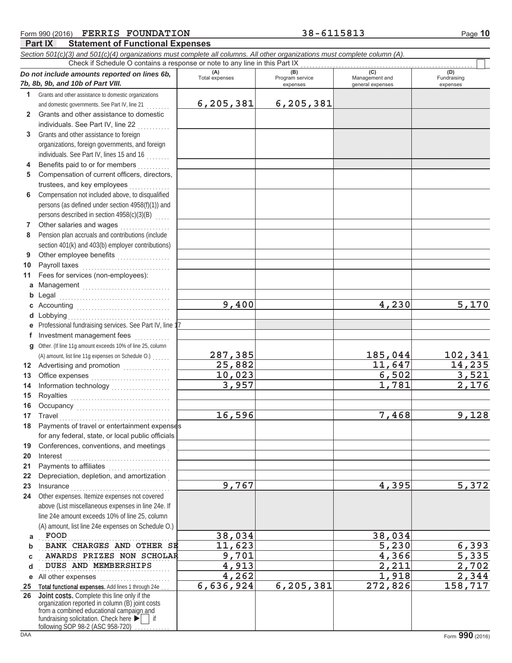| <b>FERRIS FOUNDATION</b><br>Form 990 (2016)                                                                                  |                                                                                    | 38-6115813                  |                                    | Page 10                 |
|------------------------------------------------------------------------------------------------------------------------------|------------------------------------------------------------------------------------|-----------------------------|------------------------------------|-------------------------|
| <b>Part IX</b><br><b>Statement of Functional Expenses</b>                                                                    |                                                                                    |                             |                                    |                         |
| Section 501(c)(3) and 501(c)(4) organizations must complete all columns. All other organizations must complete column (A).   |                                                                                    |                             |                                    |                         |
|                                                                                                                              | Check if Schedule O contains a response or note to any line in this Part IX<br>(A) | (B)                         | (C)                                | (D)                     |
| Do not include amounts reported on lines 6b,<br>7b, 8b, 9b, and 10b of Part VIII.                                            | Total expenses                                                                     | Program service<br>expenses | Management and<br>general expenses | Fundraising<br>expenses |
| Grants and other assistance to domestic organizations<br>1.                                                                  |                                                                                    |                             |                                    |                         |
| and domestic governments. See Part IV, line 21                                                                               | 6,205,381                                                                          | 6,205,381                   |                                    |                         |
| Grants and other assistance to domestic<br>$\mathbf{2}$                                                                      |                                                                                    |                             |                                    |                         |
| individuals. See Part IV, line 22                                                                                            |                                                                                    |                             |                                    |                         |
| Grants and other assistance to foreign<br>3                                                                                  |                                                                                    |                             |                                    |                         |
| organizations, foreign governments, and foreign                                                                              |                                                                                    |                             |                                    |                         |
| individuals. See Part IV, lines 15 and 16                                                                                    |                                                                                    |                             |                                    |                         |
| Benefits paid to or for members<br>4                                                                                         |                                                                                    |                             |                                    |                         |
| Compensation of current officers, directors,<br>5                                                                            |                                                                                    |                             |                                    |                         |
| trustees, and key employees                                                                                                  |                                                                                    |                             |                                    |                         |
| Compensation not included above, to disqualified<br>6                                                                        |                                                                                    |                             |                                    |                         |
| persons (as defined under section 4958(f)(1)) and                                                                            |                                                                                    |                             |                                    |                         |
| persons described in section 4958(c)(3)(B)                                                                                   |                                                                                    |                             |                                    |                         |
| Other salaries and wages<br>7<br><u> 1999 - Jacques Staten Barbara e</u><br>Pension plan accruals and contributions (include |                                                                                    |                             |                                    |                         |
| 8<br>section 401(k) and 403(b) employer contributions)                                                                       |                                                                                    |                             |                                    |                         |
| Other employee benefits<br>9                                                                                                 |                                                                                    |                             |                                    |                         |
| Payroll taxes<br>10                                                                                                          |                                                                                    |                             |                                    |                         |
| Fees for services (non-employees):<br>11                                                                                     |                                                                                    |                             |                                    |                         |
| Management<br>а                                                                                                              |                                                                                    |                             |                                    |                         |
| b                                                                                                                            |                                                                                    |                             |                                    |                         |
|                                                                                                                              | 9,400                                                                              |                             | 4,230                              | 5,170                   |
| Lobbying<br>d                                                                                                                |                                                                                    |                             |                                    |                         |
| Professional fundraising services. See Part IV, line 17<br>е                                                                 |                                                                                    |                             |                                    |                         |
| Investment management fees<br>f.                                                                                             |                                                                                    |                             |                                    |                         |
| Other. (If line 11g amount exceeds 10% of line 25, column<br>g                                                               |                                                                                    |                             |                                    |                         |
| (A) amount, list line 11g expenses on Schedule O.)                                                                           | 287,385                                                                            |                             | 185,044                            | 102,341                 |
| 12 Advertising and promotion [1] [1] Advertising and promotion                                                               | 25,882                                                                             |                             | 11,647                             | 14,235                  |
| 13<br>Office expenses                                                                                                        | 10,023                                                                             |                             | 6,502                              | 3,521                   |
| 14                                                                                                                           | 3,957                                                                              |                             | 1,781                              | 2,176                   |
| Royalties<br>15                                                                                                              |                                                                                    |                             |                                    |                         |
| 16                                                                                                                           |                                                                                    |                             |                                    |                         |
| 17<br>Travel                                                                                                                 | 16,596                                                                             |                             | 7,468                              | 9,128                   |
| Payments of travel or entertainment expenses<br>18                                                                           |                                                                                    |                             |                                    |                         |
| for any federal, state, or local public officials                                                                            |                                                                                    |                             |                                    |                         |
| Conferences, conventions, and meetings<br>19                                                                                 |                                                                                    |                             |                                    |                         |
| 20<br>Interest                                                                                                               |                                                                                    |                             |                                    |                         |
| 21                                                                                                                           |                                                                                    |                             |                                    |                         |
| Depreciation, depletion, and amortization<br>22                                                                              |                                                                                    |                             |                                    |                         |
| 23<br>Insurance <b>International Property Container</b>                                                                      | 9,767                                                                              |                             | 4,395                              | 5,372                   |
| Other expenses. Itemize expenses not covered<br>24                                                                           |                                                                                    |                             |                                    |                         |
| above (List miscellaneous expenses in line 24e. If                                                                           |                                                                                    |                             |                                    |                         |
| line 24e amount exceeds 10% of line 25, column                                                                               |                                                                                    |                             |                                    |                         |

**BANK CHARGES AND OTHER SE 11,623** 5,230 6,393 AWARDS PRIZES NON SCHOLAR **9,701** 4,366 5,335 **DUES AND MEMBERSHIPS 4,913 2,211 2,702** 

**4,913**<br> **4,262**<br> **4,262**<br> **4,262**<br> **5,924**<br> **6,205,381**<br> **272,826**<br> **158,717** 

**FOOD 38,034 38,034**

**6,636,924** 

**D E F G**

26

**e** All other expenses **constructs** and all other expenses 25 Total functional expenses. Add lines 1 through 24e ...

> fundraising solicitation. Check here  $\blacktriangleright$  | if organization reported in column (B) joint costs from a combined educational campaign and

Joint costs. Complete this line only if the

following SOP 98-2 (ASC 958-720)

(A) amount, list line 24e expenses on Schedule O.)<br> **FOOD**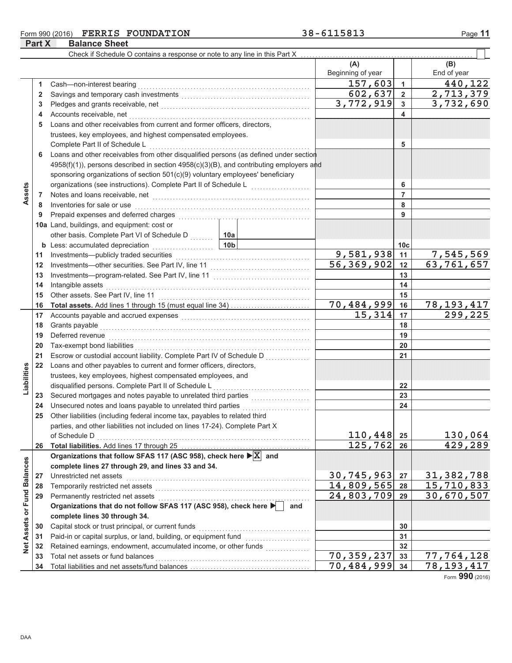### Form 990 (2016) FERRIS FOUNDATION **Part X**

**Balance Sheet** 

|                             |          | Check if Schedule O contains a response or note to any line in this Part X                                                                                                                                                          |                           |                            |                 |                           |
|-----------------------------|----------|-------------------------------------------------------------------------------------------------------------------------------------------------------------------------------------------------------------------------------------|---------------------------|----------------------------|-----------------|---------------------------|
|                             |          |                                                                                                                                                                                                                                     |                           | (A)                        |                 | (B)                       |
|                             |          |                                                                                                                                                                                                                                     |                           | Beginning of year          |                 | End of year               |
|                             | 1        | Cash-non-interest bearing                                                                                                                                                                                                           |                           | $\overline{1}57,603$       | $\mathbf{1}$    | 440,122                   |
|                             | 2        |                                                                                                                                                                                                                                     |                           | 602,637                    | $\overline{2}$  | 2,713,379                 |
|                             | 3        |                                                                                                                                                                                                                                     |                           | $\overline{3,772,919}$     | 3               | $\overline{3}$ , 732, 690 |
|                             | 4        | Accounts receivable, net                                                                                                                                                                                                            |                           |                            | 4               |                           |
|                             | 5        | Loans and other receivables from current and former officers, directors,                                                                                                                                                            |                           |                            |                 |                           |
|                             |          | trustees, key employees, and highest compensated employees.                                                                                                                                                                         |                           |                            |                 |                           |
|                             |          | Complete Part II of Schedule L                                                                                                                                                                                                      |                           |                            | 5               |                           |
|                             | 6        | Loans and other receivables from other disqualified persons (as defined under section                                                                                                                                               |                           |                            |                 |                           |
|                             |          | 4958(f)(1)), persons described in section 4958(c)(3)(B), and contributing employers and                                                                                                                                             |                           |                            |                 |                           |
|                             |          | sponsoring organizations of section 501(c)(9) voluntary employees' beneficiary                                                                                                                                                      |                           |                            |                 |                           |
|                             |          |                                                                                                                                                                                                                                     |                           | 6                          |                 |                           |
| Assets                      | 7        | Notes and loans receivable, net <b>construction</b> and construction of the set of the set of the set of the set of the set of the set of the set of the set of the set of the set of the set of the set of the set of the set of t |                           |                            | 7               |                           |
|                             | 8        | Inventories for sale or use                                                                                                                                                                                                         |                           | 8                          |                 |                           |
|                             | 9        | Prepaid expenses and deferred charges                                                                                                                                                                                               |                           |                            | 9               |                           |
|                             |          | 10a Land, buildings, and equipment: cost or                                                                                                                                                                                         |                           |                            |                 |                           |
|                             |          | other basis. Complete Part VI of Schedule D                                                                                                                                                                                         | 10a                       |                            |                 |                           |
|                             |          | <b>b</b> Less: accumulated depreciation<br>. 1                                                                                                                                                                                      | 10 <sub>b</sub>           |                            | 10 <sub>c</sub> |                           |
|                             | 11       | Investments-publicly traded securities                                                                                                                                                                                              | 9,581,938                 | 11                         | 7,545,569       |                           |
|                             | 12       |                                                                                                                                                                                                                                     | $\overline{56, 369, 902}$ | 12                         | 63,761,657      |                           |
|                             | 13       |                                                                                                                                                                                                                                     |                           | 13                         |                 |                           |
|                             | 14       | Intangible assets                                                                                                                                                                                                                   |                           | 14                         |                 |                           |
|                             | 15       |                                                                                                                                                                                                                                     |                           | 15                         |                 |                           |
|                             | 16       |                                                                                                                                                                                                                                     |                           | 70,484,999                 | 16              | 78, 193, 417              |
|                             | 17       |                                                                                                                                                                                                                                     |                           | 15,314                     | 17              | 299,225                   |
|                             | 18       | Grants payable                                                                                                                                                                                                                      |                           | 18                         |                 |                           |
|                             | 19<br>20 | Deferred revenue<br>Tax-exempt bond liabilities                                                                                                                                                                                     |                           |                            | 19              |                           |
|                             | 21       | Escrow or custodial account liability. Complete Part IV of Schedule D                                                                                                                                                               |                           |                            | 20<br>21        |                           |
|                             | 22       | Loans and other payables to current and former officers, directors,                                                                                                                                                                 |                           |                            |                 |                           |
| Liabilities                 |          | trustees, key employees, highest compensated employees, and                                                                                                                                                                         |                           |                            |                 |                           |
|                             |          | disqualified persons. Complete Part II of Schedule L                                                                                                                                                                                |                           |                            | 22              |                           |
|                             | 23       | Secured mortgages and notes payable to unrelated third parties                                                                                                                                                                      |                           |                            | 23              |                           |
|                             | 24       | Unsecured notes and loans payable to unrelated third parties                                                                                                                                                                        |                           |                            | 24              |                           |
|                             | 25       | Other liabilities (including federal income tax, payables to related third                                                                                                                                                          |                           |                            |                 |                           |
|                             |          | parties, and other liabilities not included on lines 17-24). Complete Part X                                                                                                                                                        |                           |                            |                 |                           |
|                             |          | of Schedule D                                                                                                                                                                                                                       |                           | 110,448                    | 25              | 130,064                   |
|                             | 26       |                                                                                                                                                                                                                                     |                           | 125,762                    | 26              | 429,289                   |
|                             |          | Organizations that follow SFAS 117 (ASC 958), check here $\triangleright$ $X$ and                                                                                                                                                   |                           |                            |                 |                           |
|                             |          | complete lines 27 through 29, and lines 33 and 34.                                                                                                                                                                                  |                           |                            |                 |                           |
|                             | 27       | Unrestricted net assets                                                                                                                                                                                                             |                           | 30,745,963                 | 27              | 31, 382, 788              |
|                             | 28       |                                                                                                                                                                                                                                     |                           | 14,809,565                 | 28              | 15,710,833                |
|                             | 29       | Permanently restricted net assets                                                                                                                                                                                                   |                           | $\overline{24}$ , 803, 709 | 29              | 30,670,507                |
|                             |          | Organizations that do not follow SFAS 117 (ASC 958), check here                                                                                                                                                                     | and                       |                            |                 |                           |
| Net Assets or Fund Balances |          | complete lines 30 through 34.                                                                                                                                                                                                       |                           |                            |                 |                           |
|                             | 30       | Capital stock or trust principal, or current funds                                                                                                                                                                                  |                           |                            | 30              |                           |
|                             | 31       | Paid-in or capital surplus, or land, building, or equipment fund                                                                                                                                                                    |                           |                            | 31              |                           |
|                             | 32       |                                                                                                                                                                                                                                     |                           | $\overline{70}$ , 359, 237 | 32              | 77,764,128                |
|                             | 33<br>34 | Total net assets or fund balances                                                                                                                                                                                                   |                           | 70,484,999                 | 33<br>34        | 78,193,417                |
|                             |          |                                                                                                                                                                                                                                     |                           |                            |                 |                           |

Form 990 (2016)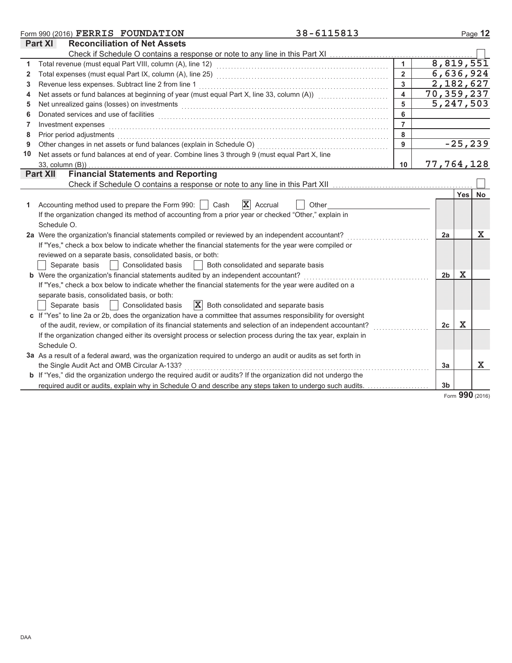|              | 38-6115813<br>Form 990 (2016) FERRIS FOUNDATION                                                                                                                                                                                |                         |                |             | Page 12     |
|--------------|--------------------------------------------------------------------------------------------------------------------------------------------------------------------------------------------------------------------------------|-------------------------|----------------|-------------|-------------|
|              | <b>Reconciliation of Net Assets</b><br><b>Part XI</b>                                                                                                                                                                          |                         |                |             |             |
|              |                                                                                                                                                                                                                                |                         |                |             |             |
| 1            |                                                                                                                                                                                                                                | $\blacktriangleleft$    |                |             | 8,819,551   |
| $\mathbf{2}$ |                                                                                                                                                                                                                                | $\overline{2}$          |                |             | 6,636,924   |
| 3            | Revenue less expenses. Subtract line 2 from line 1                                                                                                                                                                             | $\mathbf{3}$            |                |             | 2,182,627   |
| 4            | Net assets or fund balances at beginning of year (must equal Part X, line 33, column (A)) [[[[[[[[[[[[[[[[[[[                                                                                                                  | $\overline{\mathbf{4}}$ |                |             | 70,359,237  |
| 5            | Net unrealized gains (losses) on investments [1] production contracts and all the set of the set of the set of the set of the set of the set of the set of the set of the set of the set of the set of the set of the set of t | 5                       |                |             | 5, 247, 503 |
| 6            | Donated services and use of facilities <b>constructs</b> and the service of the service of the services and use of facilities                                                                                                  | 6                       |                |             |             |
| 7            | Investment expenses                                                                                                                                                                                                            | $\overline{7}$          |                |             |             |
| 8            | Prior period adjustments                                                                                                                                                                                                       | 8                       |                |             |             |
| 9            | Other changes in net assets or fund balances (explain in Schedule O)                                                                                                                                                           | 9                       |                |             | $-25, 239$  |
| 10           | Net assets or fund balances at end of year. Combine lines 3 through 9 (must equal Part X, line                                                                                                                                 |                         |                |             |             |
|              | 33, column (B))                                                                                                                                                                                                                | 10                      |                |             | 77,764,128  |
|              | <b>Financial Statements and Reporting</b><br><b>Part XII</b>                                                                                                                                                                   |                         |                |             |             |
|              |                                                                                                                                                                                                                                |                         |                |             |             |
|              |                                                                                                                                                                                                                                |                         |                | Yes         | No          |
| 1.           | $\mathbf{X}$ Accrual<br>Accounting method used to prepare the Form 990:     Cash<br>Other                                                                                                                                      |                         |                |             |             |
|              | If the organization changed its method of accounting from a prior year or checked "Other," explain in                                                                                                                          |                         |                |             |             |
|              | Schedule O.                                                                                                                                                                                                                    |                         |                |             |             |
|              | 2a Were the organization's financial statements compiled or reviewed by an independent accountant?                                                                                                                             |                         | 2a             |             | х           |
|              | If "Yes," check a box below to indicate whether the financial statements for the year were compiled or                                                                                                                         |                         |                |             |             |
|              | reviewed on a separate basis, consolidated basis, or both:                                                                                                                                                                     |                         |                |             |             |
|              | Separate basis<br>Consolidated basis<br>Both consolidated and separate basis                                                                                                                                                   |                         |                |             |             |
|              | <b>b</b> Were the organization's financial statements audited by an independent accountant?                                                                                                                                    |                         | 2b             | х           |             |
|              | If "Yes," check a box below to indicate whether the financial statements for the year were audited on a                                                                                                                        |                         |                |             |             |
|              | separate basis, consolidated basis, or both:                                                                                                                                                                                   |                         |                |             |             |
|              | $ \mathbf{X} $ Both consolidated and separate basis<br>Separate basis<br>Consolidated basis                                                                                                                                    |                         |                |             |             |
|              | c If "Yes" to line 2a or 2b, does the organization have a committee that assumes responsibility for oversight                                                                                                                  |                         |                |             |             |
|              | of the audit, review, or compilation of its financial statements and selection of an independent accountant?                                                                                                                   |                         | 2c             | $\mathbf X$ |             |
|              | If the organization changed either its oversight process or selection process during the tax year, explain in                                                                                                                  |                         |                |             |             |
|              | Schedule O.                                                                                                                                                                                                                    |                         |                |             |             |
|              | 3a As a result of a federal award, was the organization required to undergo an audit or audits as set forth in                                                                                                                 |                         |                |             |             |
|              | the Single Audit Act and OMB Circular A-133?                                                                                                                                                                                   |                         | 3a             |             | $\mathbf x$ |
|              | <b>b</b> If "Yes," did the organization undergo the required audit or audits? If the organization did not undergo the                                                                                                          |                         |                |             |             |
|              | required audit or audits, explain why in Schedule O and describe any steps taken to undergo such audits.                                                                                                                       |                         | 3 <sub>b</sub> |             |             |

Form 990 (2016)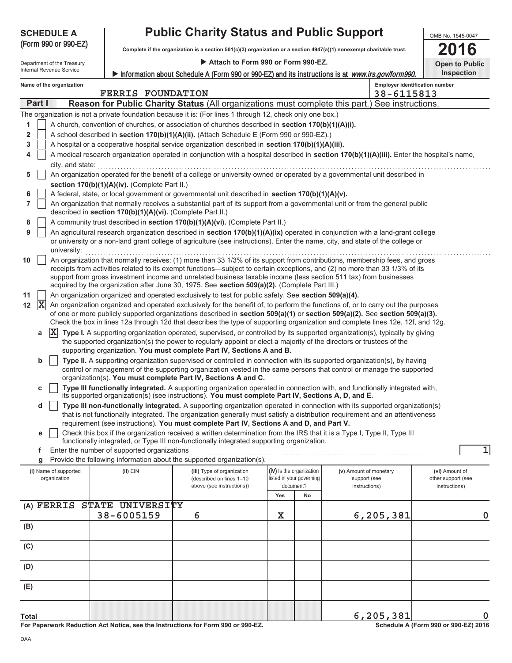| <b>SCHEDULE A</b>          |                                                                                                                                                                                                                                          | <b>Public Charity Status and Public Support</b>                                                                                                                                               |                                       |    |                                                                                                                                            |                       |  |  |  |  |
|----------------------------|------------------------------------------------------------------------------------------------------------------------------------------------------------------------------------------------------------------------------------------|-----------------------------------------------------------------------------------------------------------------------------------------------------------------------------------------------|---------------------------------------|----|--------------------------------------------------------------------------------------------------------------------------------------------|-----------------------|--|--|--|--|
| (Form 990 or 990-EZ)       |                                                                                                                                                                                                                                          | Complete if the organization is a section 501(c)(3) organization or a section 4947(a)(1) nonexempt charitable trust.                                                                          |                                       |    |                                                                                                                                            | 16                    |  |  |  |  |
| Department of the Treasury |                                                                                                                                                                                                                                          | Attach to Form 990 or Form 990-EZ.                                                                                                                                                            |                                       |    |                                                                                                                                            | <b>Open to Public</b> |  |  |  |  |
| Internal Revenue Service   |                                                                                                                                                                                                                                          |                                                                                                                                                                                               |                                       |    | Information about Schedule A (Form 990 or 990-EZ) and its instructions is at www.irs.gov/form990.                                          | Inspection            |  |  |  |  |
| Name of the organization   | <b>FERRIS FOUNDATION</b>                                                                                                                                                                                                                 |                                                                                                                                                                                               |                                       |    | <b>Employer identification number</b><br>38-6115813                                                                                        |                       |  |  |  |  |
| Part I                     |                                                                                                                                                                                                                                          |                                                                                                                                                                                               |                                       |    | <b>Reason for Public Charity Status (All organizations must complete this part.) See instructions.</b>                                     |                       |  |  |  |  |
|                            |                                                                                                                                                                                                                                          | The organization is not a private foundation because it is: (For lines 1 through 12, check only one box.)                                                                                     |                                       |    |                                                                                                                                            |                       |  |  |  |  |
| 1                          |                                                                                                                                                                                                                                          | A church, convention of churches, or association of churches described in section 170(b)(1)(A)(i).                                                                                            |                                       |    |                                                                                                                                            |                       |  |  |  |  |
| 2                          |                                                                                                                                                                                                                                          | A school described in section 170(b)(1)(A)(ii). (Attach Schedule E (Form 990 or 990-EZ).)                                                                                                     |                                       |    |                                                                                                                                            |                       |  |  |  |  |
| 3<br>4                     |                                                                                                                                                                                                                                          | A hospital or a cooperative hospital service organization described in section 170(b)(1)(A)(iii).                                                                                             |                                       |    | A medical research organization operated in conjunction with a hospital described in section 170(b)(1)(A)(iii). Enter the hospital's name, |                       |  |  |  |  |
| city, and state:           |                                                                                                                                                                                                                                          |                                                                                                                                                                                               |                                       |    |                                                                                                                                            |                       |  |  |  |  |
| 5                          |                                                                                                                                                                                                                                          |                                                                                                                                                                                               |                                       |    | An organization operated for the benefit of a college or university owned or operated by a governmental unit described in                  |                       |  |  |  |  |
|                            | section 170(b)(1)(A)(iv). (Complete Part II.)                                                                                                                                                                                            |                                                                                                                                                                                               |                                       |    |                                                                                                                                            |                       |  |  |  |  |
| 6                          |                                                                                                                                                                                                                                          | A federal, state, or local government or governmental unit described in section 170(b)(1)(A)(v).                                                                                              |                                       |    |                                                                                                                                            |                       |  |  |  |  |
| $\overline{7}$             | described in section 170(b)(1)(A)(vi). (Complete Part II.)                                                                                                                                                                               |                                                                                                                                                                                               |                                       |    | An organization that normally receives a substantial part of its support from a governmental unit or from the general public               |                       |  |  |  |  |
| 8<br>9                     |                                                                                                                                                                                                                                          | A community trust described in section 170(b)(1)(A)(vi). (Complete Part II.)                                                                                                                  |                                       |    | An agricultural research organization described in section 170(b)(1)(A)(ix) operated in conjunction with a land-grant college              |                       |  |  |  |  |
| university:                |                                                                                                                                                                                                                                          |                                                                                                                                                                                               |                                       |    | or university or a non-land grant college of agriculture (see instructions). Enter the name, city, and state of the college or             |                       |  |  |  |  |
| 10                         |                                                                                                                                                                                                                                          |                                                                                                                                                                                               |                                       |    | An organization that normally receives: (1) more than 33 1/3% of its support from contributions, membership fees, and gross                |                       |  |  |  |  |
|                            |                                                                                                                                                                                                                                          | support from gross investment income and unrelated business taxable income (less section 511 tax) from businesses                                                                             |                                       |    | receipts from activities related to its exempt functions—subject to certain exceptions, and (2) no more than 33 1/3% of its                |                       |  |  |  |  |
|                            |                                                                                                                                                                                                                                          | acquired by the organization after June 30, 1975. See section 509(a)(2). (Complete Part III.)                                                                                                 |                                       |    |                                                                                                                                            |                       |  |  |  |  |
| 11                         | An organization organized and operated exclusively to test for public safety. See section 509(a)(4).<br>An organization organized and operated exclusively for the benefit of, to perform the functions of, or to carry out the purposes |                                                                                                                                                                                               |                                       |    |                                                                                                                                            |                       |  |  |  |  |
| $ \mathbf{X} $<br>12       |                                                                                                                                                                                                                                          |                                                                                                                                                                                               |                                       |    | of one or more publicly supported organizations described in section 509(a)(1) or section 509(a)(2). See section 509(a)(3).                |                       |  |  |  |  |
|                            |                                                                                                                                                                                                                                          |                                                                                                                                                                                               |                                       |    | Check the box in lines 12a through 12d that describes the type of supporting organization and complete lines 12e, 12f, and 12g.            |                       |  |  |  |  |
| $\mathbf{x}$<br>a          |                                                                                                                                                                                                                                          |                                                                                                                                                                                               |                                       |    | Type I. A supporting organization operated, supervised, or controlled by its supported organization(s), typically by giving                |                       |  |  |  |  |
|                            |                                                                                                                                                                                                                                          | the supported organization(s) the power to regularly appoint or elect a majority of the directors or trustees of the<br>supporting organization. You must complete Part IV, Sections A and B. |                                       |    |                                                                                                                                            |                       |  |  |  |  |
| b                          |                                                                                                                                                                                                                                          |                                                                                                                                                                                               |                                       |    | Type II. A supporting organization supervised or controlled in connection with its supported organization(s), by having                    |                       |  |  |  |  |
|                            |                                                                                                                                                                                                                                          |                                                                                                                                                                                               |                                       |    | control or management of the supporting organization vested in the same persons that control or manage the supported                       |                       |  |  |  |  |
| с                          |                                                                                                                                                                                                                                          | organization(s). You must complete Part IV, Sections A and C.                                                                                                                                 |                                       |    | Type III functionally integrated. A supporting organization operated in connection with, and functionally integrated with,                 |                       |  |  |  |  |
|                            |                                                                                                                                                                                                                                          | its supported organization(s) (see instructions). You must complete Part IV, Sections A, D, and E.                                                                                            |                                       |    |                                                                                                                                            |                       |  |  |  |  |
| d                          |                                                                                                                                                                                                                                          |                                                                                                                                                                                               |                                       |    | Type III non-functionally integrated. A supporting organization operated in connection with its supported organization(s)                  |                       |  |  |  |  |
|                            |                                                                                                                                                                                                                                          | requirement (see instructions). You must complete Part IV, Sections A and D, and Part V.                                                                                                      |                                       |    | that is not functionally integrated. The organization generally must satisfy a distribution requirement and an attentiveness               |                       |  |  |  |  |
| e                          |                                                                                                                                                                                                                                          | Check this box if the organization received a written determination from the IRS that it is a Type I, Type II, Type III                                                                       |                                       |    |                                                                                                                                            |                       |  |  |  |  |
|                            |                                                                                                                                                                                                                                          | functionally integrated, or Type III non-functionally integrated supporting organization.                                                                                                     |                                       |    |                                                                                                                                            |                       |  |  |  |  |
| f<br>g                     | Enter the number of supported organizations                                                                                                                                                                                              | Provide the following information about the supported organization(s).                                                                                                                        |                                       |    |                                                                                                                                            | 1                     |  |  |  |  |
| (i) Name of supported      | (ii) EIN                                                                                                                                                                                                                                 | (iii) Type of organization                                                                                                                                                                    | (iv) Is the organization              |    | (v) Amount of monetary                                                                                                                     | (vi) Amount of        |  |  |  |  |
| organization               |                                                                                                                                                                                                                                          | (described on lines 1-10                                                                                                                                                                      | listed in your governing<br>document? |    | support (see                                                                                                                               | other support (see    |  |  |  |  |
|                            |                                                                                                                                                                                                                                          | above (see instructions))                                                                                                                                                                     | Yes                                   | No | instructions)                                                                                                                              | instructions)         |  |  |  |  |
| (A) FERRIS                 | STATE UNIVERSITY                                                                                                                                                                                                                         |                                                                                                                                                                                               |                                       |    |                                                                                                                                            |                       |  |  |  |  |
|                            | 38-6005159                                                                                                                                                                                                                               | 6                                                                                                                                                                                             | X                                     |    | 6,205,381                                                                                                                                  | 0                     |  |  |  |  |
| (B)                        |                                                                                                                                                                                                                                          |                                                                                                                                                                                               |                                       |    |                                                                                                                                            |                       |  |  |  |  |
| (C)                        |                                                                                                                                                                                                                                          |                                                                                                                                                                                               |                                       |    |                                                                                                                                            |                       |  |  |  |  |
| (D)                        |                                                                                                                                                                                                                                          |                                                                                                                                                                                               |                                       |    |                                                                                                                                            |                       |  |  |  |  |
| (E)                        |                                                                                                                                                                                                                                          |                                                                                                                                                                                               |                                       |    |                                                                                                                                            |                       |  |  |  |  |
|                            |                                                                                                                                                                                                                                          |                                                                                                                                                                                               |                                       |    |                                                                                                                                            |                       |  |  |  |  |
|                            |                                                                                                                                                                                                                                          |                                                                                                                                                                                               |                                       |    |                                                                                                                                            |                       |  |  |  |  |
| Total                      |                                                                                                                                                                                                                                          |                                                                                                                                                                                               |                                       |    | 6,205,381                                                                                                                                  | 0.00E730046           |  |  |  |  |

For Paperwork Reduction Act Notice, see the Instructions for Form 990 or 990-EZ.

Schedule A (Form 990 or 990-EZ) 2016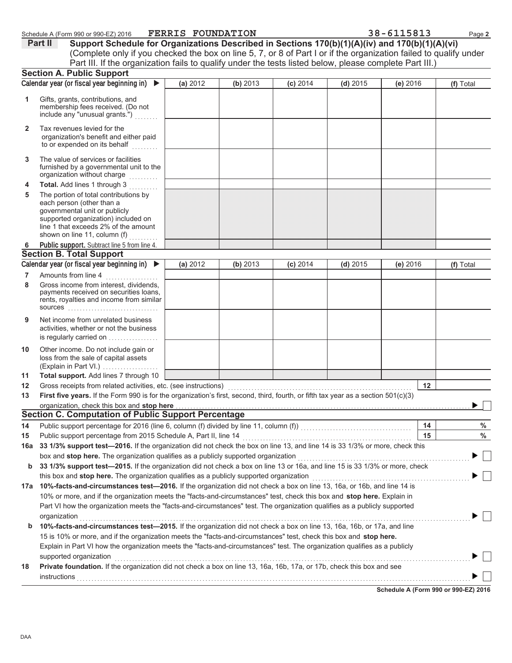| hedule A (Form 990 or 990-EZ) 2016: |  | <b>FERRIS FOUNDATI</b> |
|-------------------------------------|--|------------------------|
|-------------------------------------|--|------------------------|

|   | Schedule A (Form 990 or 990-EZ) 2016                                                                              | <b>FERRIS FOUNDATION</b> |          |            |            | 38-6115813 | Page 2    |
|---|-------------------------------------------------------------------------------------------------------------------|--------------------------|----------|------------|------------|------------|-----------|
|   | Support Schedule for Organizations Described in Sections 170(b)(1)(A)(iv) and 170(b)(1)(A)(vi)<br>Part II         |                          |          |            |            |            |           |
|   | (Complete only if you checked the box on line 5, 7, or 8 of Part I or if the organization failed to qualify under |                          |          |            |            |            |           |
|   | Part III. If the organization fails to qualify under the tests listed below, please complete Part III.)           |                          |          |            |            |            |           |
|   | <b>Section A. Public Support</b>                                                                                  |                          |          |            |            |            |           |
|   | Calendar year (or fiscal year beginning in) $\blacktriangleright$                                                 | (a) 2012                 | (b) 2013 | $(c)$ 2014 | $(d)$ 2015 | (e) 2016   | (f) Total |
|   | Gifts, grants, contributions, and<br>membership fees received. (Do not<br>include any "unusual grants.")          |                          |          |            |            |            |           |
|   | Tax revenues levied for the<br>organization's benefit and either paid<br>to or expended on its behalf             |                          |          |            |            |            |           |
| 3 | The value of services or facilities<br>furnished by a governmental unit to the<br>organization without charge     |                          |          |            |            |            |           |
|   | <b>Total.</b> Add lines 1 through 3                                                                               |                          |          |            |            |            |           |
|   | The portion of total contributions by                                                                             |                          |          |            |            |            |           |

|     | organization without charge                                                                                                                                                                                                                                                                                                                                                                                                                                                   |          |          |            |            |            |           |
|-----|-------------------------------------------------------------------------------------------------------------------------------------------------------------------------------------------------------------------------------------------------------------------------------------------------------------------------------------------------------------------------------------------------------------------------------------------------------------------------------|----------|----------|------------|------------|------------|-----------|
| 4   | Total. Add lines 1 through 3                                                                                                                                                                                                                                                                                                                                                                                                                                                  |          |          |            |            |            |           |
| 5   | The portion of total contributions by                                                                                                                                                                                                                                                                                                                                                                                                                                         |          |          |            |            |            |           |
|     | each person (other than a                                                                                                                                                                                                                                                                                                                                                                                                                                                     |          |          |            |            |            |           |
|     | governmental unit or publicly                                                                                                                                                                                                                                                                                                                                                                                                                                                 |          |          |            |            |            |           |
|     | supported organization) included on                                                                                                                                                                                                                                                                                                                                                                                                                                           |          |          |            |            |            |           |
|     | line 1 that exceeds 2% of the amount<br>shown on line 11, column (f)                                                                                                                                                                                                                                                                                                                                                                                                          |          |          |            |            |            |           |
|     |                                                                                                                                                                                                                                                                                                                                                                                                                                                                               |          |          |            |            |            |           |
| 6   | Public support. Subtract line 5 from line 4.<br><b>Section B. Total Support</b>                                                                                                                                                                                                                                                                                                                                                                                               |          |          |            |            |            |           |
|     |                                                                                                                                                                                                                                                                                                                                                                                                                                                                               |          |          |            |            |            |           |
|     | Calendar year (or fiscal year beginning in) $\blacktriangleright$                                                                                                                                                                                                                                                                                                                                                                                                             | (a) 2012 | (b) 2013 | $(c)$ 2014 | $(d)$ 2015 | $(e)$ 2016 | (f) Total |
| 7   | Amounts from line 4                                                                                                                                                                                                                                                                                                                                                                                                                                                           |          |          |            |            |            |           |
| 8   | Gross income from interest, dividends,                                                                                                                                                                                                                                                                                                                                                                                                                                        |          |          |            |            |            |           |
|     | payments received on securities loans,<br>rents, royalties and income from similar                                                                                                                                                                                                                                                                                                                                                                                            |          |          |            |            |            |           |
|     | <b>sources</b>                                                                                                                                                                                                                                                                                                                                                                                                                                                                |          |          |            |            |            |           |
| 9   | Net income from unrelated business                                                                                                                                                                                                                                                                                                                                                                                                                                            |          |          |            |            |            |           |
|     | activities, whether or not the business                                                                                                                                                                                                                                                                                                                                                                                                                                       |          |          |            |            |            |           |
|     | is regularly carried on                                                                                                                                                                                                                                                                                                                                                                                                                                                       |          |          |            |            |            |           |
| 10  | Other income. Do not include gain or                                                                                                                                                                                                                                                                                                                                                                                                                                          |          |          |            |            |            |           |
|     | loss from the sale of capital assets                                                                                                                                                                                                                                                                                                                                                                                                                                          |          |          |            |            |            |           |
|     | (Explain in Part VI.)                                                                                                                                                                                                                                                                                                                                                                                                                                                         |          |          |            |            |            |           |
| 11  | Total support. Add lines 7 through 10                                                                                                                                                                                                                                                                                                                                                                                                                                         |          |          |            |            |            |           |
| 12  | Gross receipts from related activities, etc. (see instructions)                                                                                                                                                                                                                                                                                                                                                                                                               |          |          |            |            | $12 \,$    |           |
| 13  | First five years. If the Form 990 is for the organization's first, second, third, fourth, or fifth tax year as a section 501(c)(3)                                                                                                                                                                                                                                                                                                                                            |          |          |            |            |            |           |
|     | organization, check this box and stop here                                                                                                                                                                                                                                                                                                                                                                                                                                    |          |          |            |            |            |           |
|     | <b>Section C. Computation of Public Support Percentage</b>                                                                                                                                                                                                                                                                                                                                                                                                                    |          |          |            |            |            |           |
| 14  |                                                                                                                                                                                                                                                                                                                                                                                                                                                                               |          |          |            |            | 14         | %         |
| 15  |                                                                                                                                                                                                                                                                                                                                                                                                                                                                               |          |          |            |            | 15         | $\%$      |
| 16a | 33 1/3% support test-2016. If the organization did not check the box on line 13, and line 14 is 33 1/3% or more, check this                                                                                                                                                                                                                                                                                                                                                   |          |          |            |            |            |           |
|     | box and stop here. The organization qualifies as a publicly supported organization [111] content to the content or the content of the state of the state of the state of the state of the state of the state of the state of t                                                                                                                                                                                                                                                |          |          |            |            |            |           |
| b   | 33 1/3% support test-2015. If the organization did not check a box on line 13 or 16a, and line 15 is 33 1/3% or more, check                                                                                                                                                                                                                                                                                                                                                   |          |          |            |            |            |           |
|     | this box and stop here. The organization qualifies as a publicly supported organization [111] the stream control or the organization [11] the stream of the stream of the stream of the stream of the stream of the stream of                                                                                                                                                                                                                                                 |          |          |            |            |            |           |
|     | 17a 10%-facts-and-circumstances test-2016. If the organization did not check a box on line 13, 16a, or 16b, and line 14 is                                                                                                                                                                                                                                                                                                                                                    |          |          |            |            |            |           |
|     | 10% or more, and if the organization meets the "facts-and-circumstances" test, check this box and stop here. Explain in                                                                                                                                                                                                                                                                                                                                                       |          |          |            |            |            |           |
|     | Part VI how the organization meets the "facts-and-circumstances" test. The organization qualifies as a publicly supported                                                                                                                                                                                                                                                                                                                                                     |          |          |            |            |            |           |
|     | organization with a construction of the construction of the construction of the construction of the construction of the construction of the construction of the construction of the construction of the construction of the co                                                                                                                                                                                                                                                |          |          |            |            |            |           |
| b   | 10%-facts-and-circumstances test-2015. If the organization did not check a box on line 13, 16a, 16b, or 17a, and line                                                                                                                                                                                                                                                                                                                                                         |          |          |            |            |            |           |
|     | 15 is 10% or more, and if the organization meets the "facts-and-circumstances" test, check this box and stop here.                                                                                                                                                                                                                                                                                                                                                            |          |          |            |            |            |           |
|     | Explain in Part VI how the organization meets the "facts-and-circumstances" test. The organization qualifies as a publicly                                                                                                                                                                                                                                                                                                                                                    |          |          |            |            |            |           |
|     | supported organization                                                                                                                                                                                                                                                                                                                                                                                                                                                        |          |          |            |            |            |           |
|     | Private foundation. If the organization did not check a box on line 13, 16a, 16b, 17a, or 17b, check this box and see                                                                                                                                                                                                                                                                                                                                                         |          |          |            |            |            |           |
| 18  |                                                                                                                                                                                                                                                                                                                                                                                                                                                                               |          |          |            |            |            |           |
|     | $\blacksquare \textsf{instructions} \texttt{1} \texttt{instructions} \texttt{1} \texttt{in} \texttt{in} \texttt{in} \texttt{in} \texttt{in} \texttt{in} \texttt{in} \texttt{in} \texttt{in} \texttt{in} \texttt{in} \texttt{in} \texttt{in} \texttt{in} \texttt{in} \texttt{in} \texttt{in} \texttt{in} \texttt{in} \texttt{in} \texttt{in} \texttt{in} \texttt{in} \texttt{in} \texttt{in} \texttt{in} \texttt{in} \texttt{in} \texttt{in} \texttt{in} \texttt{in} \texttt{$ |          |          |            |            |            |           |

Schedule A (Form 990 or 990-EZ) 2016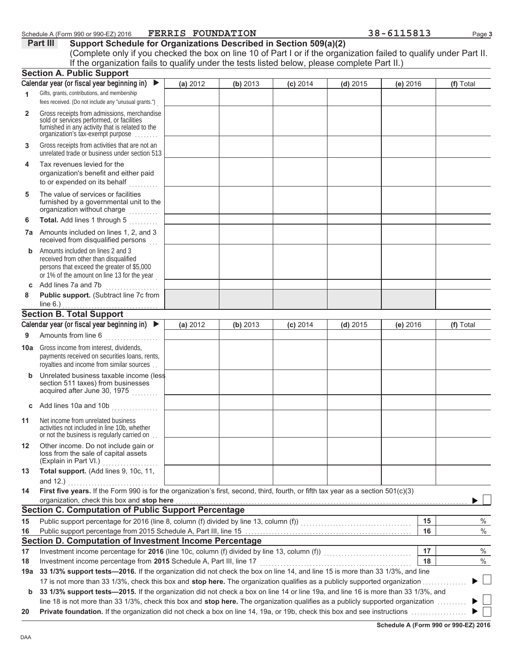|              | Schedule A (Form 990 or 990-EZ) 2016                                                                                                                                                                                                                            | <b>FERRIS FOUNDATION</b> |          |            |            | 38-6115813 | Page 3    |
|--------------|-----------------------------------------------------------------------------------------------------------------------------------------------------------------------------------------------------------------------------------------------------------------|--------------------------|----------|------------|------------|------------|-----------|
|              | Support Schedule for Organizations Described in Section 509(a)(2)<br>Part III                                                                                                                                                                                   |                          |          |            |            |            |           |
|              | (Complete only if you checked the box on line 10 of Part I or if the organization failed to qualify under Part II.                                                                                                                                              |                          |          |            |            |            |           |
|              | If the organization fails to qualify under the tests listed below, please complete Part II.)                                                                                                                                                                    |                          |          |            |            |            |           |
|              | <b>Section A. Public Support</b>                                                                                                                                                                                                                                |                          |          |            |            |            |           |
|              | Calendar year (or fiscal year beginning in)                                                                                                                                                                                                                     | (a) 2012                 | (b) 2013 | $(c)$ 2014 | $(d)$ 2015 | (e) 2016   | (f) Total |
| 1            | Gifts, grants, contributions, and membership<br>fees received. (Do not include any "unusual grants.")                                                                                                                                                           |                          |          |            |            |            |           |
| $\mathbf{2}$ | Gross receipts from admissions, merchandise<br>sold or services performed, or facilities<br>furnished in any activity that is related to the<br>organization's tax-exempt purpose                                                                               |                          |          |            |            |            |           |
| 3            | Gross receipts from activities that are not an<br>unrelated trade or business under section 513                                                                                                                                                                 |                          |          |            |            |            |           |
| 4            | Tax revenues levied for the<br>organization's benefit and either paid<br>to or expended on its behalf                                                                                                                                                           |                          |          |            |            |            |           |
| 5            | The value of services or facilities<br>furnished by a governmental unit to the<br>organization without charge<br>in Saadaal                                                                                                                                     |                          |          |            |            |            |           |
| 6            | Total. Add lines 1 through 5                                                                                                                                                                                                                                    |                          |          |            |            |            |           |
|              | <b>7a</b> Amounts included on lines 1, 2, and 3<br>received from disqualified persons                                                                                                                                                                           |                          |          |            |            |            |           |
| b            | Amounts included on lines 2 and 3<br>received from other than disqualified<br>persons that exceed the greater of \$5,000<br>or 1% of the amount on line 13 for the year                                                                                         |                          |          |            |            |            |           |
| C            | Add lines 7a and 7b<br>.                                                                                                                                                                                                                                        |                          |          |            |            |            |           |
| 8            | Public support. (Subtract line 7c from<br>line $6.$ )                                                                                                                                                                                                           |                          |          |            |            |            |           |
|              | <b>Section B. Total Support</b>                                                                                                                                                                                                                                 |                          |          |            |            |            |           |
|              | Calendar year (or fiscal year beginning in) ▶                                                                                                                                                                                                                   | (a) 2012                 |          |            |            |            | (f) Total |
| 9            | Amounts from line 6                                                                                                                                                                                                                                             |                          | (b) 2013 | $(c)$ 2014 | $(d)$ 2015 | (e) 2016   |           |
| 10a          | Gross income from interest, dividends,<br>payments received on securities loans, rents,<br>royalties and income from similar sources                                                                                                                            |                          |          |            |            |            |           |
|              | <b>b</b> Unrelated business taxable income (less<br>section 511 taxes) from businesses<br>acquired after June 30, 1975                                                                                                                                          |                          |          |            |            |            |           |
|              |                                                                                                                                                                                                                                                                 |                          |          |            |            |            |           |
| c            |                                                                                                                                                                                                                                                                 |                          |          |            |            |            |           |
| 11           | Net income from unrelated business<br>activities not included in line 10b, whether<br>or not the business is regularly carried on.                                                                                                                              |                          |          |            |            |            |           |
| 12           | Other income. Do not include gain or<br>loss from the sale of capital assets<br>(Explain in Part VI.)<br>.                                                                                                                                                      |                          |          |            |            |            |           |
| 13           | Total support. (Add lines 9, 10c, 11,                                                                                                                                                                                                                           |                          |          |            |            |            |           |
|              | and 12.)                                                                                                                                                                                                                                                        |                          |          |            |            |            |           |
| 14           | First five years. If the Form 990 is for the organization's first, second, third, fourth, or fifth tax year as a section 501(c)(3)<br>organization, check this box and stop here                                                                                |                          |          |            |            |            |           |
|              | <b>Section C. Computation of Public Support Percentage</b>                                                                                                                                                                                                      |                          |          |            |            |            |           |
| 15           |                                                                                                                                                                                                                                                                 |                          |          |            |            | 15         | %         |
| 16           | Public support percentage from 2015 Schedule A, Part III, line 15 [2010] [2010] [2010] [2010] [2010] [2010] [2010] [2010] [2010] [2010] [2010] [2010] [2010] [2010] [2010] [2010] [2010] [2010] [2010] [2010] [2010] [2010] [2                                  |                          |          |            |            | 16         | $\%$      |
|              | Section D. Computation of Investment Income Percentage                                                                                                                                                                                                          |                          |          |            |            |            |           |
| 17           | Investment income percentage for 2016 (line 10c, column (f) divided by line 13, column (f))<br>Investment income percentage for 2016 (line 10c, column (f) divided by line 13, column (f))                                                                      |                          |          |            |            | 17         | $\%$      |
| 18           | Investment income percentage from 2015 Schedule A, Part III, line 17                                                                                                                                                                                            |                          |          |            |            | 18         | %         |
| 19a          | 33 1/3% support tests-2016. If the organization did not check the box on line 14, and line 15 is more than 33 1/3%, and line                                                                                                                                    |                          |          |            |            |            |           |
| $\mathbf b$  | 17 is not more than 33 1/3%, check this box and stop here. The organization qualifies as a publicly supported organization<br>33 1/3% support tests-2015. If the organization did not check a box on line 14 or line 19a, and line 16 is more than 33 1/3%, and |                          |          |            |            |            |           |

line 18 is not more than 33 1/3%, check this box and stop here. The organization qualifies as a publicly supported organization .........

 **3ULYDWHIRXQGDWLRQ**,IWKHRUJDQL]DWLRQGLGQRWFKHFNDER[RQOLQHDRUEFKHFNWKLVER[DQGVHHLQVWUXFWLRQV

**Schedule A (Form 990 or 990-EZ) 2016** 

 $\Box$  $\blacktriangleright$  $\blacktriangleright$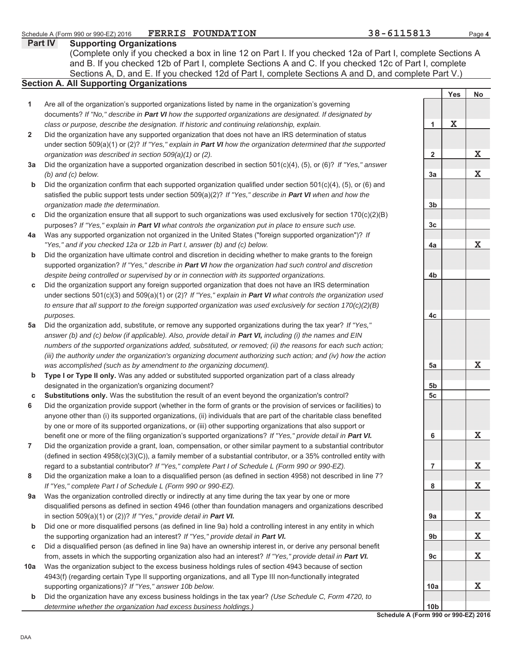DAA

 $\blacktriangleleft$ 

 $\overline{2}$ 

**E**

**F**

**E**

**E** 

**F** 6

 $\overline{7}$ 

8

**9a** 

**E**

**F**

 $10a$ 

**E**

Schedule A (Form 990 or 990-EZ) 2016

10<sub>b</sub>

Yes | No

**X**

**X**

**X**

**X**

**X**

**X**

**X**

**X**

**X**

**X**

**X**

**X**

 $\mathbf{1}$ 

 $\overline{\mathbf{2}}$ 

3a

**E**

3c

**D**

**E**

**F**

5a

**E F**

6

 $\overline{7}$ 

8

9a

**9b** 

9<sub>c</sub>

**10a** 

### **Part IV Supporting Organizations** Sections A, D, and E. If you checked 12d of Part I, complete Sections A and D, and complete Part V.) **Section A. All Supporting Organizations** (Complete only if you checked a box in line 12 on Part I. If you checked 12a of Part I, complete Sections A and B. If you checked 12b of Part I, complete Sections A and C. If you checked 12c of Part I, complete Are all of the organization's supported organizations listed by name in the organization's governing documents? If "No," describe in **Part VI** how the supported organizations are designated. If designated by *class or purpose, describe the designation. If historic and continuing relationship, explain.* Did the organization have any supported organization that does not have an IRS determination of status under section 509(a)(1) or (2)? If "Yes," explain in **Part VI** how the organization determined that the supported *organization was described in section 509(a)(1) or (2).* **3a** Did the organization have a supported organization described in section 501(c)(4), (5), or (6)? If "Yes," answer 4a Was any supported organization not organized in the United States ("foreign supported organization")? If **c** Did the organization support any foreign supported organization that does not have an IRS determination **5a** Did the organization add, substitute, or remove any supported organizations during the tax year? If "Yes,' *(b) and (c) below.* Did the organization confirm that each supported organization qualified under section  $501(c)(4)$ , (5), or (6) and satisfied the public support tests under section 509(a)(2)? If "Yes," describe in **Part VI** when and how the *organization made the determination.* Did the organization ensure that all support to such organizations was used exclusively for section  $170(c)(2)(B)$ purposes? If "Yes," explain in **Part VI** what controls the organization put in place to ensure such use. *"Yes," and if you checked 12a or 12b in Part I, answer (b) and (c) below.* Did the organization have ultimate control and discretion in deciding whether to make grants to the foreign supported organization? If "Yes," describe in **Part VI** how the organization had such control and discretion *despite being controlled or supervised by or in connection with its supported organizations.* under sections 501(c)(3) and 509(a)(1) or (2)? If "Yes," explain in **Part VI** what controls the organization used *to ensure that all support to the foreign supported organization was used exclusively for section 170(c)(2)(B) purposes.* answer (b) and (c) below (if applicable). Also, provide detail in **Part VI**, *including (i)* the names and EIN *numbers of the supported organizations added, substituted, or removed; (ii) the reasons for each such action; (iii) the authority under the organization's organizing document authorizing such action; and (iv) how the action was accomplished (such as by amendment to the organizing document).* **Type I or Type II only.** Was any added or substituted supported organization part of a class already designated in the organization's organizing document? **Substitutions only.** Was the substitution the result of an event beyond the organization's control? Did the organization provide support (whether in the form of grants or the provision of services or facilities) to anyone other than (i) its supported organizations, (ii) individuals that are part of the charitable class benefited by one or more of its supported organizations, or (iii) other supporting organizations that also support or benefit one or more of the filing organization's supported organizations? If "Yes," provide detail in **Part VI.** Did the organization provide a grant, loan, compensation, or other similar payment to a substantial contributor  $\Delta$  (defined in section 4958 $\left(c\right)(3)(C)$ ), a family member of a substantial contributor, or a 35% controlled entity with regard to a substantial contributor? If "Yes," complete Part I of Schedule L (Form 990 or 990-EZ). Did the organization make a loan to a disqualified person (as defined in section 4958) not described in line 7? *If "Yes," complete Part I of Schedule L (Form 990 or 990-EZ).* Was the organization controlled directly or indirectly at any time during the tax year by one or more disqualified persons as defined in section 4946 (other than foundation managers and organizations described in section 509(a)(1) or (2))? If "Yes," provide detail in **Part VI.** Did one or more disqualified persons (as defined in line 9a) hold a controlling interest in any entity in which the supporting organization had an interest? If "Yes," provide detail in **Part VI.** Did a disqualified person (as defined in line 9a) have an ownership interest in, or derive any personal benefit from, assets in which the supporting organization also had an interest? If "Yes," provide detail in **Part VI.** Was the organization subject to the excess business holdings rules of section 4943 because of section 4943(f) (regarding certain Type II supporting organizations, and all Type III non-functionally integrated supporting organizations)? If "Yes," answer 10b below. Did the organization have any excess business holdings in the tax year? (Use Schedule C, Form 4720, to *determine whether the organization had excess business holdings.)*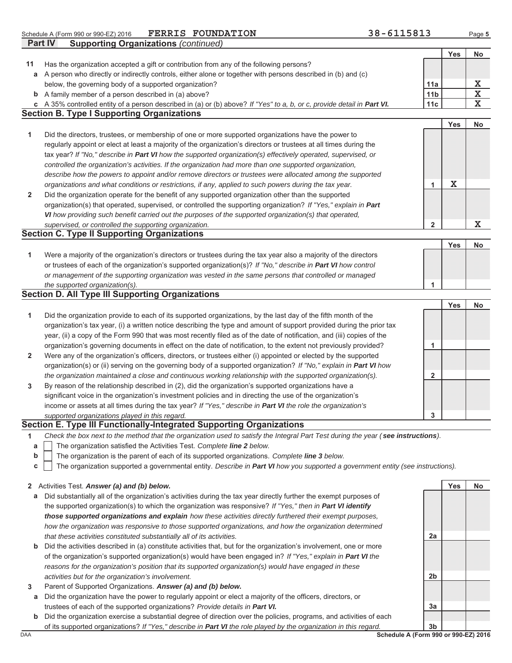|             | <b>FERRIS FOUNDATION</b><br>Schedule A (Form 990 or 990-EZ) 2016                                                                  | 38-6115813      |             | Page 5                  |
|-------------|-----------------------------------------------------------------------------------------------------------------------------------|-----------------|-------------|-------------------------|
|             | Part IV<br><b>Supporting Organizations (continued)</b>                                                                            |                 |             |                         |
|             |                                                                                                                                   |                 | <b>Yes</b>  | No                      |
| 11          | Has the organization accepted a gift or contribution from any of the following persons?                                           |                 |             |                         |
|             | a A person who directly or indirectly controls, either alone or together with persons described in (b) and (c)                    |                 |             |                         |
|             | below, the governing body of a supported organization?                                                                            | 11a             |             | х                       |
| $\mathbf b$ | A family member of a person described in (a) above?                                                                               | 11 <sub>b</sub> |             | $\overline{\textbf{X}}$ |
|             | c A 35% controlled entity of a person described in (a) or (b) above? If "Yes" to a, b, or c, provide detail in Part VI.           | 11c             |             | $\overline{\mathbf{x}}$ |
|             | <b>Section B. Type I Supporting Organizations</b>                                                                                 |                 |             |                         |
|             |                                                                                                                                   |                 | <b>Yes</b>  | No                      |
| 1           | Did the directors, trustees, or membership of one or more supported organizations have the power to                               |                 |             |                         |
|             | regularly appoint or elect at least a majority of the organization's directors or trustees at all times during the                |                 |             |                         |
|             | tax year? If "No," describe in Part VI how the supported organization(s) effectively operated, supervised, or                     |                 |             |                         |
|             | controlled the organization's activities. If the organization had more than one supported organization,                           |                 |             |                         |
|             | describe how the powers to appoint and/or remove directors or trustees were allocated among the supported                         |                 |             |                         |
|             | organizations and what conditions or restrictions, if any, applied to such powers during the tax year.                            | 1               | $\mathbf X$ |                         |
| 2           | Did the organization operate for the benefit of any supported organization other than the supported                               |                 |             |                         |
|             | organization(s) that operated, supervised, or controlled the supporting organization? If "Yes," explain in Part                   |                 |             |                         |
|             | VI how providing such benefit carried out the purposes of the supported organization(s) that operated,                            |                 |             |                         |
|             | supervised, or controlled the supporting organization.                                                                            | $\overline{2}$  |             | $\mathbf X$             |
|             | <b>Section C. Type II Supporting Organizations</b>                                                                                |                 |             |                         |
|             |                                                                                                                                   |                 | <b>Yes</b>  | <b>No</b>               |
| 1           | Were a majority of the organization's directors or trustees during the tax year also a majority of the directors                  |                 |             |                         |
|             | or trustees of each of the organization's supported organization(s)? If "No," describe in Part VI how control                     |                 |             |                         |
|             | or management of the supporting organization was vested in the same persons that controlled or managed                            |                 |             |                         |
|             | the supported organization(s).                                                                                                    | 1               |             |                         |
|             | <b>Section D. All Type III Supporting Organizations</b>                                                                           |                 |             |                         |
|             |                                                                                                                                   |                 | <b>Yes</b>  | No                      |
| 1           | Did the organization provide to each of its supported organizations, by the last day of the fifth month of the                    |                 |             |                         |
|             | organization's tax year, (i) a written notice describing the type and amount of support provided during the prior tax             |                 |             |                         |
|             | year, (ii) a copy of the Form 990 that was most recently filed as of the date of notification, and (iii) copies of the            |                 |             |                         |
|             | organization's governing documents in effect on the date of notification, to the extent not previously provided?                  | 1               |             |                         |
| 2           | Were any of the organization's officers, directors, or trustees either (i) appointed or elected by the supported                  |                 |             |                         |
|             | organization(s) or (ii) serving on the governing body of a supported organization? If "No," explain in Part VI how                |                 |             |                         |
|             | the organization maintained a close and continuous working relationship with the supported organization(s).                       | $\mathbf{2}$    |             |                         |
| 3           | By reason of the relationship described in (2), did the organization's supported organizations have a                             |                 |             |                         |
|             | significant voice in the organization's investment policies and in directing the use of the organization's                        |                 |             |                         |
|             | income or assets at all times during the tax year? If "Yes," describe in Part VI the role the organization's                      |                 |             |                         |
|             | supported organizations played in this regard.                                                                                    | 3               |             |                         |
|             | Section E. Type III Functionally-Integrated Supporting Organizations                                                              |                 |             |                         |
| 1           | Check the box next to the method that the organization used to satisfy the Integral Part Test during the year (see instructions). |                 |             |                         |
| a           | The organization satisfied the Activities Test. Complete line 2 below.                                                            |                 |             |                         |
| b           | The organization is the parent of each of its supported organizations. Complete line 3 below.                                     |                 |             |                         |
| С           | The organization supported a governmental entity. Describe in Part VI how you supported a government entity (see instructions).   |                 |             |                         |

### **2** Activities Test. Answer (a) and (b) below.

- **a** Did substantially all of the organization's activities during the tax year directly further the exempt purposes of the supported organization(s) to which the organization was responsive? If "Yes," then in **Part VI identify** *those supported organizations and explain how these activities directly furthered their exempt purposes, how the organization was responsive to those supported organizations, and how the organization determined that these activities constituted substantially all of its activities.*
- **b** Did the activities described in (a) constitute activities that, but for the organization's involvement, one or more of the organization's supported organization(s) would have been engaged in? If "Yes," explain in Part VI the *reasons for the organization's position that its supported organization(s) would have engaged in these activities but for the organization's involvement.*
- 3 Parent of Supported Organizations. Answer (a) and (b) below.
- **a** Did the organization have the power to regularly appoint or elect a majority of the officers, directors, or trustees of each of the supported organizations? Provide details in Part VI.
- **E** Did the organization exercise a substantial degree of direction over the policies, programs, and activities of each of its supported organizations? If "Yes," describe in **Part VI** the role played by the organization in this regard.

<u>DAA Schedule A</u> (Form 990 or 990-EZ) 2016 **E**

2a

2**b** 

3a

Yes | No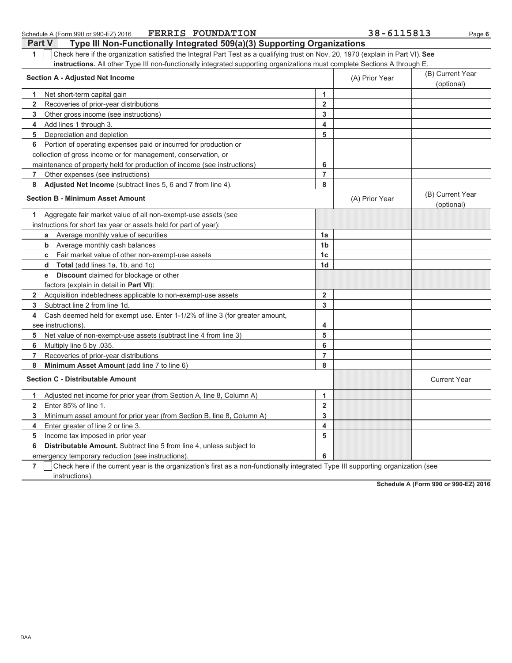| <b>FERRIS FOUNDATION</b><br>Schedule A (Form 990 or 990-EZ) 2016                                                                      |                         | 38-6115813     | Page 6                         |
|---------------------------------------------------------------------------------------------------------------------------------------|-------------------------|----------------|--------------------------------|
| Type III Non-Functionally Integrated 509(a)(3) Supporting Organizations<br><b>Part V</b>                                              |                         |                |                                |
| Check here if the organization satisfied the Integral Part Test as a qualifying trust on Nov. 20, 1970 (explain in Part VI). See<br>1 |                         |                |                                |
| instructions. All other Type III non-functionally integrated supporting organizations must complete Sections A through E.             |                         |                |                                |
| <b>Section A - Adjusted Net Income</b>                                                                                                |                         | (A) Prior Year | (B) Current Year<br>(optional) |
|                                                                                                                                       | $\mathbf{1}$            |                |                                |
| Net short-term capital gain<br>1.<br>$\overline{2}$                                                                                   | $\overline{2}$          |                |                                |
| Recoveries of prior-year distributions                                                                                                |                         |                |                                |
| 3<br>Other gross income (see instructions)                                                                                            | $\mathbf{3}$            |                |                                |
| 4<br>Add lines 1 through 3.                                                                                                           | $\overline{\mathbf{4}}$ |                |                                |
| 5<br>Depreciation and depletion                                                                                                       | 5                       |                |                                |
| Portion of operating expenses paid or incurred for production or<br>6                                                                 |                         |                |                                |
| collection of gross income or for management, conservation, or                                                                        |                         |                |                                |
| maintenance of property held for production of income (see instructions)                                                              | 6                       |                |                                |
| Other expenses (see instructions)<br>7                                                                                                | $\overline{7}$          |                |                                |
| 8<br>Adjusted Net Income (subtract lines 5, 6 and 7 from line 4).                                                                     | 8                       |                |                                |
| <b>Section B - Minimum Asset Amount</b>                                                                                               |                         | (A) Prior Year | (B) Current Year<br>(optional) |
| Aggregate fair market value of all non-exempt-use assets (see<br>1                                                                    |                         |                |                                |
| instructions for short tax year or assets held for part of year):                                                                     |                         |                |                                |
| Average monthly value of securities<br>a                                                                                              | 1a                      |                |                                |
| <b>b</b> Average monthly cash balances                                                                                                | 1 <sub>b</sub>          |                |                                |
| <b>c</b> Fair market value of other non-exempt-use assets                                                                             | 1 <sub>c</sub>          |                |                                |
| <b>d</b> Total (add lines 1a, 1b, and 1c)                                                                                             | 1 <sub>d</sub>          |                |                                |
| <b>e</b> Discount claimed for blockage or other                                                                                       |                         |                |                                |
| factors (explain in detail in Part VI):                                                                                               |                         |                |                                |
| Acquisition indebtedness applicable to non-exempt-use assets<br>$\mathbf{2}$                                                          | $\overline{2}$          |                |                                |
| Subtract line 2 from line 1d.<br>3                                                                                                    | 3                       |                |                                |
| Cash deemed held for exempt use. Enter 1-1/2% of line 3 (for greater amount,<br>4                                                     |                         |                |                                |
| see instructions)                                                                                                                     | 4                       |                |                                |
| Net value of non-exempt-use assets (subtract line 4 from line 3)<br>5                                                                 | 5                       |                |                                |
| 6<br>Multiply line 5 by .035.                                                                                                         | 6                       |                |                                |
| $\overline{7}$<br>Recoveries of prior-year distributions                                                                              | $\overline{7}$          |                |                                |
| 8<br>Minimum Asset Amount (add line 7 to line 6)                                                                                      | 8                       |                |                                |
| <b>Section C - Distributable Amount</b>                                                                                               |                         |                | <b>Current Year</b>            |
| Adjusted net income for prior year (from Section A, line 8, Column A)<br>1.                                                           | $\mathbf{1}$            |                |                                |
| $\mathbf{2}$<br>Enter 85% of line 1.                                                                                                  | $\overline{2}$          |                |                                |
| 3<br>Minimum asset amount for prior year (from Section B, line 8, Column A)                                                           | 3                       |                |                                |
| Enter greater of line 2 or line 3.<br>4                                                                                               | $\overline{\mathbf{4}}$ |                |                                |
| 5<br>Income tax imposed in prior year                                                                                                 | 5                       |                |                                |
| Distributable Amount. Subtract line 5 from line 4, unless subject to<br>6                                                             |                         |                |                                |
| emergency temporary reduction (see instructions).                                                                                     | 6                       |                |                                |
|                                                                                                                                       |                         |                |                                |

7 | Check here if the current year is the organization's first as a non-functionally integrated Type III supporting organization (see instructions).

Schedule A (Form 990 or 990-EZ) 2016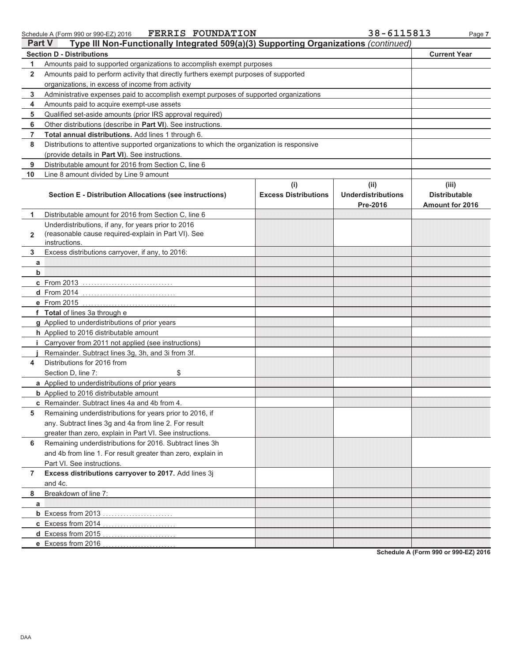$000520040$  $0<sup>0</sup>$ 

FERRIS FOUNDATION

38-6115813

|                | <b>FERRIS FOUNDATION</b><br>Schedule A (Form 990 or 990-EZ) 2016                           |                                    | 38-6115813                                    | Page 7                                           |
|----------------|--------------------------------------------------------------------------------------------|------------------------------------|-----------------------------------------------|--------------------------------------------------|
| Part V         | Type III Non-Functionally Integrated 509(a)(3) Supporting Organizations (continued)        |                                    |                                               |                                                  |
|                | <b>Section D - Distributions</b>                                                           |                                    |                                               | <b>Current Year</b>                              |
| 1              | Amounts paid to supported organizations to accomplish exempt purposes                      |                                    |                                               |                                                  |
| $\mathbf{2}$   | Amounts paid to perform activity that directly furthers exempt purposes of supported       |                                    |                                               |                                                  |
|                | organizations, in excess of income from activity                                           |                                    |                                               |                                                  |
| 3              | Administrative expenses paid to accomplish exempt purposes of supported organizations      |                                    |                                               |                                                  |
| 4              | Amounts paid to acquire exempt-use assets                                                  |                                    |                                               |                                                  |
| 5              | Qualified set-aside amounts (prior IRS approval required)                                  |                                    |                                               |                                                  |
| 6              | Other distributions (describe in Part VI). See instructions.                               |                                    |                                               |                                                  |
| 7              | Total annual distributions. Add lines 1 through 6.                                         |                                    |                                               |                                                  |
| 8              | Distributions to attentive supported organizations to which the organization is responsive |                                    |                                               |                                                  |
|                | (provide details in Part VI). See instructions.                                            |                                    |                                               |                                                  |
| 9              | Distributable amount for 2016 from Section C, line 6                                       |                                    |                                               |                                                  |
| 10             | Line 8 amount divided by Line 9 amount                                                     |                                    |                                               |                                                  |
|                | <b>Section E - Distribution Allocations (see instructions)</b>                             | (i)<br><b>Excess Distributions</b> | (ii)<br><b>Underdistributions</b><br>Pre-2016 | (iii)<br><b>Distributable</b><br>Amount for 2016 |
| 1              | Distributable amount for 2016 from Section C, line 6                                       |                                    |                                               |                                                  |
|                | Underdistributions, if any, for years prior to 2016                                        |                                    |                                               |                                                  |
| $\overline{2}$ | (reasonable cause required-explain in Part VI). See                                        |                                    |                                               |                                                  |
|                | instructions.                                                                              |                                    |                                               |                                                  |
| 3              | Excess distributions carryover, if any, to 2016:                                           |                                    |                                               |                                                  |
| a              |                                                                                            |                                    |                                               |                                                  |
| b              |                                                                                            |                                    |                                               |                                                  |
|                | c From 2013                                                                                |                                    |                                               |                                                  |
|                | $d$ From 2014                                                                              |                                    |                                               |                                                  |
|                |                                                                                            |                                    |                                               |                                                  |
|                | f Total of lines 3a through e                                                              |                                    |                                               |                                                  |
|                | g Applied to underdistributions of prior years                                             |                                    |                                               |                                                  |
|                | h Applied to 2016 distributable amount                                                     |                                    |                                               |                                                  |
|                | <i>i</i> Carryover from 2011 not applied (see instructions)                                |                                    |                                               |                                                  |
|                | Remainder. Subtract lines 3g, 3h, and 3i from 3f.                                          |                                    |                                               |                                                  |
| 4              | Distributions for 2016 from                                                                |                                    |                                               |                                                  |
|                | \$<br>Section D. line 7:                                                                   |                                    |                                               |                                                  |
|                | a Applied to underdistributions of prior years                                             |                                    |                                               |                                                  |
|                | <b>b</b> Applied to 2016 distributable amount                                              |                                    |                                               |                                                  |
|                | <b>c</b> Remainder. Subtract lines 4a and 4b from 4.                                       |                                    |                                               |                                                  |
| 5              | Remaining underdistributions for years prior to 2016, if                                   |                                    |                                               |                                                  |
|                | any. Subtract lines 3g and 4a from line 2. For result                                      |                                    |                                               |                                                  |
|                | greater than zero, explain in Part VI. See instructions.                                   |                                    |                                               |                                                  |
| 6              | Remaining underdistributions for 2016. Subtract lines 3h                                   |                                    |                                               |                                                  |
|                | and 4b from line 1. For result greater than zero, explain in                               |                                    |                                               |                                                  |
|                | Part VI. See instructions.                                                                 |                                    |                                               |                                                  |
| 7              | Excess distributions carryover to 2017. Add lines 3j                                       |                                    |                                               |                                                  |
|                | and 4c.                                                                                    |                                    |                                               |                                                  |
| 8              | Breakdown of line 7:                                                                       |                                    |                                               |                                                  |
| a              |                                                                                            |                                    |                                               |                                                  |
|                | <b>b</b> Excess from 2013                                                                  |                                    |                                               |                                                  |
|                | c Excess from 2014<br>.                                                                    |                                    |                                               |                                                  |
|                | d Excess from 2015                                                                         |                                    |                                               |                                                  |
|                | e Excess from 2016                                                                         |                                    |                                               |                                                  |

Schedule A (Form 990 or 990-EZ) 2016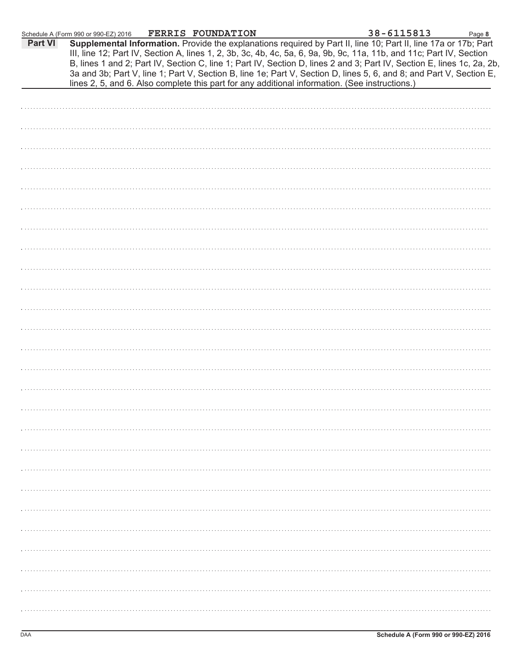|         | Schedule A (Form 990 or 990-EZ) 2016 FERRIS FOUNDATION |  |                                                                                                | 38-6115813                                                                                                                                                                                                                                                                                                                                                                                                                                                                               | Page 8 |
|---------|--------------------------------------------------------|--|------------------------------------------------------------------------------------------------|------------------------------------------------------------------------------------------------------------------------------------------------------------------------------------------------------------------------------------------------------------------------------------------------------------------------------------------------------------------------------------------------------------------------------------------------------------------------------------------|--------|
| Part VI |                                                        |  | lines 2, 5, and 6. Also complete this part for any additional information. (See instructions.) | Supplemental Information. Provide the explanations required by Part II, line 10; Part II, line 17a or 17b; Part<br>III, line 12; Part IV, Section A, lines 1, 2, 3b, 3c, 4b, 4c, 5a, 6, 9a, 9b, 9c, 11a, 11b, and 11c; Part IV, Section<br>B, lines 1 and 2; Part IV, Section C, line 1; Part IV, Section D, lines 2 and 3; Part IV, Section E, lines 1c, 2a, 2b,<br>3a and 3b; Part V, line 1; Part V, Section B, line 1e; Part V, Section D, lines 5, 6, and 8; and Part V, Section E, |        |
|         |                                                        |  |                                                                                                |                                                                                                                                                                                                                                                                                                                                                                                                                                                                                          |        |
|         |                                                        |  |                                                                                                |                                                                                                                                                                                                                                                                                                                                                                                                                                                                                          |        |
|         |                                                        |  |                                                                                                |                                                                                                                                                                                                                                                                                                                                                                                                                                                                                          |        |
|         |                                                        |  |                                                                                                |                                                                                                                                                                                                                                                                                                                                                                                                                                                                                          |        |
|         |                                                        |  |                                                                                                |                                                                                                                                                                                                                                                                                                                                                                                                                                                                                          |        |
|         |                                                        |  |                                                                                                |                                                                                                                                                                                                                                                                                                                                                                                                                                                                                          |        |
|         |                                                        |  |                                                                                                |                                                                                                                                                                                                                                                                                                                                                                                                                                                                                          |        |
|         |                                                        |  |                                                                                                |                                                                                                                                                                                                                                                                                                                                                                                                                                                                                          |        |
|         |                                                        |  |                                                                                                |                                                                                                                                                                                                                                                                                                                                                                                                                                                                                          |        |
|         |                                                        |  |                                                                                                |                                                                                                                                                                                                                                                                                                                                                                                                                                                                                          |        |
|         |                                                        |  |                                                                                                |                                                                                                                                                                                                                                                                                                                                                                                                                                                                                          |        |
|         |                                                        |  |                                                                                                |                                                                                                                                                                                                                                                                                                                                                                                                                                                                                          |        |
|         |                                                        |  |                                                                                                |                                                                                                                                                                                                                                                                                                                                                                                                                                                                                          |        |
|         |                                                        |  |                                                                                                |                                                                                                                                                                                                                                                                                                                                                                                                                                                                                          |        |
|         |                                                        |  |                                                                                                |                                                                                                                                                                                                                                                                                                                                                                                                                                                                                          |        |
|         |                                                        |  |                                                                                                |                                                                                                                                                                                                                                                                                                                                                                                                                                                                                          |        |
|         |                                                        |  |                                                                                                |                                                                                                                                                                                                                                                                                                                                                                                                                                                                                          |        |
|         |                                                        |  |                                                                                                |                                                                                                                                                                                                                                                                                                                                                                                                                                                                                          |        |
|         |                                                        |  |                                                                                                |                                                                                                                                                                                                                                                                                                                                                                                                                                                                                          |        |
|         |                                                        |  |                                                                                                |                                                                                                                                                                                                                                                                                                                                                                                                                                                                                          |        |
|         |                                                        |  |                                                                                                |                                                                                                                                                                                                                                                                                                                                                                                                                                                                                          |        |
|         |                                                        |  |                                                                                                |                                                                                                                                                                                                                                                                                                                                                                                                                                                                                          |        |
|         |                                                        |  |                                                                                                |                                                                                                                                                                                                                                                                                                                                                                                                                                                                                          |        |
|         |                                                        |  |                                                                                                |                                                                                                                                                                                                                                                                                                                                                                                                                                                                                          |        |
|         |                                                        |  |                                                                                                |                                                                                                                                                                                                                                                                                                                                                                                                                                                                                          |        |
|         |                                                        |  |                                                                                                |                                                                                                                                                                                                                                                                                                                                                                                                                                                                                          |        |
|         |                                                        |  |                                                                                                |                                                                                                                                                                                                                                                                                                                                                                                                                                                                                          |        |
|         |                                                        |  |                                                                                                |                                                                                                                                                                                                                                                                                                                                                                                                                                                                                          |        |
|         |                                                        |  |                                                                                                |                                                                                                                                                                                                                                                                                                                                                                                                                                                                                          |        |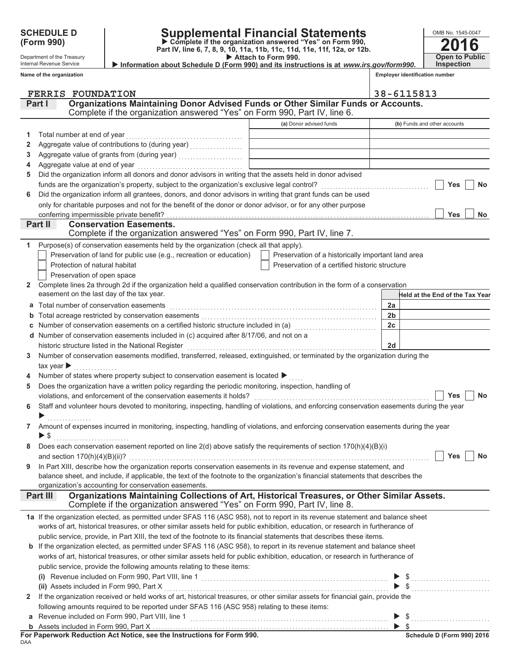Department of the Treasury

Internal Revenue Service

Name of the organization

Supplemental Financial Statements<br>
> Complete if the organization answered "Yes" on Form 990,<br>
Part IV, line 6, 7, 8, 9, 10, 11a, 11b, 11c, 11d, 11e, 11f, 12a, or 12b.

OMB No. 1545-0047  $\overline{\mathbf{2}}$ 6 u **Open to Public Inspection** 

| <b>P</b> AGGUILG LOTER VOU.                                                             |  |  |  |  |  |  |  |  |
|-----------------------------------------------------------------------------------------|--|--|--|--|--|--|--|--|
| Information about Schedule D (Form 990) and its instructions is at www.irs.gov/form990. |  |  |  |  |  |  |  |  |
|                                                                                         |  |  |  |  |  |  |  |  |

Employer identification number

|              | <b>FERRIS FOUNDATION</b>                                                                                                                              |                                                    | 38-6115813                      |
|--------------|-------------------------------------------------------------------------------------------------------------------------------------------------------|----------------------------------------------------|---------------------------------|
|              | Organizations Maintaining Donor Advised Funds or Other Similar Funds or Accounts.<br>Part I                                                           |                                                    |                                 |
|              | Complete if the organization answered "Yes" on Form 990, Part IV, line 6.                                                                             |                                                    |                                 |
|              |                                                                                                                                                       | (a) Donor advised funds                            | (b) Funds and other accounts    |
| 1            | Total number at end of year                                                                                                                           |                                                    |                                 |
| 2            |                                                                                                                                                       |                                                    |                                 |
| 3            |                                                                                                                                                       |                                                    |                                 |
| 4            |                                                                                                                                                       |                                                    |                                 |
| 5            | Did the organization inform all donors and donor advisors in writing that the assets held in donor advised                                            |                                                    |                                 |
|              | funds are the organization's property, subject to the organization's exclusive legal control? [[[[[[[[[[[[[[[[                                        |                                                    | Yes<br>No                       |
| 6            | Did the organization inform all grantees, donors, and donor advisors in writing that grant funds can be used                                          |                                                    |                                 |
|              | only for charitable purposes and not for the benefit of the donor or donor advisor, or for any other purpose                                          |                                                    |                                 |
|              | conferring impermissible private benefit?                                                                                                             |                                                    | Yes<br><b>No</b>                |
|              | <b>Conservation Easements.</b><br>Part II                                                                                                             |                                                    |                                 |
|              | Complete if the organization answered "Yes" on Form 990, Part IV, line 7.                                                                             |                                                    |                                 |
| 1            | Purpose(s) of conservation easements held by the organization (check all that apply).                                                                 |                                                    |                                 |
|              | Preservation of land for public use (e.g., recreation or education)                                                                                   | Preservation of a historically important land area |                                 |
|              | Protection of natural habitat                                                                                                                         | Preservation of a certified historic structure     |                                 |
|              | Preservation of open space                                                                                                                            |                                                    |                                 |
| $\mathbf{2}$ | Complete lines 2a through 2d if the organization held a qualified conservation contribution in the form of a conservation                             |                                                    |                                 |
|              | easement on the last day of the tax year.                                                                                                             |                                                    | Held at the End of the Tax Year |
| a            | Total number of conservation easements                                                                                                                |                                                    | 2a                              |
|              |                                                                                                                                                       |                                                    | 2 <sub>b</sub>                  |
|              | Number of conservation easements on a certified historic structure included in (a) [[[[[[[[[[[[[[[[[[[[[[[]]]]                                        |                                                    | 2c                              |
|              | d Number of conservation easements included in (c) acquired after 8/17/06, and not on a                                                               |                                                    |                                 |
|              |                                                                                                                                                       |                                                    | 2d                              |
| 3            | Number of conservation easements modified, transferred, released, extinguished, or terminated by the organization during the                          |                                                    |                                 |
|              | tax year $\blacktriangleright$<br><u>.</u><br>1980 - Johann Louis, amerikan                                                                           |                                                    |                                 |
|              | Number of states where property subject to conservation easement is located ▶                                                                         |                                                    |                                 |
| 5            | Does the organization have a written policy regarding the periodic monitoring, inspection, handling of                                                |                                                    |                                 |
|              |                                                                                                                                                       |                                                    | Yes<br>No                       |
| 6            | Staff and volunteer hours devoted to monitoring, inspecting, handling of violations, and enforcing conservation easements during the year             |                                                    |                                 |
|              |                                                                                                                                                       |                                                    |                                 |
| $\mathbf{7}$ | Amount of expenses incurred in monitoring, inspecting, handling of violations, and enforcing conservation easements during the year                   |                                                    |                                 |
|              | $\blacktriangleright$ \$                                                                                                                              |                                                    |                                 |
|              | Does each conservation easement reported on line $2(d)$ above satisfy the requirements of section $170(h)(4)(B)(i)$                                   |                                                    |                                 |
|              | and section $170(h)(4)(B)(ii)?$                                                                                                                       |                                                    | Yes<br>No                       |
| 9            | In Part XIII, describe how the organization reports conservation easements in its revenue and expense statement, and                                  |                                                    |                                 |
|              | balance sheet, and include, if applicable, the text of the footnote to the organization's financial statements that describes the                     |                                                    |                                 |
|              | organization's accounting for conservation easements.<br>Organizations Maintaining Collections of Art, Historical Treasures, or Other Similar Assets. |                                                    |                                 |
|              | <b>Part III</b><br>Complete if the organization answered "Yes" on Form 990, Part IV, line 8.                                                          |                                                    |                                 |
|              | 1a If the organization elected, as permitted under SFAS 116 (ASC 958), not to report in its revenue statement and balance sheet                       |                                                    |                                 |
|              | works of art, historical treasures, or other similar assets held for public exhibition, education, or research in furtherance of                      |                                                    |                                 |
|              | public service, provide, in Part XIII, the text of the footnote to its financial statements that describes these items.                               |                                                    |                                 |
|              | <b>b</b> If the organization elected, as permitted under SFAS 116 (ASC 958), to report in its revenue statement and balance sheet                     |                                                    |                                 |
|              | works of art, historical treasures, or other similar assets held for public exhibition, education, or research in furtherance of                      |                                                    |                                 |
|              | public service, provide the following amounts relating to these items:                                                                                |                                                    |                                 |
|              |                                                                                                                                                       |                                                    |                                 |
|              |                                                                                                                                                       |                                                    |                                 |
| $\mathbf{2}$ | If the organization received or held works of art, historical treasures, or other similar assets for financial gain, provide the                      |                                                    | $\blacktriangleright$ \$        |
|              | following amounts required to be reported under SFAS 116 (ASC 958) relating to these items:                                                           |                                                    |                                 |
|              |                                                                                                                                                       |                                                    |                                 |
|              |                                                                                                                                                       |                                                    |                                 |
|              |                                                                                                                                                       |                                                    |                                 |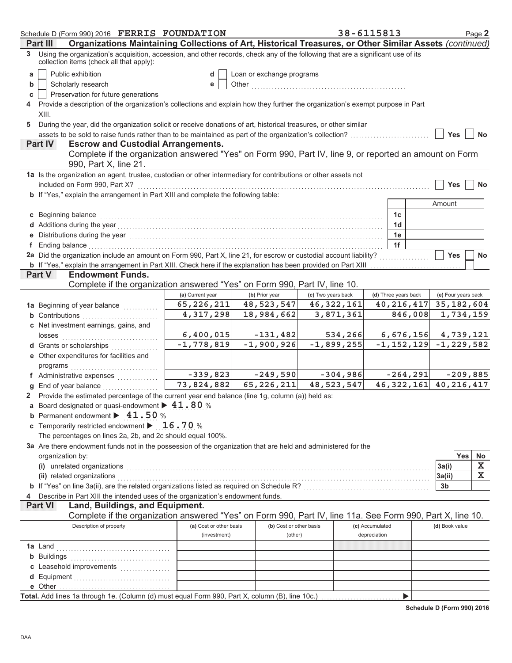| Schedule D (Form 990) 2016 FERRIS FOUNDATION                                                                                                                                   |                                                                                                                                |                           |                    | 38-6115813           | Page 2                    |  |  |  |
|--------------------------------------------------------------------------------------------------------------------------------------------------------------------------------|--------------------------------------------------------------------------------------------------------------------------------|---------------------------|--------------------|----------------------|---------------------------|--|--|--|
| Organizations Maintaining Collections of Art, Historical Treasures, or Other Similar Assets (continued)<br>Part III                                                            |                                                                                                                                |                           |                    |                      |                           |  |  |  |
| 3 Using the organization's acquisition, accession, and other records, check any of the following that are a significant use of its<br>collection items (check all that apply): |                                                                                                                                |                           |                    |                      |                           |  |  |  |
| Public exhibition<br>a                                                                                                                                                         | d                                                                                                                              | Loan or exchange programs |                    |                      |                           |  |  |  |
| Scholarly research<br>b                                                                                                                                                        | Other<br>е                                                                                                                     |                           |                    |                      |                           |  |  |  |
| Preservation for future generations<br>c                                                                                                                                       |                                                                                                                                |                           |                    |                      |                           |  |  |  |
|                                                                                                                                                                                | Provide a description of the organization's collections and explain how they further the organization's exempt purpose in Part |                           |                    |                      |                           |  |  |  |
| XIII.                                                                                                                                                                          |                                                                                                                                |                           |                    |                      |                           |  |  |  |
| During the year, did the organization solicit or receive donations of art, historical treasures, or other similar<br>5                                                         |                                                                                                                                |                           |                    |                      |                           |  |  |  |
| assets to be sold to raise funds rather than to be maintained as part of the organization's collection?                                                                        |                                                                                                                                |                           |                    |                      | <b>Yes</b><br>No          |  |  |  |
| <b>Escrow and Custodial Arrangements.</b><br><b>Part IV</b>                                                                                                                    |                                                                                                                                |                           |                    |                      |                           |  |  |  |
| Complete if the organization answered "Yes" on Form 990, Part IV, line 9, or reported an amount on Form<br>990, Part X, line 21.                                               |                                                                                                                                |                           |                    |                      |                           |  |  |  |
| 1a Is the organization an agent, trustee, custodian or other intermediary for contributions or other assets not                                                                |                                                                                                                                |                           |                    |                      |                           |  |  |  |
| included on Form 990, Part X?                                                                                                                                                  |                                                                                                                                |                           |                    |                      | <b>Yes</b><br><b>No</b>   |  |  |  |
| b If "Yes," explain the arrangement in Part XIII and complete the following table:                                                                                             |                                                                                                                                |                           |                    |                      |                           |  |  |  |
|                                                                                                                                                                                |                                                                                                                                |                           |                    |                      | Amount                    |  |  |  |
| c Beginning balance                                                                                                                                                            |                                                                                                                                |                           |                    | 1c                   |                           |  |  |  |
|                                                                                                                                                                                |                                                                                                                                |                           |                    | 1 <sub>d</sub>       |                           |  |  |  |
|                                                                                                                                                                                |                                                                                                                                |                           |                    | 1e                   |                           |  |  |  |
| f Ending balance                                                                                                                                                               |                                                                                                                                |                           |                    | 1f                   |                           |  |  |  |
| 2a Did the organization include an amount on Form 990, Part X, line 21, for escrow or custodial account liability?                                                             |                                                                                                                                |                           |                    |                      | <b>Yes</b><br>No          |  |  |  |
| b If "Yes," explain the arrangement in Part XIII. Check here if the explanation has been provided on Part XIII                                                                 |                                                                                                                                |                           |                    |                      |                           |  |  |  |
| <b>Endowment Funds.</b><br><b>Part V</b><br>Complete if the organization answered "Yes" on Form 990, Part IV, line 10.                                                         |                                                                                                                                |                           |                    |                      |                           |  |  |  |
|                                                                                                                                                                                | (a) Current year                                                                                                               | (b) Prior year            | (c) Two years back | (d) Three years back | (e) Four years back       |  |  |  |
|                                                                                                                                                                                | 65,226,211                                                                                                                     | 48, 523, 547              | 46, 322, 161       | 40, 216, 417         | 35, 182, 604              |  |  |  |
| 1a Beginning of year balance<br><b>b</b> Contributions                                                                                                                         | 4,317,298                                                                                                                      | 18,984,662                | 3,871,361          | 846,008              | 1,734,159                 |  |  |  |
| c Net investment earnings, gains, and                                                                                                                                          |                                                                                                                                |                           |                    |                      |                           |  |  |  |
| losses                                                                                                                                                                         | 6,400,015                                                                                                                      | $-131,482$                | 534,266            | 6,676,156            | 4,739,121                 |  |  |  |
| d Grants or scholarships                                                                                                                                                       | $-1,778,819$                                                                                                                   | $-1,900,926$              | $-1,899,255$       | $-1, 152, 129$       | $-1, 229, 582$            |  |  |  |
| e Other expenditures for facilities and                                                                                                                                        |                                                                                                                                |                           |                    |                      |                           |  |  |  |
| programs                                                                                                                                                                       |                                                                                                                                |                           |                    |                      |                           |  |  |  |
| f Administrative expenses                                                                                                                                                      | $-339,823$                                                                                                                     | $-249,590$                | $-304,986$         | $-264, 291$          | $-209,885$                |  |  |  |
| End of year balance                                                                                                                                                            | 73,824,882                                                                                                                     | 65, 226, 211              | 48,523,547         |                      | 46, 322, 161 40, 216, 417 |  |  |  |
| 2 Provide the estimated percentage of the current year end balance (line 1g, column (a)) held as:                                                                              |                                                                                                                                |                           |                    |                      |                           |  |  |  |
| a Board designated or quasi-endowment $\blacktriangleright$ 41.80 %                                                                                                            |                                                                                                                                |                           |                    |                      |                           |  |  |  |
| <b>b</b> Permanent endowment $\blacktriangleright$ 41.50 %                                                                                                                     |                                                                                                                                |                           |                    |                      |                           |  |  |  |
| c Temporarily restricted endowment $\blacktriangleright$ 16.70 %                                                                                                               |                                                                                                                                |                           |                    |                      |                           |  |  |  |
| The percentages on lines 2a, 2b, and 2c should equal 100%.                                                                                                                     |                                                                                                                                |                           |                    |                      |                           |  |  |  |
| 3a Are there endowment funds not in the possession of the organization that are held and administered for the                                                                  |                                                                                                                                |                           |                    |                      |                           |  |  |  |
| organization by:                                                                                                                                                               |                                                                                                                                |                           |                    |                      | <b>Yes</b><br>No          |  |  |  |
| (i) unrelated organizations                                                                                                                                                    |                                                                                                                                |                           |                    |                      | Х<br>3a(i)                |  |  |  |
| (ii) related organizations                                                                                                                                                     |                                                                                                                                |                           |                    |                      | X<br>3a(ii)               |  |  |  |
| b If "Yes" on line 3a(ii), are the related organizations listed as required on Schedule R? [[[[[[[[[[[[[[[[[[[                                                                 |                                                                                                                                |                           |                    |                      | 3b                        |  |  |  |
| Describe in Part XIII the intended uses of the organization's endowment funds.                                                                                                 |                                                                                                                                |                           |                    |                      |                           |  |  |  |
| Land, Buildings, and Equipment.<br><b>Part VI</b>                                                                                                                              |                                                                                                                                |                           |                    |                      |                           |  |  |  |
| Complete if the organization answered "Yes" on Form 990, Part IV, line 11a. See Form 990, Part X, line 10.                                                                     |                                                                                                                                |                           |                    |                      |                           |  |  |  |
| Description of property                                                                                                                                                        | (a) Cost or other basis                                                                                                        | (b) Cost or other basis   |                    | (c) Accumulated      | (d) Book value            |  |  |  |
|                                                                                                                                                                                | (investment)                                                                                                                   | (other)                   |                    | depreciation         |                           |  |  |  |
| <b>1a</b> Land                                                                                                                                                                 |                                                                                                                                |                           |                    |                      |                           |  |  |  |
| <b>b</b> Buildings                                                                                                                                                             |                                                                                                                                |                           |                    |                      |                           |  |  |  |
| c Leasehold improvements                                                                                                                                                       |                                                                                                                                |                           |                    |                      |                           |  |  |  |
|                                                                                                                                                                                |                                                                                                                                |                           |                    |                      |                           |  |  |  |
| e Other<br>Total. Add lines 1a through 1e. (Column (d) must equal Form 990, Part X, column (B), line 10c.)                                                                     |                                                                                                                                |                           |                    | ▶                    |                           |  |  |  |
|                                                                                                                                                                                |                                                                                                                                |                           |                    |                      |                           |  |  |  |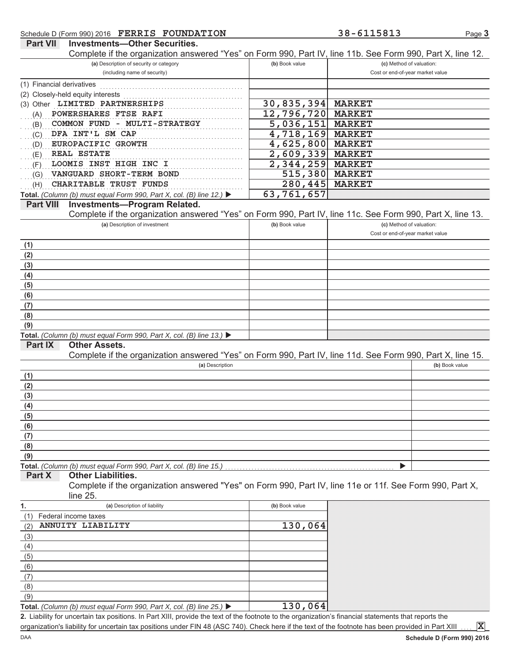## Schedule D (Form 990) 2016 FERRIS FOUNDATION

### 38-6115813

Page 3

| Complete if the organization answered "Yes" on Form 990, Part IV, line 11b. See Form 990, Part X, line 12. |                           |                                  |
|------------------------------------------------------------------------------------------------------------|---------------------------|----------------------------------|
| (a) Description of security or category                                                                    | (b) Book value            | (c) Method of valuation:         |
| (including name of security)                                                                               |                           | Cost or end-of-year market value |
| (1) Financial derivatives                                                                                  |                           |                                  |
| (2) Closely-held equity interests                                                                          |                           |                                  |
| (3) Other LIMITED PARTNERSHIPS                                                                             | 30,835,394                | <b>MARKET</b>                    |
| POWERSHARES FTSE RAFI<br>(A)                                                                               | 12,796,720                | <b>MARKET</b>                    |
| COMMON FUND - MULTI-STRATEGY<br>(B)                                                                        | $\overline{5,036,151}$    | <b>MARKET</b>                    |
| DFA INT'L SM CAP<br>(C)                                                                                    | $\overline{4}$ , 718, 169 | <b>MARKET</b>                    |
| EUROPACIFIC GROWTH<br>(D)                                                                                  | 4,625,800                 | <b>MARKET</b>                    |
| <b>REAL ESTATE</b><br>(E)                                                                                  | 2,609,339                 | <b>MARKET</b>                    |
| LOOMIS INST HIGH INC I<br>(F)                                                                              | 2,344,259                 | <b>MARKET</b>                    |
| VANGUARD SHORT-TERM BOND<br>(G)                                                                            | 515,380                   | <b>MARKET</b>                    |
| CHARITABLE TRUST FUNDS<br>(H)                                                                              | 280,445                   | <b>MARKET</b>                    |
| Total. (Column (b) must equal Form 990, Part X, col. (B) line 12.) ▶                                       | 63,761,657                |                                  |
| <b>Investments-Program Related.</b><br><b>Part VIII</b>                                                    |                           |                                  |
| Complete if the organization answered "Yes" on Form 990, Part IV, line 11c. See Form 990, Part X, line 13. |                           |                                  |
| (a) Description of investment                                                                              | (b) Book value            | (c) Method of valuation:         |
|                                                                                                            |                           | Cost or end-of-year market value |
| (1)                                                                                                        |                           |                                  |
| (2)                                                                                                        |                           |                                  |
| (3)                                                                                                        |                           |                                  |
| (4)                                                                                                        |                           |                                  |
| (5)                                                                                                        |                           |                                  |
| (6)                                                                                                        |                           |                                  |
| (7)                                                                                                        |                           |                                  |
| (8)                                                                                                        |                           |                                  |
| (9)                                                                                                        |                           |                                  |
| Total. (Column (b) must equal Form 990, Part X, col. (B) line 13.) $\blacktriangleright$                   |                           |                                  |
| <b>Part IX</b><br><b>Other Assets.</b>                                                                     |                           |                                  |
| Complete if the organization answered "Yes" on Form 990, Part IV, line 11d. See Form 990, Part X, line 15. |                           |                                  |
| (a) Description                                                                                            |                           | (b) Book value                   |
| (1)                                                                                                        |                           |                                  |
| (2)                                                                                                        |                           |                                  |
| (3)                                                                                                        |                           |                                  |
| (4)                                                                                                        |                           |                                  |
| (5)                                                                                                        |                           |                                  |
| (6)                                                                                                        |                           |                                  |
| (7)                                                                                                        |                           |                                  |
| (8)                                                                                                        |                           |                                  |
| (9)<br>Total. (Column (b) must equal Form 990, Part X, col. (B) line 15.)                                  |                           |                                  |
| Part X<br><b>Other Liabilities.</b>                                                                        |                           |                                  |
| Complete if the organization answered "Yes" on Form 990, Part IV, line 11e or 11f. See Form 990, Part X,   |                           |                                  |
| $line 25$ .                                                                                                |                           |                                  |
| (a) Description of liability<br>1.                                                                         | (b) Book value            |                                  |
| Federal income taxes<br>(1)                                                                                |                           |                                  |
| ANNUITY LIABILITY<br>(2)                                                                                   | 130,064                   |                                  |
| (3)                                                                                                        |                           |                                  |
|                                                                                                            |                           |                                  |
| (4)<br>(5)                                                                                                 |                           |                                  |
| (6)                                                                                                        |                           |                                  |
| (7)                                                                                                        |                           |                                  |
|                                                                                                            |                           |                                  |
| (8)<br>(9)                                                                                                 |                           |                                  |
|                                                                                                            |                           |                                  |
| Total. (Column (b) must equal Form 990, Part X, col. (B) line 25.) $\blacktriangleright$                   | 130,064                   |                                  |

organization's liability for uncertain tax positions under FIN 48 (ASC 740). Check here if the text of the footnote has been provided in Part XIII

 $\mathbf{x}$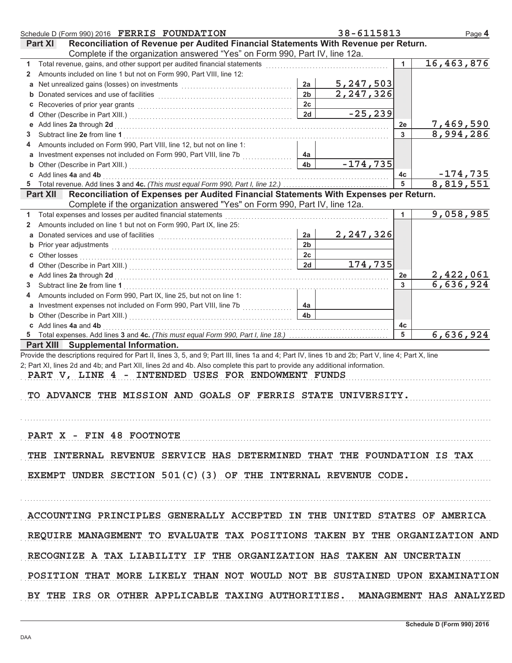| Schedule D (Form 990) 2016 FERRIS FOUNDATION                                                                                                                                                                                        |                      | 38-6115813                    |                      | Page 4                       |
|-------------------------------------------------------------------------------------------------------------------------------------------------------------------------------------------------------------------------------------|----------------------|-------------------------------|----------------------|------------------------------|
| Reconciliation of Revenue per Audited Financial Statements With Revenue per Return.<br><b>Part XI</b>                                                                                                                               |                      |                               |                      |                              |
| Complete if the organization answered "Yes" on Form 990, Part IV, line 12a.                                                                                                                                                         |                      |                               |                      |                              |
| 1                                                                                                                                                                                                                                   |                      |                               | $\blacktriangleleft$ | 16, 463, 876                 |
| Amounts included on line 1 but not on Form 990, Part VIII, line 12:<br>$\mathbf{2}$                                                                                                                                                 |                      |                               |                      |                              |
|                                                                                                                                                                                                                                     | 2a                   | $\frac{5,247,503}{2,247,326}$ |                      |                              |
|                                                                                                                                                                                                                                     | 2 <sub>b</sub>       |                               |                      |                              |
|                                                                                                                                                                                                                                     | 2c                   |                               |                      |                              |
|                                                                                                                                                                                                                                     | 2d                   | $-25, 239$                    |                      |                              |
| e Add lines 2a through 2d [11] [12] [12] And The Add lines 2a through 2d [12] And The Management Add lines 2a through 2d [12] [12] And The Add Lines 2a through 2d [12] And The Add Lines 2a through 2d [12] And The Add Lines      |                      |                               | 2e                   | 7,469,590<br>8,994,286       |
| 3                                                                                                                                                                                                                                   |                      |                               | 3                    |                              |
| Amounts included on Form 990, Part VIII, line 12, but not on line 1:<br>4                                                                                                                                                           |                      |                               |                      |                              |
| a Investment expenses not included on Form 990, Part VIII, line 7b                                                                                                                                                                  | 4a<br>4 <sub>b</sub> | $-174, 735$                   |                      |                              |
| c Add lines 4a and 4b                                                                                                                                                                                                               |                      |                               | 4c                   |                              |
|                                                                                                                                                                                                                                     |                      |                               |                      | $\frac{-174,735}{8,819,551}$ |
| Reconciliation of Expenses per Audited Financial Statements With Expenses per Return.<br><b>Part XII</b>                                                                                                                            |                      |                               |                      |                              |
| Complete if the organization answered "Yes" on Form 990, Part IV, line 12a.                                                                                                                                                         |                      |                               |                      |                              |
| Total expenses and losses per audited financial statements<br>1.                                                                                                                                                                    |                      |                               | $\mathbf{1}$         | 9,058,985                    |
| Amounts included on line 1 but not on Form 990, Part IX, line 25:<br>$\mathbf{2}$                                                                                                                                                   |                      |                               |                      |                              |
| a Donated services and use of facilities <b>constructs</b> and the service of the service of the service of the service of the service of the service of the service of the service of the service of the service of the service of | 2a                   | 2,247,326                     |                      |                              |
|                                                                                                                                                                                                                                     | 2 <sub>b</sub>       |                               |                      |                              |
|                                                                                                                                                                                                                                     | 2c                   |                               |                      |                              |
|                                                                                                                                                                                                                                     | 2d                   | 174,735                       |                      |                              |
|                                                                                                                                                                                                                                     |                      |                               | 2e                   | 2,422,061<br>6,636,924       |
| 3.                                                                                                                                                                                                                                  |                      |                               | 3                    |                              |
| Amounts included on Form 990, Part IX, line 25, but not on line 1:<br>4                                                                                                                                                             |                      |                               |                      |                              |
| a Investment expenses not included on Form 990, Part VIII, line 7b                                                                                                                                                                  | 4a                   |                               |                      |                              |
|                                                                                                                                                                                                                                     | 4 <sub>b</sub>       |                               |                      |                              |
| c Add lines 4a and 4b                                                                                                                                                                                                               |                      |                               | 4c                   | 6,636,924                    |
| Part XIII Supplemental Information.                                                                                                                                                                                                 |                      |                               |                      |                              |
| Provide the descriptions required for Part II, lines 3, 5, and 9; Part III, lines 1a and 4; Part IV, lines 1b and 2b; Part V, line 4; Part X, line                                                                                  |                      |                               |                      |                              |
| 2; Part XI, lines 2d and 4b; and Part XII, lines 2d and 4b. Also complete this part to provide any additional information.                                                                                                          |                      |                               |                      |                              |
| PART V, LINE 4 - INTENDED USES FOR ENDOWMENT FUNDS                                                                                                                                                                                  |                      |                               |                      |                              |
|                                                                                                                                                                                                                                     |                      |                               |                      |                              |
| TO ADVANCE THE MISSION AND GOALS OF FERRIS STATE UNIVERSITY.                                                                                                                                                                        |                      |                               |                      |                              |
|                                                                                                                                                                                                                                     |                      |                               |                      |                              |
|                                                                                                                                                                                                                                     |                      |                               |                      |                              |
|                                                                                                                                                                                                                                     |                      |                               |                      |                              |
| PART X - FIN 48 FOOTNOTE                                                                                                                                                                                                            |                      |                               |                      |                              |
|                                                                                                                                                                                                                                     |                      |                               |                      |                              |
| THE INTERNAL REVENUE SERVICE HAS DETERMINED THAT THE FOUNDATION IS TAX                                                                                                                                                              |                      |                               |                      |                              |
| EXEMPT UNDER SECTION $501(C)$ (3) OF THE INTERNAL REVENUE CODE.                                                                                                                                                                     |                      |                               |                      |                              |
|                                                                                                                                                                                                                                     |                      |                               |                      |                              |
|                                                                                                                                                                                                                                     |                      |                               |                      |                              |
|                                                                                                                                                                                                                                     |                      |                               |                      |                              |
| ACCOUNTING PRINCIPLES GENERALLY ACCEPTED IN THE UNITED STATES OF AMERICA                                                                                                                                                            |                      |                               |                      |                              |
|                                                                                                                                                                                                                                     |                      |                               |                      |                              |
| REQUIRE MANAGEMENT TO EVALUATE TAX POSITIONS TAKEN BY THE ORGANIZATION AND                                                                                                                                                          |                      |                               |                      |                              |
|                                                                                                                                                                                                                                     |                      |                               |                      |                              |
| RECOGNIZE A TAX LIABILITY IF THE ORGANIZATION HAS TAKEN AN UNCERTAIN                                                                                                                                                                |                      |                               |                      |                              |
|                                                                                                                                                                                                                                     |                      |                               |                      |                              |
| POSITION THAT MORE LIKELY THAN NOT WOULD NOT BE SUSTAINED UPON EXAMINATION                                                                                                                                                          |                      |                               |                      |                              |
|                                                                                                                                                                                                                                     |                      |                               |                      |                              |
| BY THE IRS OR OTHER APPLICABLE TAXING AUTHORITIES. MANAGEMENT HAS ANALYZED                                                                                                                                                          |                      |                               |                      |                              |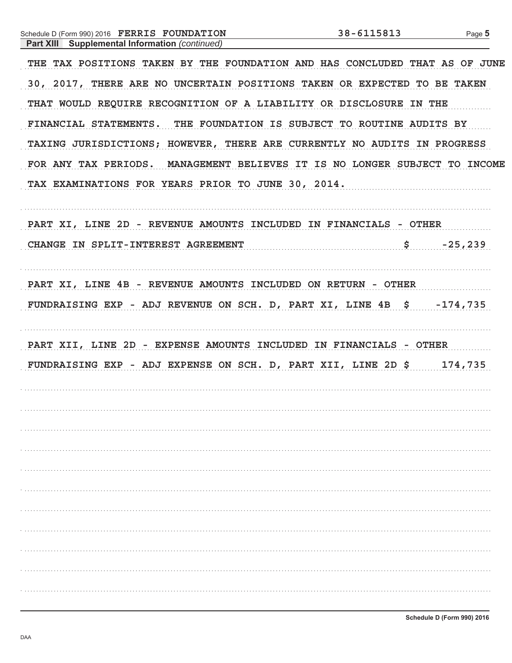| Schedule D (Form 990) 2016 FERRIS FOUNDATION<br><b>Part XIII</b> Supplemental Information (continued) | 38-6115813          | Page 5    |
|-------------------------------------------------------------------------------------------------------|---------------------|-----------|
| THE TAX POSITIONS TAKEN BY THE FOUNDATION AND HAS CONCLUDED THAT AS OF JUNE                           |                     |           |
| 30, 2017, THERE ARE NO UNCERTAIN POSITIONS TAKEN OR EXPECTED TO BE TAKEN                              |                     |           |
| THAT WOULD REQUIRE RECOGNITION OF A LIABILITY OR DISCLOSURE IN THE                                    |                     |           |
| FINANCIAL STATEMENTS. THE FOUNDATION IS SUBJECT TO ROUTINE AUDITS BY                                  |                     |           |
| TAXING JURISDICTIONS; HOWEVER, THERE ARE CURRENTLY NO AUDITS IN PROGRESS                              |                     |           |
| FOR ANY TAX PERIODS. MANAGEMENT BELIEVES IT IS NO LONGER SUBJECT TO INCOME                            |                     |           |
| TAX EXAMINATIONS FOR YEARS PRIOR TO JUNE 30, 2014.                                                    |                     |           |
| PART XI, LINE 2D - REVENUE AMOUNTS INCLUDED IN FINANCIALS - OTHER                                     |                     |           |
| CHANGE IN SPLIT-INTEREST AGREEMENT                                                                    | $\ddot{\mathbf{s}}$ | $-25,239$ |
| PART XI, LINE 4B - REVENUE AMOUNTS INCLUDED ON RETURN - OTHER                                         |                     |           |
| FUNDRAISING EXP - ADJ REVENUE ON SCH. D, PART XI, LINE 4B \$ -174,735                                 |                     |           |
| PART XII, LINE 2D - EXPENSE AMOUNTS INCLUDED IN FINANCIALS - OTHER                                    |                     |           |
| FUNDRAISING EXP - ADJ EXPENSE ON SCH. D, PART XII, LINE 2D \$ 174,735                                 |                     |           |
|                                                                                                       |                     |           |
|                                                                                                       |                     |           |
|                                                                                                       |                     |           |
|                                                                                                       |                     |           |
|                                                                                                       |                     |           |
|                                                                                                       |                     |           |
|                                                                                                       |                     |           |
|                                                                                                       |                     |           |
|                                                                                                       |                     |           |
|                                                                                                       |                     |           |
|                                                                                                       |                     |           |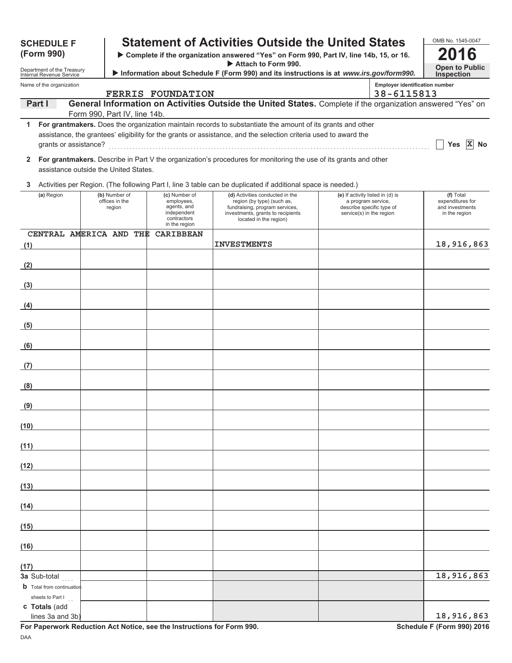| <b>SCHEDULE F</b>                                      |                                           |                                                                                           | <b>Statement of Activities Outside the United States</b>                                                                                                       |                                                                                                                 |                                                     | OMB No. 1545-0047                                                 |
|--------------------------------------------------------|-------------------------------------------|-------------------------------------------------------------------------------------------|----------------------------------------------------------------------------------------------------------------------------------------------------------------|-----------------------------------------------------------------------------------------------------------------|-----------------------------------------------------|-------------------------------------------------------------------|
| (Form 990)                                             |                                           |                                                                                           | > Complete if the organization answered "Yes" on Form 990, Part IV, line 14b, 15, or 16.                                                                       |                                                                                                                 |                                                     |                                                                   |
| Department of the Treasury<br>Internal Revenue Service |                                           |                                                                                           | Attach to Form 990.<br>Information about Schedule F (Form 990) and its instructions is at www.irs.gov/form990.                                                 |                                                                                                                 |                                                     | <b>Open to Public</b><br><b>Inspection</b>                        |
| Name of the organization                               |                                           | <b>FERRIS FOUNDATION</b>                                                                  |                                                                                                                                                                |                                                                                                                 | <b>Employer identification number</b><br>38-6115813 |                                                                   |
| Part I                                                 |                                           |                                                                                           | General Information on Activities Outside the United States. Complete if the organization answered "Yes" on                                                    |                                                                                                                 |                                                     |                                                                   |
| 1                                                      | Form 990, Part IV, line 14b.              |                                                                                           | For grantmakers. Does the organization maintain records to substantiate the amount of its grants and other                                                     |                                                                                                                 |                                                     |                                                                   |
|                                                        |                                           |                                                                                           | assistance, the grantees' eligibility for the grants or assistance, and the selection criteria used to award the                                               |                                                                                                                 |                                                     |                                                                   |
| grants or assistance?                                  |                                           |                                                                                           |                                                                                                                                                                |                                                                                                                 |                                                     | Yes $X$<br>No                                                     |
| $\mathbf{2}$                                           | assistance outside the United States.     |                                                                                           | For grantmakers. Describe in Part V the organization's procedures for monitoring the use of its grants and other                                               |                                                                                                                 |                                                     |                                                                   |
| 3                                                      |                                           |                                                                                           | Activities per Region. (The following Part I, line 3 table can be duplicated if additional space is needed.)                                                   |                                                                                                                 |                                                     |                                                                   |
| (a) Region                                             | (b) Number of<br>offices in the<br>region | (c) Number of<br>employees,<br>agents, and<br>independent<br>contractors<br>in the region | (d) Activities conducted in the<br>region (by type) (such as,<br>fundraising, program services,<br>investments, grants to recipients<br>located in the region) | (e) If activity listed in (d) is<br>a program service,<br>describe specific type of<br>service(s) in the region |                                                     | (f) Total<br>expenditures for<br>and investments<br>in the region |
|                                                        |                                           | CENTRAL AMERICA AND THE CARIBBEAN                                                         |                                                                                                                                                                |                                                                                                                 |                                                     |                                                                   |
| (1)                                                    |                                           |                                                                                           | <b>INVESTMENTS</b>                                                                                                                                             |                                                                                                                 |                                                     | 18,916,863                                                        |
| (2)                                                    |                                           |                                                                                           |                                                                                                                                                                |                                                                                                                 |                                                     |                                                                   |
| (3)                                                    |                                           |                                                                                           |                                                                                                                                                                |                                                                                                                 |                                                     |                                                                   |
|                                                        |                                           |                                                                                           |                                                                                                                                                                |                                                                                                                 |                                                     |                                                                   |
| (4)                                                    |                                           |                                                                                           |                                                                                                                                                                |                                                                                                                 |                                                     |                                                                   |
| (5)                                                    |                                           |                                                                                           |                                                                                                                                                                |                                                                                                                 |                                                     |                                                                   |
| (6)                                                    |                                           |                                                                                           |                                                                                                                                                                |                                                                                                                 |                                                     |                                                                   |
| (7)                                                    |                                           |                                                                                           |                                                                                                                                                                |                                                                                                                 |                                                     |                                                                   |
|                                                        |                                           |                                                                                           |                                                                                                                                                                |                                                                                                                 |                                                     |                                                                   |
| (8)                                                    |                                           |                                                                                           |                                                                                                                                                                |                                                                                                                 |                                                     |                                                                   |
| <u>(9)</u>                                             |                                           |                                                                                           |                                                                                                                                                                |                                                                                                                 |                                                     |                                                                   |
| (10)                                                   |                                           |                                                                                           |                                                                                                                                                                |                                                                                                                 |                                                     |                                                                   |
| (11)                                                   |                                           |                                                                                           |                                                                                                                                                                |                                                                                                                 |                                                     |                                                                   |
| (12)                                                   |                                           |                                                                                           |                                                                                                                                                                |                                                                                                                 |                                                     |                                                                   |
| (13)                                                   |                                           |                                                                                           |                                                                                                                                                                |                                                                                                                 |                                                     |                                                                   |
|                                                        |                                           |                                                                                           |                                                                                                                                                                |                                                                                                                 |                                                     |                                                                   |
| (14)                                                   |                                           |                                                                                           |                                                                                                                                                                |                                                                                                                 |                                                     |                                                                   |
| (15)                                                   |                                           |                                                                                           |                                                                                                                                                                |                                                                                                                 |                                                     |                                                                   |
| (16)                                                   |                                           |                                                                                           |                                                                                                                                                                |                                                                                                                 |                                                     |                                                                   |
| (17)                                                   |                                           |                                                                                           |                                                                                                                                                                |                                                                                                                 |                                                     |                                                                   |
| 3a Sub-total                                           |                                           |                                                                                           |                                                                                                                                                                |                                                                                                                 |                                                     | 18,916,863                                                        |
| <b>b</b> Total from continuation<br>sheets to Part I   |                                           |                                                                                           |                                                                                                                                                                |                                                                                                                 |                                                     |                                                                   |
| c Totals (add<br>lines 3a and 3b)                      |                                           |                                                                                           |                                                                                                                                                                |                                                                                                                 |                                                     | 18,916,863                                                        |

For Paperwork Reduction Act Notice, see the Instructions for Form 990.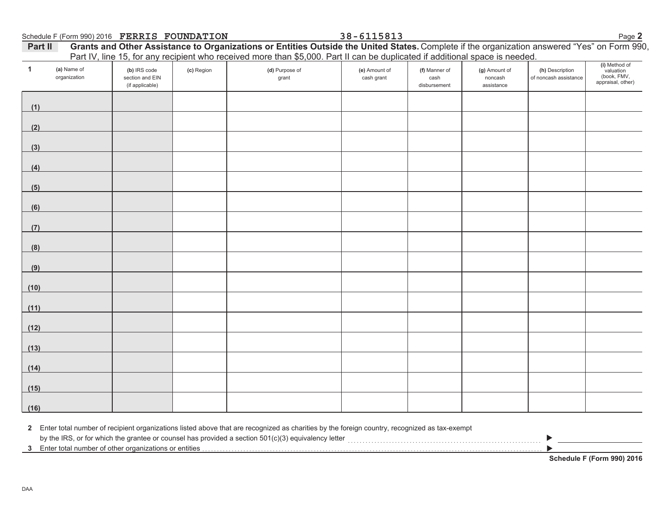38-6115813

Page 2

| Part II | Grants and Other Assistance to Organizations or Entities Outside the United States. Complete if the organization answered "Yes" on Form 990, |  |
|---------|----------------------------------------------------------------------------------------------------------------------------------------------|--|
|         | Part IV, line 15, for any recipient who received more than \$5,000. Part II can be duplicated if additional space is needed.                 |  |

| $\mathbf{1}$ | (a) Name of<br>organization | (b) IRS code<br>section and EIN<br>(if applicable) | .<br>(c) Region | . <del>.</del><br>(d) Purpose of<br>grant | (e) Amount of<br>cash grant | (f) Manner of<br>cash<br>disbursement | .<br>(g) Amount of<br>noncash<br>assistance | (h) Description<br>of noncash assistance | (i) Method of<br>valuation<br>(book, FMV,<br>appraisal, other) |
|--------------|-----------------------------|----------------------------------------------------|-----------------|-------------------------------------------|-----------------------------|---------------------------------------|---------------------------------------------|------------------------------------------|----------------------------------------------------------------|
| (1)          |                             |                                                    |                 |                                           |                             |                                       |                                             |                                          |                                                                |
| (2)          |                             |                                                    |                 |                                           |                             |                                       |                                             |                                          |                                                                |
| (3)          |                             |                                                    |                 |                                           |                             |                                       |                                             |                                          |                                                                |
| (4)          |                             |                                                    |                 |                                           |                             |                                       |                                             |                                          |                                                                |
| (5)          |                             |                                                    |                 |                                           |                             |                                       |                                             |                                          |                                                                |
| (6)          |                             |                                                    |                 |                                           |                             |                                       |                                             |                                          |                                                                |
| (7)          |                             |                                                    |                 |                                           |                             |                                       |                                             |                                          |                                                                |
| (8)          |                             |                                                    |                 |                                           |                             |                                       |                                             |                                          |                                                                |
| (9)          |                             |                                                    |                 |                                           |                             |                                       |                                             |                                          |                                                                |
| (10)         |                             |                                                    |                 |                                           |                             |                                       |                                             |                                          |                                                                |
| (11)         |                             |                                                    |                 |                                           |                             |                                       |                                             |                                          |                                                                |
| (12)         |                             |                                                    |                 |                                           |                             |                                       |                                             |                                          |                                                                |
| (13)         |                             |                                                    |                 |                                           |                             |                                       |                                             |                                          |                                                                |
| (14)         |                             |                                                    |                 |                                           |                             |                                       |                                             |                                          |                                                                |
| (15)         |                             |                                                    |                 |                                           |                             |                                       |                                             |                                          |                                                                |
| (16)         |                             |                                                    |                 |                                           |                             |                                       |                                             |                                          |                                                                |

2 Enter total number of recipient organizations listed above that are recognized as charities by the foreign country, recognized as tax-exempt

Schedule F (Form 990) 2016

 $\blacktriangleright$ 

 $\blacktriangleright$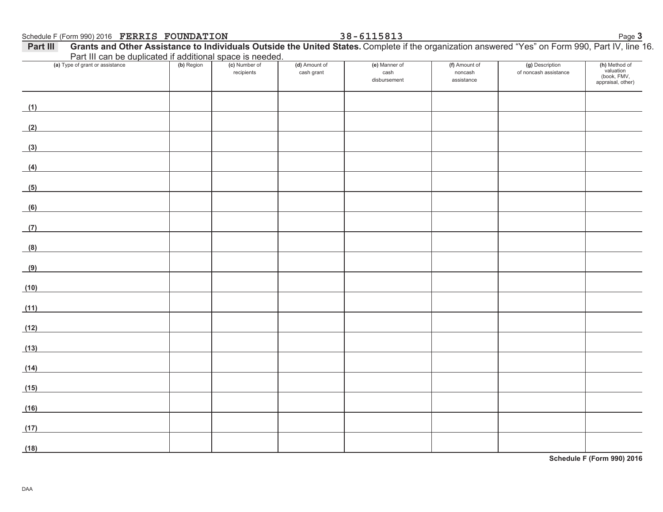| Schedule F (Form 990) 2016 FERRIS FOUNDATION<br>Part III                                                                     |            |                             |                             | 38-6115813                            |                                        | Grants and Other Assistance to Individuals Outside the United States. Complete if the organization answered "Yes" on Form 990, Part IV, line 16. | Page 3                                                         |
|------------------------------------------------------------------------------------------------------------------------------|------------|-----------------------------|-----------------------------|---------------------------------------|----------------------------------------|--------------------------------------------------------------------------------------------------------------------------------------------------|----------------------------------------------------------------|
| Part III can be duplicated if additional space is needed.                                                                    |            |                             |                             |                                       |                                        |                                                                                                                                                  |                                                                |
| (a) Type of grant or assistance                                                                                              | (b) Region | (c) Number of<br>recipients | (d) Amount of<br>cash grant | (e) Manner of<br>cash<br>disbursement | (f) Amount of<br>noncash<br>assistance | (g) Description<br>of noncash assistance                                                                                                         | (h) Method of<br>valuation<br>(book, FMV,<br>appraisal, other) |
| (1)<br><u> 1989 - Johann Barn, mars eta bainar eta idazlea (</u>                                                             |            |                             |                             |                                       |                                        |                                                                                                                                                  |                                                                |
| (2)                                                                                                                          |            |                             |                             |                                       |                                        |                                                                                                                                                  |                                                                |
| (3)<br><u> 1989 - Johann Barn, mars eta bainar eta idazlea (</u>                                                             |            |                             |                             |                                       |                                        |                                                                                                                                                  |                                                                |
| (4)                                                                                                                          |            |                             |                             |                                       |                                        |                                                                                                                                                  |                                                                |
| (5)                                                                                                                          |            |                             |                             |                                       |                                        |                                                                                                                                                  |                                                                |
| (6)                                                                                                                          |            |                             |                             |                                       |                                        |                                                                                                                                                  |                                                                |
| (7)                                                                                                                          |            |                             |                             |                                       |                                        |                                                                                                                                                  |                                                                |
| (8)                                                                                                                          |            |                             |                             |                                       |                                        |                                                                                                                                                  |                                                                |
| (9)                                                                                                                          |            |                             |                             |                                       |                                        |                                                                                                                                                  |                                                                |
| (10)                                                                                                                         |            |                             |                             |                                       |                                        |                                                                                                                                                  |                                                                |
| (11)                                                                                                                         |            |                             |                             |                                       |                                        |                                                                                                                                                  |                                                                |
| (12)                                                                                                                         |            |                             |                             |                                       |                                        |                                                                                                                                                  |                                                                |
| (13)                                                                                                                         |            |                             |                             |                                       |                                        |                                                                                                                                                  |                                                                |
| (14)<br><u> 1980 - Jan Stein Stein Stein Stein Stein Stein Stein Stein Stein Stein Stein Stein Stein Stein Stein Stein S</u> |            |                             |                             |                                       |                                        |                                                                                                                                                  |                                                                |
| (15)                                                                                                                         |            |                             |                             |                                       |                                        |                                                                                                                                                  |                                                                |
| (16)                                                                                                                         |            |                             |                             |                                       |                                        |                                                                                                                                                  |                                                                |
| (17)                                                                                                                         |            |                             |                             |                                       |                                        |                                                                                                                                                  |                                                                |
| (18)                                                                                                                         |            |                             |                             |                                       |                                        |                                                                                                                                                  |                                                                |

Schedule F (Form 990) 2016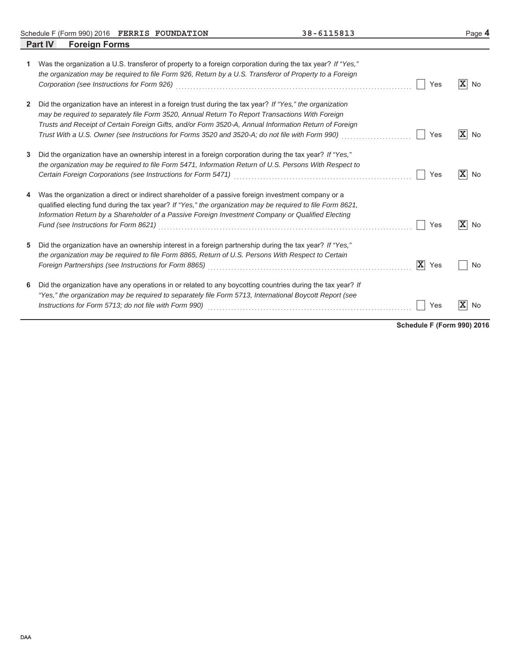Schedule F (Form 990) 2016 FERRIS FOUNDATION 38 - 6115813

|   | <b>Part IV</b><br><b>Foreign Forms</b>                                                                                                                                                                                                                                                                                                                                                                                                                                     |                      |
|---|----------------------------------------------------------------------------------------------------------------------------------------------------------------------------------------------------------------------------------------------------------------------------------------------------------------------------------------------------------------------------------------------------------------------------------------------------------------------------|----------------------|
| 1 | Was the organization a U.S. transferor of property to a foreign corporation during the tax year? If "Yes,"<br>the organization may be required to file Form 926, Return by a U.S. Transferor of Property to a Foreign<br>Corporation (see Instructions for Form 926)<br>Yes                                                                                                                                                                                                | $ \mathbf{X} $<br>No |
| 2 | Did the organization have an interest in a foreign trust during the tax year? If "Yes," the organization<br>may be required to separately file Form 3520, Annual Return To Report Transactions With Foreign<br>Trusts and Receipt of Certain Foreign Gifts, and/or Form 3520-A, Annual Information Return of Foreign<br>Trust With a U.S. Owner (see Instructions for Forms 3520 and 3520-A; do not file with Form 990)<br>Yes                                             | $ \mathbf{X} $<br>No |
| 3 | Did the organization have an ownership interest in a foreign corporation during the tax year? If "Yes,"<br>the organization may be required to file Form 5471, Information Return of U.S. Persons With Respect to<br>Yes                                                                                                                                                                                                                                                   | $ \mathbf{X} $<br>No |
|   | Was the organization a direct or indirect shareholder of a passive foreign investment company or a<br>qualified electing fund during the tax year? If "Yes," the organization may be required to file Form 8621.<br>Information Return by a Shareholder of a Passive Foreign Investment Company or Qualified Electing<br>Yes                                                                                                                                               | ΙXΙ<br>No            |
| 5 | Did the organization have an ownership interest in a foreign partnership during the tax year? If "Yes,"<br>the organization may be required to file Form 8865, Return of U.S. Persons With Respect to Certain<br>$ \mathbf{X} $<br>Foreign Partnerships (see Instructions for Form 8865)<br>[2005] Correlation Conservation Correlation Correlation Correlation of the University of Arthur Correlation Correlation Correlation Correlation Correlation Correlation<br>Yes | No                   |
| 6 | Did the organization have any operations in or related to any boycotting countries during the tax year? If<br>"Yes," the organization may be required to separately file Form 5713, International Boycott Report (see<br>Instructions for Form 5713; do not file with Form 990)<br>Yes                                                                                                                                                                                     | x<br>No              |

**Schedule F (Form 990) 2016**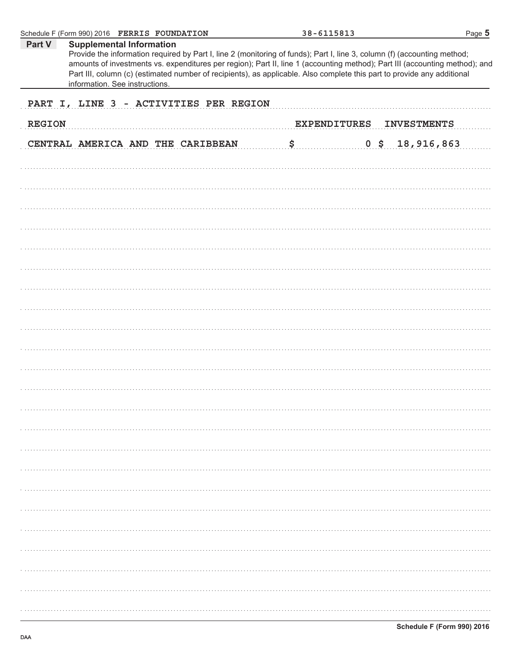| Schedule F (Form 990) 2016 FERRIS FOUNDATION                                                                                                                                                                                                                                                                                                                                                                                                                      | 38-6115813          | Page 5             |
|-------------------------------------------------------------------------------------------------------------------------------------------------------------------------------------------------------------------------------------------------------------------------------------------------------------------------------------------------------------------------------------------------------------------------------------------------------------------|---------------------|--------------------|
| <b>Supplemental Information</b><br>Part V<br>Provide the information required by Part I, line 2 (monitoring of funds); Part I, line 3, column (f) (accounting method;<br>amounts of investments vs. expenditures per region); Part II, line 1 (accounting method); Part III (accounting method); and<br>Part III, column (c) (estimated number of recipients), as applicable. Also complete this part to provide any additional<br>information. See instructions. |                     |                    |
| PART I, LINE 3 - ACTIVITIES PER REGION                                                                                                                                                                                                                                                                                                                                                                                                                            |                     |                    |
| <b>REGION</b>                                                                                                                                                                                                                                                                                                                                                                                                                                                     | <b>EXPENDITURES</b> | <b>INVESTMENTS</b> |
| CENTRAL AMERICA AND THE CARIBBEAN                                                                                                                                                                                                                                                                                                                                                                                                                                 | \$<br>0 \$          | 18,916,863         |
|                                                                                                                                                                                                                                                                                                                                                                                                                                                                   |                     |                    |
|                                                                                                                                                                                                                                                                                                                                                                                                                                                                   |                     |                    |
|                                                                                                                                                                                                                                                                                                                                                                                                                                                                   |                     |                    |
|                                                                                                                                                                                                                                                                                                                                                                                                                                                                   |                     |                    |
|                                                                                                                                                                                                                                                                                                                                                                                                                                                                   |                     |                    |
|                                                                                                                                                                                                                                                                                                                                                                                                                                                                   |                     |                    |
|                                                                                                                                                                                                                                                                                                                                                                                                                                                                   |                     |                    |
|                                                                                                                                                                                                                                                                                                                                                                                                                                                                   |                     |                    |
|                                                                                                                                                                                                                                                                                                                                                                                                                                                                   |                     |                    |
|                                                                                                                                                                                                                                                                                                                                                                                                                                                                   |                     |                    |
|                                                                                                                                                                                                                                                                                                                                                                                                                                                                   |                     |                    |
|                                                                                                                                                                                                                                                                                                                                                                                                                                                                   |                     |                    |
|                                                                                                                                                                                                                                                                                                                                                                                                                                                                   |                     |                    |
|                                                                                                                                                                                                                                                                                                                                                                                                                                                                   |                     |                    |
|                                                                                                                                                                                                                                                                                                                                                                                                                                                                   |                     |                    |
|                                                                                                                                                                                                                                                                                                                                                                                                                                                                   |                     |                    |
|                                                                                                                                                                                                                                                                                                                                                                                                                                                                   |                     |                    |
|                                                                                                                                                                                                                                                                                                                                                                                                                                                                   |                     |                    |
|                                                                                                                                                                                                                                                                                                                                                                                                                                                                   |                     |                    |
|                                                                                                                                                                                                                                                                                                                                                                                                                                                                   |                     |                    |
|                                                                                                                                                                                                                                                                                                                                                                                                                                                                   |                     |                    |
|                                                                                                                                                                                                                                                                                                                                                                                                                                                                   |                     |                    |
|                                                                                                                                                                                                                                                                                                                                                                                                                                                                   |                     |                    |
|                                                                                                                                                                                                                                                                                                                                                                                                                                                                   |                     |                    |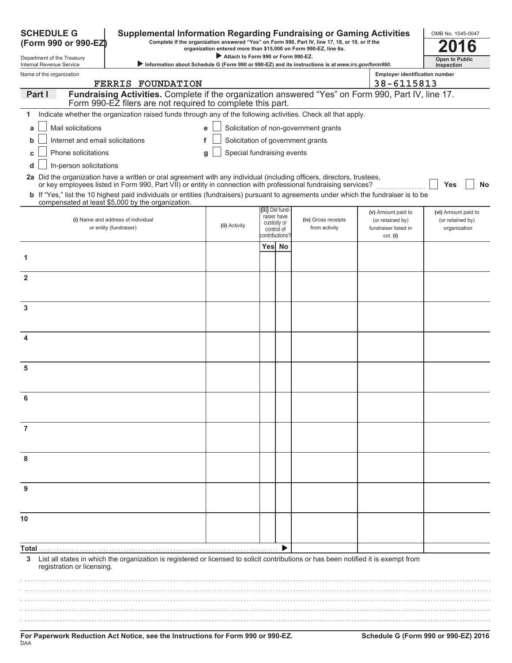| <b>SCHEDULE G</b><br>(Form 990 or 990-EZ)            | <b>Supplemental Information Regarding Fundraising or Gaming Activities</b><br>Complete if the organization answered "Yes" on Form 990, Part IV, line 17, 18, or 19, or if the                                                            | organization entered more than \$15,000 on Form 990-EZ, line 6a. |                                            | OMB No. 1545-0047<br>6                                                                            |                                                      |                                  |
|------------------------------------------------------|------------------------------------------------------------------------------------------------------------------------------------------------------------------------------------------------------------------------------------------|------------------------------------------------------------------|--------------------------------------------|---------------------------------------------------------------------------------------------------|------------------------------------------------------|----------------------------------|
| Department of the Treasury                           |                                                                                                                                                                                                                                          | Attach to Form 990 or Form 990-EZ.                               |                                            |                                                                                                   |                                                      | <b>Open to Public</b>            |
| Internal Revenue Service<br>Name of the organization |                                                                                                                                                                                                                                          |                                                                  |                                            | Information about Schedule G (Form 990 or 990-EZ) and its instructions is at www.irs.gov/form990. | <b>Employer identification number</b>                | Inspection                       |
|                                                      | <b>FERRIS FOUNDATION</b>                                                                                                                                                                                                                 |                                                                  |                                            |                                                                                                   | 38-6115813                                           |                                  |
| Part I                                               | Fundraising Activities. Complete if the organization answered "Yes" on Form 990, Part IV, line 17.<br>Form 990-EZ filers are not required to complete this part.                                                                         |                                                                  |                                            |                                                                                                   |                                                      |                                  |
| 1                                                    | Indicate whether the organization raised funds through any of the following activities. Check all that apply.                                                                                                                            |                                                                  |                                            |                                                                                                   |                                                      |                                  |
| Mail solicitations<br>a                              |                                                                                                                                                                                                                                          |                                                                  |                                            | Solicitation of non-government grants                                                             |                                                      |                                  |
| Internet and email solicitations<br>b                |                                                                                                                                                                                                                                          | f                                                                |                                            | Solicitation of government grants                                                                 |                                                      |                                  |
| Phone solicitations                                  |                                                                                                                                                                                                                                          | Special fundraising events<br>g                                  |                                            |                                                                                                   |                                                      |                                  |
| In-person solicitations<br>d                         |                                                                                                                                                                                                                                          |                                                                  |                                            |                                                                                                   |                                                      |                                  |
|                                                      | 2a Did the organization have a written or oral agreement with any individual (including officers, directors, trustees,<br>or key employees listed in Form 990, Part VII) or entity in connection with professional fundraising services? |                                                                  |                                            |                                                                                                   |                                                      | Yes                              |
|                                                      | b If "Yes," list the 10 highest paid individuals or entities (fundraisers) pursuant to agreements under which the fundraiser is to be<br>compensated at least \$5,000 by the organization.                                               |                                                                  |                                            |                                                                                                   |                                                      | No                               |
|                                                      |                                                                                                                                                                                                                                          |                                                                  | (iii) Did fund<br>raiser have              |                                                                                                   | (v) Amount paid to                                   | (vi) Amount paid to              |
|                                                      | (i) Name and address of individual<br>or entity (fundraiser)                                                                                                                                                                             | (ii) Activity                                                    | custody or<br>control of<br>contributions? | (iv) Gross receipts<br>from activity                                                              | (or retained by)<br>fundraiser listed in<br>col. (i) | (or retained by)<br>organization |
|                                                      |                                                                                                                                                                                                                                          |                                                                  | Yes No                                     |                                                                                                   |                                                      |                                  |
| 1                                                    |                                                                                                                                                                                                                                          |                                                                  |                                            |                                                                                                   |                                                      |                                  |
| $\mathbf{2}$                                         |                                                                                                                                                                                                                                          |                                                                  |                                            |                                                                                                   |                                                      |                                  |
|                                                      |                                                                                                                                                                                                                                          |                                                                  |                                            |                                                                                                   |                                                      |                                  |
| 3                                                    |                                                                                                                                                                                                                                          |                                                                  |                                            |                                                                                                   |                                                      |                                  |
| 4                                                    |                                                                                                                                                                                                                                          |                                                                  |                                            |                                                                                                   |                                                      |                                  |
| 5                                                    |                                                                                                                                                                                                                                          |                                                                  |                                            |                                                                                                   |                                                      |                                  |
|                                                      |                                                                                                                                                                                                                                          |                                                                  |                                            |                                                                                                   |                                                      |                                  |
| 6                                                    |                                                                                                                                                                                                                                          |                                                                  |                                            |                                                                                                   |                                                      |                                  |
|                                                      |                                                                                                                                                                                                                                          |                                                                  |                                            |                                                                                                   |                                                      |                                  |
| 7                                                    |                                                                                                                                                                                                                                          |                                                                  |                                            |                                                                                                   |                                                      |                                  |
| 8                                                    |                                                                                                                                                                                                                                          |                                                                  |                                            |                                                                                                   |                                                      |                                  |
| 9                                                    |                                                                                                                                                                                                                                          |                                                                  |                                            |                                                                                                   |                                                      |                                  |
|                                                      |                                                                                                                                                                                                                                          |                                                                  |                                            |                                                                                                   |                                                      |                                  |
| 10                                                   |                                                                                                                                                                                                                                          |                                                                  |                                            |                                                                                                   |                                                      |                                  |
| Total                                                |                                                                                                                                                                                                                                          |                                                                  |                                            |                                                                                                   |                                                      |                                  |
| 3<br>registration or licensing.                      | List all states in which the organization is registered or licensed to solicit contributions or has been notified it is exempt from                                                                                                      |                                                                  |                                            |                                                                                                   |                                                      |                                  |
|                                                      |                                                                                                                                                                                                                                          |                                                                  |                                            |                                                                                                   |                                                      |                                  |
|                                                      |                                                                                                                                                                                                                                          |                                                                  |                                            |                                                                                                   |                                                      |                                  |
|                                                      |                                                                                                                                                                                                                                          |                                                                  |                                            |                                                                                                   |                                                      |                                  |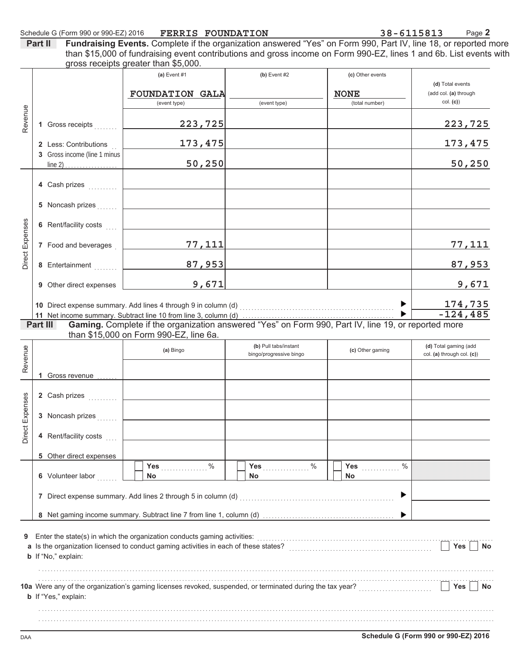38-6115813 Page 2

**Part II** Fundraising Events. Complete if the organization answered "Yes" on Form 990, Part IV, line 18, or reported more than \$15,000 of fundraising event contributions and gross income on Form 990-EZ, lines 1 and 6b. List events with gross receipts greater than \$5,000.

|                 |                              | (a) Event $#1$                                                                                                                                                                                                                 | (b) Event $#2$          | (c) Other events      |                                           |
|-----------------|------------------------------|--------------------------------------------------------------------------------------------------------------------------------------------------------------------------------------------------------------------------------|-------------------------|-----------------------|-------------------------------------------|
|                 |                              | <b>FOUNDATION GALA</b>                                                                                                                                                                                                         |                         | <b>NONE</b>           | (d) Total events<br>(add col. (a) through |
|                 |                              | (event type)                                                                                                                                                                                                                   | (event type)            | (total number)        | col. (c)                                  |
| Revenue         |                              |                                                                                                                                                                                                                                |                         |                       |                                           |
|                 | 1 Gross receipts             | 223,725                                                                                                                                                                                                                        |                         |                       | 223,725                                   |
|                 | 2 Less: Contributions        | 173, 475                                                                                                                                                                                                                       |                         |                       | 173,475                                   |
|                 | 3 Gross income (line 1 minus |                                                                                                                                                                                                                                |                         |                       |                                           |
|                 |                              | 50,250                                                                                                                                                                                                                         |                         |                       | 50, 250                                   |
|                 |                              |                                                                                                                                                                                                                                |                         |                       |                                           |
|                 | 4 Cash prizes                |                                                                                                                                                                                                                                |                         |                       |                                           |
|                 | 5 Noncash prizes             |                                                                                                                                                                                                                                |                         |                       |                                           |
|                 |                              |                                                                                                                                                                                                                                |                         |                       |                                           |
| Direct Expenses | 6 Rent/facility costs        |                                                                                                                                                                                                                                |                         |                       |                                           |
|                 | 7 Food and beverages         | <u>77,111</u>                                                                                                                                                                                                                  |                         |                       | <u>77,111</u>                             |
|                 |                              |                                                                                                                                                                                                                                |                         |                       |                                           |
|                 | 8 Entertainment              | 87,953                                                                                                                                                                                                                         |                         |                       | 87,953                                    |
|                 | 9 Other direct expenses      | 9,671                                                                                                                                                                                                                          |                         |                       | 9,671                                     |
|                 |                              |                                                                                                                                                                                                                                |                         |                       |                                           |
|                 |                              | 10 Direct expense summary. Add lines 4 through 9 in column (d) [11] content to the summary summary summary summary summary summary summary summary summary summary summary summary summary summary summary summary summary sum |                         | $\blacktriangleright$ | 174,735<br>$-124, 485$                    |
|                 | Part III                     | Gaming. Complete if the organization answered "Yes" on Form 990, Part IV, line 19, or reported more                                                                                                                            |                         |                       |                                           |
|                 |                              | than \$15,000 on Form 990-EZ, line 6a.                                                                                                                                                                                         |                         |                       |                                           |
|                 |                              | (a) Bingo                                                                                                                                                                                                                      | (b) Pull tabs/instant   | (c) Other gaming      | (d) Total gaming (add                     |
| Revenue         |                              |                                                                                                                                                                                                                                | bingo/progressive bingo |                       | col. (a) through col. (c))                |
|                 | 1 Gross revenue              |                                                                                                                                                                                                                                |                         |                       |                                           |
|                 |                              |                                                                                                                                                                                                                                |                         |                       |                                           |
|                 | 2 Cash prizes                |                                                                                                                                                                                                                                |                         |                       |                                           |
|                 | 3 Noncash prizes             |                                                                                                                                                                                                                                |                         |                       |                                           |
| Direct Expenses |                              |                                                                                                                                                                                                                                |                         |                       |                                           |
|                 | 4 Rent/facility costs        |                                                                                                                                                                                                                                |                         |                       |                                           |
|                 | 5 Other direct expenses      |                                                                                                                                                                                                                                |                         |                       |                                           |
|                 |                              | $\%$<br><b>Yes</b>                                                                                                                                                                                                             | $\%$<br>Yes             | $\%$<br><b>Yes</b>    |                                           |
|                 | 6 Volunteer labor            | No                                                                                                                                                                                                                             | No                      | <b>No</b>             |                                           |
|                 |                              |                                                                                                                                                                                                                                |                         | ▶                     |                                           |
|                 |                              | 7 Direct expense summary. Add lines 2 through 5 in column (d)                                                                                                                                                                  |                         |                       |                                           |
|                 |                              |                                                                                                                                                                                                                                |                         |                       |                                           |
|                 |                              |                                                                                                                                                                                                                                |                         |                       |                                           |
| 9               |                              | Enter the state(s) in which the organization conducts gaming activities:<br>a Is the organization licensed to conduct gaming activities in each of these states?                                                               |                         |                       | Yes<br>No                                 |
|                 | b If "No," explain:          |                                                                                                                                                                                                                                |                         |                       |                                           |
|                 |                              |                                                                                                                                                                                                                                |                         |                       |                                           |
|                 |                              | 10a Were any of the organization's gaming licenses revoked, suspended, or terminated during the tax year?                                                                                                                      |                         |                       | Yes<br>No                                 |
|                 | b If "Yes," explain:         |                                                                                                                                                                                                                                |                         |                       |                                           |
|                 |                              |                                                                                                                                                                                                                                |                         |                       |                                           |
|                 |                              |                                                                                                                                                                                                                                |                         |                       |                                           |
|                 |                              |                                                                                                                                                                                                                                |                         |                       |                                           |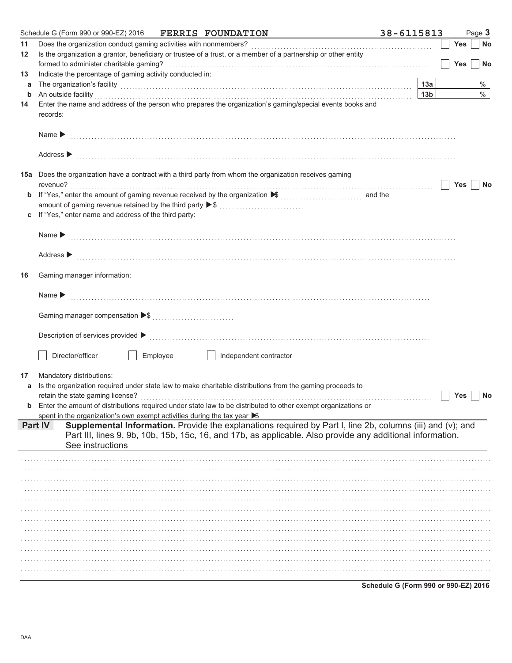| Does the organization conduct gaming activities with nonmembers?<br><b>Yes</b><br>11<br>Is the organization a grantor, beneficiary or trustee of a trust, or a member of a partnership or other entity<br>12<br><b>Yes</b><br>Indicate the percentage of gaming activity conducted in:<br>13<br>The organization's facility [1, 2003] The organization's facility [1, 2004] The organization's facility [1, 2004] The organization's facility [1, 2004] The organization of the state of the state of the state of the state o<br>13a<br>a<br>$\%$<br>An outside facility encourance and an account of the facility of the facility of the set of the set of the set of the set of the set of the set of the set of the set of the set of the set of the set of the set of the set o<br>13 <sub>b</sub><br>b<br>Enter the name and address of the person who prepares the organization's gaming/special events books and<br>14<br>records:<br>Address $\blacktriangleright$<br>15a Does the organization have a contract with a third party from whom the organization receives gaming<br><b>Yes</b><br>amount of gaming revenue retained by the third party ▶ \$<br>If "Yes," enter name and address of the third party:<br>Name > 2000 compared to the contract of the contract of the contract of the contract of the contract of the contract of the contract of the contract of the contract of the contract of the contract of the contract of the co<br>Address $\blacktriangleright$<br>Gaming manager information:<br>16<br>Name $\blacktriangleright$<br>Director/officer<br>Employee<br>Independent contractor<br>Mandatory distributions:<br>17<br>Is the organization required under state law to make charitable distributions from the gaming proceeds to<br>a<br>retain the state gaming license?<br>Yes<br><b>b</b> Enter the amount of distributions required under state law to be distributed to other exempt organizations or<br>spent in the organization's own exempt activities during the tax year $\blacktriangleright$<br>Supplemental Information. Provide the explanations required by Part I, line 2b, columns (iii) and (v); and<br>Part IV<br>Part III, lines 9, 9b, 10b, 15b, 15c, 16, and 17b, as applicable. Also provide any additional information.<br>See instructions | Schedule G (Form 990 or 990-EZ) 2016<br><b>FERRIS FOUNDATION</b> | 38-6115813 | Page 3    |
|--------------------------------------------------------------------------------------------------------------------------------------------------------------------------------------------------------------------------------------------------------------------------------------------------------------------------------------------------------------------------------------------------------------------------------------------------------------------------------------------------------------------------------------------------------------------------------------------------------------------------------------------------------------------------------------------------------------------------------------------------------------------------------------------------------------------------------------------------------------------------------------------------------------------------------------------------------------------------------------------------------------------------------------------------------------------------------------------------------------------------------------------------------------------------------------------------------------------------------------------------------------------------------------------------------------------------------------------------------------------------------------------------------------------------------------------------------------------------------------------------------------------------------------------------------------------------------------------------------------------------------------------------------------------------------------------------------------------------------------------------------------------------------------------------------------------------------------------------------------------------------------------------------------------------------------------------------------------------------------------------------------------------------------------------------------------------------------------------------------------------------------------------------------------------------------------------------------------------------------------------------------------------------------------------------------|------------------------------------------------------------------|------------|-----------|
|                                                                                                                                                                                                                                                                                                                                                                                                                                                                                                                                                                                                                                                                                                                                                                                                                                                                                                                                                                                                                                                                                                                                                                                                                                                                                                                                                                                                                                                                                                                                                                                                                                                                                                                                                                                                                                                                                                                                                                                                                                                                                                                                                                                                                                                                                                              |                                                                  |            | <b>No</b> |
|                                                                                                                                                                                                                                                                                                                                                                                                                                                                                                                                                                                                                                                                                                                                                                                                                                                                                                                                                                                                                                                                                                                                                                                                                                                                                                                                                                                                                                                                                                                                                                                                                                                                                                                                                                                                                                                                                                                                                                                                                                                                                                                                                                                                                                                                                                              |                                                                  |            |           |
|                                                                                                                                                                                                                                                                                                                                                                                                                                                                                                                                                                                                                                                                                                                                                                                                                                                                                                                                                                                                                                                                                                                                                                                                                                                                                                                                                                                                                                                                                                                                                                                                                                                                                                                                                                                                                                                                                                                                                                                                                                                                                                                                                                                                                                                                                                              |                                                                  |            | No        |
|                                                                                                                                                                                                                                                                                                                                                                                                                                                                                                                                                                                                                                                                                                                                                                                                                                                                                                                                                                                                                                                                                                                                                                                                                                                                                                                                                                                                                                                                                                                                                                                                                                                                                                                                                                                                                                                                                                                                                                                                                                                                                                                                                                                                                                                                                                              |                                                                  |            |           |
|                                                                                                                                                                                                                                                                                                                                                                                                                                                                                                                                                                                                                                                                                                                                                                                                                                                                                                                                                                                                                                                                                                                                                                                                                                                                                                                                                                                                                                                                                                                                                                                                                                                                                                                                                                                                                                                                                                                                                                                                                                                                                                                                                                                                                                                                                                              |                                                                  |            | %         |
|                                                                                                                                                                                                                                                                                                                                                                                                                                                                                                                                                                                                                                                                                                                                                                                                                                                                                                                                                                                                                                                                                                                                                                                                                                                                                                                                                                                                                                                                                                                                                                                                                                                                                                                                                                                                                                                                                                                                                                                                                                                                                                                                                                                                                                                                                                              |                                                                  |            |           |
|                                                                                                                                                                                                                                                                                                                                                                                                                                                                                                                                                                                                                                                                                                                                                                                                                                                                                                                                                                                                                                                                                                                                                                                                                                                                                                                                                                                                                                                                                                                                                                                                                                                                                                                                                                                                                                                                                                                                                                                                                                                                                                                                                                                                                                                                                                              |                                                                  |            |           |
|                                                                                                                                                                                                                                                                                                                                                                                                                                                                                                                                                                                                                                                                                                                                                                                                                                                                                                                                                                                                                                                                                                                                                                                                                                                                                                                                                                                                                                                                                                                                                                                                                                                                                                                                                                                                                                                                                                                                                                                                                                                                                                                                                                                                                                                                                                              |                                                                  |            |           |
|                                                                                                                                                                                                                                                                                                                                                                                                                                                                                                                                                                                                                                                                                                                                                                                                                                                                                                                                                                                                                                                                                                                                                                                                                                                                                                                                                                                                                                                                                                                                                                                                                                                                                                                                                                                                                                                                                                                                                                                                                                                                                                                                                                                                                                                                                                              |                                                                  |            |           |
|                                                                                                                                                                                                                                                                                                                                                                                                                                                                                                                                                                                                                                                                                                                                                                                                                                                                                                                                                                                                                                                                                                                                                                                                                                                                                                                                                                                                                                                                                                                                                                                                                                                                                                                                                                                                                                                                                                                                                                                                                                                                                                                                                                                                                                                                                                              |                                                                  |            |           |
|                                                                                                                                                                                                                                                                                                                                                                                                                                                                                                                                                                                                                                                                                                                                                                                                                                                                                                                                                                                                                                                                                                                                                                                                                                                                                                                                                                                                                                                                                                                                                                                                                                                                                                                                                                                                                                                                                                                                                                                                                                                                                                                                                                                                                                                                                                              |                                                                  |            | No        |
|                                                                                                                                                                                                                                                                                                                                                                                                                                                                                                                                                                                                                                                                                                                                                                                                                                                                                                                                                                                                                                                                                                                                                                                                                                                                                                                                                                                                                                                                                                                                                                                                                                                                                                                                                                                                                                                                                                                                                                                                                                                                                                                                                                                                                                                                                                              |                                                                  |            |           |
|                                                                                                                                                                                                                                                                                                                                                                                                                                                                                                                                                                                                                                                                                                                                                                                                                                                                                                                                                                                                                                                                                                                                                                                                                                                                                                                                                                                                                                                                                                                                                                                                                                                                                                                                                                                                                                                                                                                                                                                                                                                                                                                                                                                                                                                                                                              |                                                                  |            |           |
|                                                                                                                                                                                                                                                                                                                                                                                                                                                                                                                                                                                                                                                                                                                                                                                                                                                                                                                                                                                                                                                                                                                                                                                                                                                                                                                                                                                                                                                                                                                                                                                                                                                                                                                                                                                                                                                                                                                                                                                                                                                                                                                                                                                                                                                                                                              |                                                                  |            |           |
|                                                                                                                                                                                                                                                                                                                                                                                                                                                                                                                                                                                                                                                                                                                                                                                                                                                                                                                                                                                                                                                                                                                                                                                                                                                                                                                                                                                                                                                                                                                                                                                                                                                                                                                                                                                                                                                                                                                                                                                                                                                                                                                                                                                                                                                                                                              |                                                                  |            |           |
|                                                                                                                                                                                                                                                                                                                                                                                                                                                                                                                                                                                                                                                                                                                                                                                                                                                                                                                                                                                                                                                                                                                                                                                                                                                                                                                                                                                                                                                                                                                                                                                                                                                                                                                                                                                                                                                                                                                                                                                                                                                                                                                                                                                                                                                                                                              |                                                                  |            |           |
|                                                                                                                                                                                                                                                                                                                                                                                                                                                                                                                                                                                                                                                                                                                                                                                                                                                                                                                                                                                                                                                                                                                                                                                                                                                                                                                                                                                                                                                                                                                                                                                                                                                                                                                                                                                                                                                                                                                                                                                                                                                                                                                                                                                                                                                                                                              |                                                                  |            |           |
|                                                                                                                                                                                                                                                                                                                                                                                                                                                                                                                                                                                                                                                                                                                                                                                                                                                                                                                                                                                                                                                                                                                                                                                                                                                                                                                                                                                                                                                                                                                                                                                                                                                                                                                                                                                                                                                                                                                                                                                                                                                                                                                                                                                                                                                                                                              |                                                                  |            |           |
|                                                                                                                                                                                                                                                                                                                                                                                                                                                                                                                                                                                                                                                                                                                                                                                                                                                                                                                                                                                                                                                                                                                                                                                                                                                                                                                                                                                                                                                                                                                                                                                                                                                                                                                                                                                                                                                                                                                                                                                                                                                                                                                                                                                                                                                                                                              |                                                                  |            |           |
|                                                                                                                                                                                                                                                                                                                                                                                                                                                                                                                                                                                                                                                                                                                                                                                                                                                                                                                                                                                                                                                                                                                                                                                                                                                                                                                                                                                                                                                                                                                                                                                                                                                                                                                                                                                                                                                                                                                                                                                                                                                                                                                                                                                                                                                                                                              |                                                                  |            |           |
|                                                                                                                                                                                                                                                                                                                                                                                                                                                                                                                                                                                                                                                                                                                                                                                                                                                                                                                                                                                                                                                                                                                                                                                                                                                                                                                                                                                                                                                                                                                                                                                                                                                                                                                                                                                                                                                                                                                                                                                                                                                                                                                                                                                                                                                                                                              |                                                                  |            |           |
|                                                                                                                                                                                                                                                                                                                                                                                                                                                                                                                                                                                                                                                                                                                                                                                                                                                                                                                                                                                                                                                                                                                                                                                                                                                                                                                                                                                                                                                                                                                                                                                                                                                                                                                                                                                                                                                                                                                                                                                                                                                                                                                                                                                                                                                                                                              |                                                                  |            |           |
|                                                                                                                                                                                                                                                                                                                                                                                                                                                                                                                                                                                                                                                                                                                                                                                                                                                                                                                                                                                                                                                                                                                                                                                                                                                                                                                                                                                                                                                                                                                                                                                                                                                                                                                                                                                                                                                                                                                                                                                                                                                                                                                                                                                                                                                                                                              |                                                                  |            |           |
|                                                                                                                                                                                                                                                                                                                                                                                                                                                                                                                                                                                                                                                                                                                                                                                                                                                                                                                                                                                                                                                                                                                                                                                                                                                                                                                                                                                                                                                                                                                                                                                                                                                                                                                                                                                                                                                                                                                                                                                                                                                                                                                                                                                                                                                                                                              |                                                                  |            |           |
|                                                                                                                                                                                                                                                                                                                                                                                                                                                                                                                                                                                                                                                                                                                                                                                                                                                                                                                                                                                                                                                                                                                                                                                                                                                                                                                                                                                                                                                                                                                                                                                                                                                                                                                                                                                                                                                                                                                                                                                                                                                                                                                                                                                                                                                                                                              |                                                                  |            |           |
|                                                                                                                                                                                                                                                                                                                                                                                                                                                                                                                                                                                                                                                                                                                                                                                                                                                                                                                                                                                                                                                                                                                                                                                                                                                                                                                                                                                                                                                                                                                                                                                                                                                                                                                                                                                                                                                                                                                                                                                                                                                                                                                                                                                                                                                                                                              |                                                                  |            | No        |
|                                                                                                                                                                                                                                                                                                                                                                                                                                                                                                                                                                                                                                                                                                                                                                                                                                                                                                                                                                                                                                                                                                                                                                                                                                                                                                                                                                                                                                                                                                                                                                                                                                                                                                                                                                                                                                                                                                                                                                                                                                                                                                                                                                                                                                                                                                              |                                                                  |            |           |
|                                                                                                                                                                                                                                                                                                                                                                                                                                                                                                                                                                                                                                                                                                                                                                                                                                                                                                                                                                                                                                                                                                                                                                                                                                                                                                                                                                                                                                                                                                                                                                                                                                                                                                                                                                                                                                                                                                                                                                                                                                                                                                                                                                                                                                                                                                              |                                                                  |            |           |
|                                                                                                                                                                                                                                                                                                                                                                                                                                                                                                                                                                                                                                                                                                                                                                                                                                                                                                                                                                                                                                                                                                                                                                                                                                                                                                                                                                                                                                                                                                                                                                                                                                                                                                                                                                                                                                                                                                                                                                                                                                                                                                                                                                                                                                                                                                              |                                                                  |            |           |
|                                                                                                                                                                                                                                                                                                                                                                                                                                                                                                                                                                                                                                                                                                                                                                                                                                                                                                                                                                                                                                                                                                                                                                                                                                                                                                                                                                                                                                                                                                                                                                                                                                                                                                                                                                                                                                                                                                                                                                                                                                                                                                                                                                                                                                                                                                              |                                                                  |            |           |
|                                                                                                                                                                                                                                                                                                                                                                                                                                                                                                                                                                                                                                                                                                                                                                                                                                                                                                                                                                                                                                                                                                                                                                                                                                                                                                                                                                                                                                                                                                                                                                                                                                                                                                                                                                                                                                                                                                                                                                                                                                                                                                                                                                                                                                                                                                              |                                                                  |            |           |
|                                                                                                                                                                                                                                                                                                                                                                                                                                                                                                                                                                                                                                                                                                                                                                                                                                                                                                                                                                                                                                                                                                                                                                                                                                                                                                                                                                                                                                                                                                                                                                                                                                                                                                                                                                                                                                                                                                                                                                                                                                                                                                                                                                                                                                                                                                              |                                                                  |            |           |
|                                                                                                                                                                                                                                                                                                                                                                                                                                                                                                                                                                                                                                                                                                                                                                                                                                                                                                                                                                                                                                                                                                                                                                                                                                                                                                                                                                                                                                                                                                                                                                                                                                                                                                                                                                                                                                                                                                                                                                                                                                                                                                                                                                                                                                                                                                              |                                                                  |            |           |
|                                                                                                                                                                                                                                                                                                                                                                                                                                                                                                                                                                                                                                                                                                                                                                                                                                                                                                                                                                                                                                                                                                                                                                                                                                                                                                                                                                                                                                                                                                                                                                                                                                                                                                                                                                                                                                                                                                                                                                                                                                                                                                                                                                                                                                                                                                              |                                                                  |            |           |
|                                                                                                                                                                                                                                                                                                                                                                                                                                                                                                                                                                                                                                                                                                                                                                                                                                                                                                                                                                                                                                                                                                                                                                                                                                                                                                                                                                                                                                                                                                                                                                                                                                                                                                                                                                                                                                                                                                                                                                                                                                                                                                                                                                                                                                                                                                              |                                                                  |            |           |
|                                                                                                                                                                                                                                                                                                                                                                                                                                                                                                                                                                                                                                                                                                                                                                                                                                                                                                                                                                                                                                                                                                                                                                                                                                                                                                                                                                                                                                                                                                                                                                                                                                                                                                                                                                                                                                                                                                                                                                                                                                                                                                                                                                                                                                                                                                              |                                                                  |            |           |
|                                                                                                                                                                                                                                                                                                                                                                                                                                                                                                                                                                                                                                                                                                                                                                                                                                                                                                                                                                                                                                                                                                                                                                                                                                                                                                                                                                                                                                                                                                                                                                                                                                                                                                                                                                                                                                                                                                                                                                                                                                                                                                                                                                                                                                                                                                              |                                                                  |            |           |
|                                                                                                                                                                                                                                                                                                                                                                                                                                                                                                                                                                                                                                                                                                                                                                                                                                                                                                                                                                                                                                                                                                                                                                                                                                                                                                                                                                                                                                                                                                                                                                                                                                                                                                                                                                                                                                                                                                                                                                                                                                                                                                                                                                                                                                                                                                              |                                                                  |            |           |
|                                                                                                                                                                                                                                                                                                                                                                                                                                                                                                                                                                                                                                                                                                                                                                                                                                                                                                                                                                                                                                                                                                                                                                                                                                                                                                                                                                                                                                                                                                                                                                                                                                                                                                                                                                                                                                                                                                                                                                                                                                                                                                                                                                                                                                                                                                              |                                                                  |            |           |
|                                                                                                                                                                                                                                                                                                                                                                                                                                                                                                                                                                                                                                                                                                                                                                                                                                                                                                                                                                                                                                                                                                                                                                                                                                                                                                                                                                                                                                                                                                                                                                                                                                                                                                                                                                                                                                                                                                                                                                                                                                                                                                                                                                                                                                                                                                              |                                                                  |            |           |
|                                                                                                                                                                                                                                                                                                                                                                                                                                                                                                                                                                                                                                                                                                                                                                                                                                                                                                                                                                                                                                                                                                                                                                                                                                                                                                                                                                                                                                                                                                                                                                                                                                                                                                                                                                                                                                                                                                                                                                                                                                                                                                                                                                                                                                                                                                              |                                                                  |            |           |
|                                                                                                                                                                                                                                                                                                                                                                                                                                                                                                                                                                                                                                                                                                                                                                                                                                                                                                                                                                                                                                                                                                                                                                                                                                                                                                                                                                                                                                                                                                                                                                                                                                                                                                                                                                                                                                                                                                                                                                                                                                                                                                                                                                                                                                                                                                              |                                                                  |            |           |

Schedule G (Form 990 or 990-EZ) 2016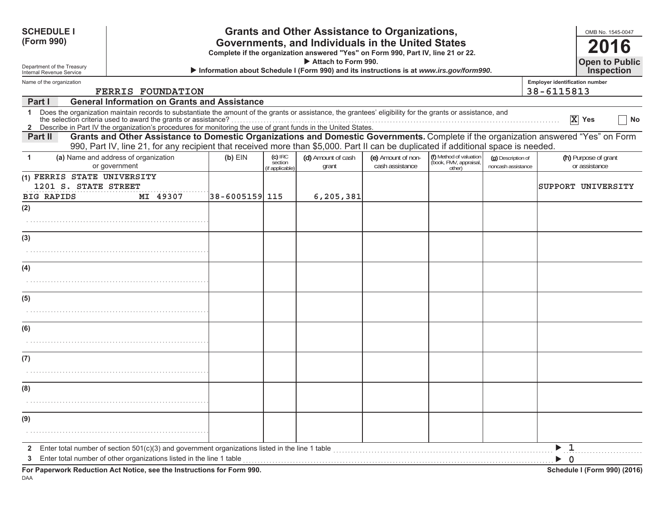| <b>SCHEDULE I</b><br>(Form 990)                                                                                                                                                                                                                                                                                                                                       |                     |                                         | <b>Grants and Other Assistance to Organizations,</b><br>Governments, and Individuals in the United States<br>Complete if the organization answered "Yes" on Form 990, Part IV, line 21 or 22. |                                       |                                                             |                                          | OMB No. 1545-0047<br>2016                          |
|-----------------------------------------------------------------------------------------------------------------------------------------------------------------------------------------------------------------------------------------------------------------------------------------------------------------------------------------------------------------------|---------------------|-----------------------------------------|-----------------------------------------------------------------------------------------------------------------------------------------------------------------------------------------------|---------------------------------------|-------------------------------------------------------------|------------------------------------------|----------------------------------------------------|
| Department of the Treasury<br>Internal Revenue Service                                                                                                                                                                                                                                                                                                                |                     |                                         | Attach to Form 990.<br>Information about Schedule I (Form 990) and its instructions is at www.irs.gov/form990.                                                                                |                                       |                                                             |                                          | <b>Open to Public</b><br><b>Inspection</b>         |
| Name of the organization                                                                                                                                                                                                                                                                                                                                              |                     |                                         |                                                                                                                                                                                               |                                       |                                                             |                                          | <b>Employer identification number</b>              |
| <b>FERRIS FOUNDATION</b><br><b>General Information on Grants and Assistance</b><br>Part I                                                                                                                                                                                                                                                                             |                     |                                         |                                                                                                                                                                                               |                                       |                                                             |                                          | 38-6115813                                         |
| Does the organization maintain records to substantiate the amount of the grants or assistance, the grantees' eligibility for the grants or assistance, and<br>$\mathbf 1$<br>the selection criteria used to award the grants or assistance?<br><u>2</u> Describe in Part IV the organization's procedures for monitoring the use of grant funds in the United States. |                     |                                         |                                                                                                                                                                                               |                                       |                                                             |                                          | $\overline{X}$ Yes<br>No                           |
| Grants and Other Assistance to Domestic Organizations and Domestic Governments. Complete if the organization answered "Yes" on Form<br>Part II<br>990, Part IV, line 21, for any recipient that received more than \$5,000. Part II can be duplicated if additional space is needed.                                                                                  |                     |                                         |                                                                                                                                                                                               |                                       |                                                             |                                          |                                                    |
| (a) Name and address of organization<br>$\mathbf{1}$<br>or government                                                                                                                                                                                                                                                                                                 | $(b)$ EIN           | $(c)$ IRC<br>section<br>(if applicable) | (d) Amount of cash<br>grant                                                                                                                                                                   | (e) Amount of non-<br>cash assistance | (f) Method of valuation<br>(book, FMV, appraisal,<br>other) | (g) Description of<br>noncash assistance | (h) Purpose of grant<br>or assistance              |
| (1) FERRIS STATE UNIVERSITY<br>1201 S. STATE STREET<br>MI 49307<br><b>BIG RAPIDS</b>                                                                                                                                                                                                                                                                                  | $ 38 - 6005159 115$ |                                         | 6,205,381                                                                                                                                                                                     |                                       |                                                             |                                          | SUPPORT UNIVERSITY                                 |
| (2)                                                                                                                                                                                                                                                                                                                                                                   |                     |                                         |                                                                                                                                                                                               |                                       |                                                             |                                          |                                                    |
|                                                                                                                                                                                                                                                                                                                                                                       |                     |                                         |                                                                                                                                                                                               |                                       |                                                             |                                          |                                                    |
| (3)                                                                                                                                                                                                                                                                                                                                                                   |                     |                                         |                                                                                                                                                                                               |                                       |                                                             |                                          |                                                    |
|                                                                                                                                                                                                                                                                                                                                                                       |                     |                                         |                                                                                                                                                                                               |                                       |                                                             |                                          |                                                    |
| (4)                                                                                                                                                                                                                                                                                                                                                                   |                     |                                         |                                                                                                                                                                                               |                                       |                                                             |                                          |                                                    |
|                                                                                                                                                                                                                                                                                                                                                                       |                     |                                         |                                                                                                                                                                                               |                                       |                                                             |                                          |                                                    |
| (5)                                                                                                                                                                                                                                                                                                                                                                   |                     |                                         |                                                                                                                                                                                               |                                       |                                                             |                                          |                                                    |
|                                                                                                                                                                                                                                                                                                                                                                       |                     |                                         |                                                                                                                                                                                               |                                       |                                                             |                                          |                                                    |
| (6)                                                                                                                                                                                                                                                                                                                                                                   |                     |                                         |                                                                                                                                                                                               |                                       |                                                             |                                          |                                                    |
|                                                                                                                                                                                                                                                                                                                                                                       |                     |                                         |                                                                                                                                                                                               |                                       |                                                             |                                          |                                                    |
| (7)                                                                                                                                                                                                                                                                                                                                                                   |                     |                                         |                                                                                                                                                                                               |                                       |                                                             |                                          |                                                    |
|                                                                                                                                                                                                                                                                                                                                                                       |                     |                                         |                                                                                                                                                                                               |                                       |                                                             |                                          |                                                    |
| (8)                                                                                                                                                                                                                                                                                                                                                                   |                     |                                         |                                                                                                                                                                                               |                                       |                                                             |                                          |                                                    |
|                                                                                                                                                                                                                                                                                                                                                                       |                     |                                         |                                                                                                                                                                                               |                                       |                                                             |                                          |                                                    |
| (9)                                                                                                                                                                                                                                                                                                                                                                   |                     |                                         |                                                                                                                                                                                               |                                       |                                                             |                                          |                                                    |
|                                                                                                                                                                                                                                                                                                                                                                       |                     |                                         |                                                                                                                                                                                               |                                       |                                                             |                                          |                                                    |
| Enter total number of section $501(c)(3)$ and government organizations listed in the line 1 table<br>$\mathbf{2}$                                                                                                                                                                                                                                                     |                     |                                         |                                                                                                                                                                                               |                                       |                                                             |                                          | $\blacktriangleright$ 1                            |
| Enter total number of other organizations listed in the line 1 table<br>3<br>For Paperwork Reduction Act Notice, see the Instructions for Form 990.                                                                                                                                                                                                                   |                     |                                         |                                                                                                                                                                                               |                                       |                                                             |                                          | $\triangleright$ 0<br>Schedule I (Form 990) (2016) |

DAA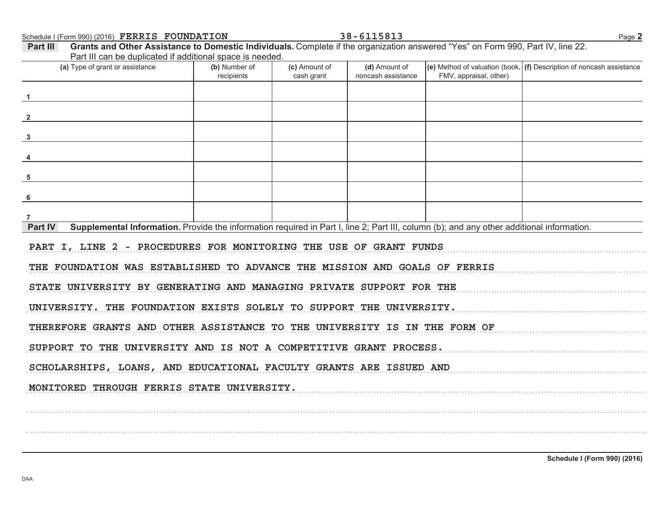Schedule I (Form 990) (2016) FERRIS FOUNDATION

Grants and Other Assistance to Domestic Individuals. Complete if the organization answered "Yes" on Form 990, Part IV, line 22. Part III Part III can be duplicated if additional space is needed. (a) Type of grant or assistance (b) Number of (c) Amount of  $\vert$ (e) Method of valuation (book,  $\vert$  (f) Description of noncash assistance (d) Amount of FMV, appraisal, other) recipients cash grant noncash assistance  $\overline{2}$  $3<sup>1</sup>$ 5 6  $\overline{7}$ Supplemental Information. Provide the information required in Part I, line 2; Part III, column (b); and any other additional information. **Part IV** PART I, LINE 2 - PROCEDURES FOR MONITORING THE USE OF GRANT FUNDS THE FOUNDATION WAS ESTABLISHED TO ADVANCE THE MISSION AND GOALS OF FERRIS STATE UNIVERSITY BY GENERATING AND MANAGING PRIVATE SUPPORT FOR THE UNIVERSITY. THE FOUNDATION EXISTS SOLELY TO SUPPORT THE UNIVERSITY. THEREFORE GRANTS AND OTHER ASSISTANCE TO THE UNIVERSITY IS IN THE FORM OF SUPPORT TO THE UNIVERSITY AND IS NOT A COMPETITIVE GRANT PROCESS. SCHOLARSHIPS, LOANS, AND EDUCATIONAL FACULTY GRANTS ARE ISSUED AND MONITORED THROUGH FERRIS STATE UNIVERSITY.

38-6115813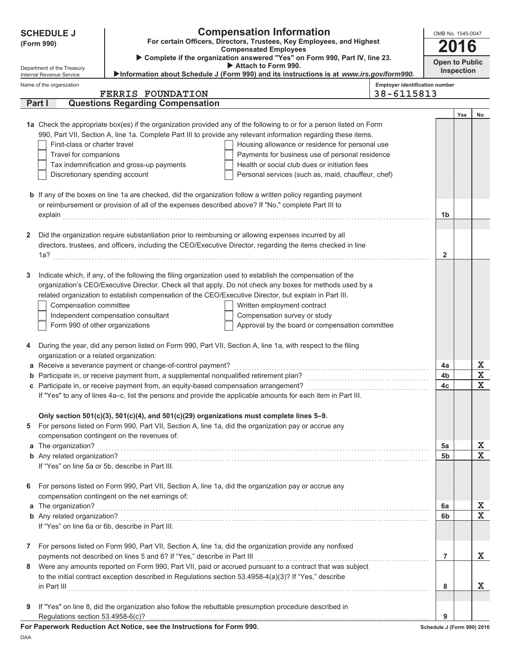| <b>Compensation Information</b><br><b>SCHEDULE J</b><br>For certain Officers, Directors, Trustees, Key Employees, and Highest<br>(Form 990)<br><b>Compensated Employees</b><br>Complete if the organization answered "Yes" on Form 990, Part IV, line 23.<br>Attach to Form 990.<br>Department of the Treasury<br>>Information about Schedule J (Form 990) and its instructions is at www.irs.gov/form990.<br>Internal Revenue Service<br>Name of the organization<br><b>FERRIS FOUNDATION</b><br>Part I<br><b>Questions Regarding Compensation</b><br>1a Check the appropriate box(es) if the organization provided any of the following to or for a person listed on Form<br>990, Part VII, Section A, line 1a. Complete Part III to provide any relevant information regarding these items.<br>First-class or charter travel<br>Housing allowance or residence for personal use<br>Payments for business use of personal residence<br>Travel for companions<br>Tax indemnification and gross-up payments<br>Health or social club dues or initiation fees<br>Discretionary spending account<br>Personal services (such as, maid, chauffeur, chef)<br><b>b</b> If any of the boxes on line 1a are checked, did the organization follow a written policy regarding payment<br>or reimbursement or provision of all of the expenses described above? If "No," complete Part III to<br>Did the organization require substantiation prior to reimbursing or allowing expenses incurred by all<br>2<br>directors, trustees, and officers, including the CEO/Executive Director, regarding the items checked in line<br>1a?<br>Indicate which, if any, of the following the filing organization used to establish the compensation of the<br>3<br>organization's CEO/Executive Director. Check all that apply. Do not check any boxes for methods used by a<br>related organization to establish compensation of the CEO/Executive Director, but explain in Part III.<br>Compensation committee<br>Written employment contract<br>Independent compensation consultant<br>Compensation survey or study<br>Form 990 of other organizations<br>Approval by the board or compensation committee<br>During the year, did any person listed on Form 990, Part VII, Section A, line 1a, with respect to the filing<br>4<br>organization or a related organization:<br>a Receive a severance payment or change-of-control payment?<br><b>b</b> Participate in, or receive payment from, a supplemental nonqualified retirement plan?<br>c Participate in, or receive payment from, an equity-based compensation arrangement?<br>If "Yes" to any of lines 4a-c, list the persons and provide the applicable amounts for each item in Part III.<br>Only section $501(c)(3)$ , $501(c)(4)$ , and $501(c)(29)$ organizations must complete lines 5-9. | <b>Employer identification number</b><br>38-6115813<br>1b<br>$\mathbf{2}$ | OMB No. 1545-0047<br>2016<br><b>Open to Public</b><br><b>Inspection</b><br>Yes | No                      |
|---------------------------------------------------------------------------------------------------------------------------------------------------------------------------------------------------------------------------------------------------------------------------------------------------------------------------------------------------------------------------------------------------------------------------------------------------------------------------------------------------------------------------------------------------------------------------------------------------------------------------------------------------------------------------------------------------------------------------------------------------------------------------------------------------------------------------------------------------------------------------------------------------------------------------------------------------------------------------------------------------------------------------------------------------------------------------------------------------------------------------------------------------------------------------------------------------------------------------------------------------------------------------------------------------------------------------------------------------------------------------------------------------------------------------------------------------------------------------------------------------------------------------------------------------------------------------------------------------------------------------------------------------------------------------------------------------------------------------------------------------------------------------------------------------------------------------------------------------------------------------------------------------------------------------------------------------------------------------------------------------------------------------------------------------------------------------------------------------------------------------------------------------------------------------------------------------------------------------------------------------------------------------------------------------------------------------------------------------------------------------------------------------------------------------------------------------------------------------------------------------------------------------------------------------------------------------------------------------------------------------------------------------------------------------------------------------------------------------------------------------------------------------------------------------------------------------------------|---------------------------------------------------------------------------|--------------------------------------------------------------------------------|-------------------------|
|                                                                                                                                                                                                                                                                                                                                                                                                                                                                                                                                                                                                                                                                                                                                                                                                                                                                                                                                                                                                                                                                                                                                                                                                                                                                                                                                                                                                                                                                                                                                                                                                                                                                                                                                                                                                                                                                                                                                                                                                                                                                                                                                                                                                                                                                                                                                                                                                                                                                                                                                                                                                                                                                                                                                                                                                                                       |                                                                           |                                                                                |                         |
|                                                                                                                                                                                                                                                                                                                                                                                                                                                                                                                                                                                                                                                                                                                                                                                                                                                                                                                                                                                                                                                                                                                                                                                                                                                                                                                                                                                                                                                                                                                                                                                                                                                                                                                                                                                                                                                                                                                                                                                                                                                                                                                                                                                                                                                                                                                                                                                                                                                                                                                                                                                                                                                                                                                                                                                                                                       |                                                                           |                                                                                |                         |
|                                                                                                                                                                                                                                                                                                                                                                                                                                                                                                                                                                                                                                                                                                                                                                                                                                                                                                                                                                                                                                                                                                                                                                                                                                                                                                                                                                                                                                                                                                                                                                                                                                                                                                                                                                                                                                                                                                                                                                                                                                                                                                                                                                                                                                                                                                                                                                                                                                                                                                                                                                                                                                                                                                                                                                                                                                       |                                                                           |                                                                                |                         |
|                                                                                                                                                                                                                                                                                                                                                                                                                                                                                                                                                                                                                                                                                                                                                                                                                                                                                                                                                                                                                                                                                                                                                                                                                                                                                                                                                                                                                                                                                                                                                                                                                                                                                                                                                                                                                                                                                                                                                                                                                                                                                                                                                                                                                                                                                                                                                                                                                                                                                                                                                                                                                                                                                                                                                                                                                                       |                                                                           |                                                                                |                         |
|                                                                                                                                                                                                                                                                                                                                                                                                                                                                                                                                                                                                                                                                                                                                                                                                                                                                                                                                                                                                                                                                                                                                                                                                                                                                                                                                                                                                                                                                                                                                                                                                                                                                                                                                                                                                                                                                                                                                                                                                                                                                                                                                                                                                                                                                                                                                                                                                                                                                                                                                                                                                                                                                                                                                                                                                                                       |                                                                           |                                                                                |                         |
|                                                                                                                                                                                                                                                                                                                                                                                                                                                                                                                                                                                                                                                                                                                                                                                                                                                                                                                                                                                                                                                                                                                                                                                                                                                                                                                                                                                                                                                                                                                                                                                                                                                                                                                                                                                                                                                                                                                                                                                                                                                                                                                                                                                                                                                                                                                                                                                                                                                                                                                                                                                                                                                                                                                                                                                                                                       |                                                                           |                                                                                |                         |
|                                                                                                                                                                                                                                                                                                                                                                                                                                                                                                                                                                                                                                                                                                                                                                                                                                                                                                                                                                                                                                                                                                                                                                                                                                                                                                                                                                                                                                                                                                                                                                                                                                                                                                                                                                                                                                                                                                                                                                                                                                                                                                                                                                                                                                                                                                                                                                                                                                                                                                                                                                                                                                                                                                                                                                                                                                       |                                                                           |                                                                                |                         |
|                                                                                                                                                                                                                                                                                                                                                                                                                                                                                                                                                                                                                                                                                                                                                                                                                                                                                                                                                                                                                                                                                                                                                                                                                                                                                                                                                                                                                                                                                                                                                                                                                                                                                                                                                                                                                                                                                                                                                                                                                                                                                                                                                                                                                                                                                                                                                                                                                                                                                                                                                                                                                                                                                                                                                                                                                                       |                                                                           |                                                                                |                         |
|                                                                                                                                                                                                                                                                                                                                                                                                                                                                                                                                                                                                                                                                                                                                                                                                                                                                                                                                                                                                                                                                                                                                                                                                                                                                                                                                                                                                                                                                                                                                                                                                                                                                                                                                                                                                                                                                                                                                                                                                                                                                                                                                                                                                                                                                                                                                                                                                                                                                                                                                                                                                                                                                                                                                                                                                                                       |                                                                           |                                                                                |                         |
|                                                                                                                                                                                                                                                                                                                                                                                                                                                                                                                                                                                                                                                                                                                                                                                                                                                                                                                                                                                                                                                                                                                                                                                                                                                                                                                                                                                                                                                                                                                                                                                                                                                                                                                                                                                                                                                                                                                                                                                                                                                                                                                                                                                                                                                                                                                                                                                                                                                                                                                                                                                                                                                                                                                                                                                                                                       |                                                                           |                                                                                |                         |
|                                                                                                                                                                                                                                                                                                                                                                                                                                                                                                                                                                                                                                                                                                                                                                                                                                                                                                                                                                                                                                                                                                                                                                                                                                                                                                                                                                                                                                                                                                                                                                                                                                                                                                                                                                                                                                                                                                                                                                                                                                                                                                                                                                                                                                                                                                                                                                                                                                                                                                                                                                                                                                                                                                                                                                                                                                       |                                                                           |                                                                                |                         |
|                                                                                                                                                                                                                                                                                                                                                                                                                                                                                                                                                                                                                                                                                                                                                                                                                                                                                                                                                                                                                                                                                                                                                                                                                                                                                                                                                                                                                                                                                                                                                                                                                                                                                                                                                                                                                                                                                                                                                                                                                                                                                                                                                                                                                                                                                                                                                                                                                                                                                                                                                                                                                                                                                                                                                                                                                                       |                                                                           |                                                                                |                         |
|                                                                                                                                                                                                                                                                                                                                                                                                                                                                                                                                                                                                                                                                                                                                                                                                                                                                                                                                                                                                                                                                                                                                                                                                                                                                                                                                                                                                                                                                                                                                                                                                                                                                                                                                                                                                                                                                                                                                                                                                                                                                                                                                                                                                                                                                                                                                                                                                                                                                                                                                                                                                                                                                                                                                                                                                                                       |                                                                           |                                                                                |                         |
|                                                                                                                                                                                                                                                                                                                                                                                                                                                                                                                                                                                                                                                                                                                                                                                                                                                                                                                                                                                                                                                                                                                                                                                                                                                                                                                                                                                                                                                                                                                                                                                                                                                                                                                                                                                                                                                                                                                                                                                                                                                                                                                                                                                                                                                                                                                                                                                                                                                                                                                                                                                                                                                                                                                                                                                                                                       |                                                                           |                                                                                |                         |
|                                                                                                                                                                                                                                                                                                                                                                                                                                                                                                                                                                                                                                                                                                                                                                                                                                                                                                                                                                                                                                                                                                                                                                                                                                                                                                                                                                                                                                                                                                                                                                                                                                                                                                                                                                                                                                                                                                                                                                                                                                                                                                                                                                                                                                                                                                                                                                                                                                                                                                                                                                                                                                                                                                                                                                                                                                       |                                                                           |                                                                                |                         |
|                                                                                                                                                                                                                                                                                                                                                                                                                                                                                                                                                                                                                                                                                                                                                                                                                                                                                                                                                                                                                                                                                                                                                                                                                                                                                                                                                                                                                                                                                                                                                                                                                                                                                                                                                                                                                                                                                                                                                                                                                                                                                                                                                                                                                                                                                                                                                                                                                                                                                                                                                                                                                                                                                                                                                                                                                                       |                                                                           |                                                                                |                         |
|                                                                                                                                                                                                                                                                                                                                                                                                                                                                                                                                                                                                                                                                                                                                                                                                                                                                                                                                                                                                                                                                                                                                                                                                                                                                                                                                                                                                                                                                                                                                                                                                                                                                                                                                                                                                                                                                                                                                                                                                                                                                                                                                                                                                                                                                                                                                                                                                                                                                                                                                                                                                                                                                                                                                                                                                                                       |                                                                           |                                                                                |                         |
|                                                                                                                                                                                                                                                                                                                                                                                                                                                                                                                                                                                                                                                                                                                                                                                                                                                                                                                                                                                                                                                                                                                                                                                                                                                                                                                                                                                                                                                                                                                                                                                                                                                                                                                                                                                                                                                                                                                                                                                                                                                                                                                                                                                                                                                                                                                                                                                                                                                                                                                                                                                                                                                                                                                                                                                                                                       |                                                                           |                                                                                |                         |
|                                                                                                                                                                                                                                                                                                                                                                                                                                                                                                                                                                                                                                                                                                                                                                                                                                                                                                                                                                                                                                                                                                                                                                                                                                                                                                                                                                                                                                                                                                                                                                                                                                                                                                                                                                                                                                                                                                                                                                                                                                                                                                                                                                                                                                                                                                                                                                                                                                                                                                                                                                                                                                                                                                                                                                                                                                       |                                                                           |                                                                                |                         |
|                                                                                                                                                                                                                                                                                                                                                                                                                                                                                                                                                                                                                                                                                                                                                                                                                                                                                                                                                                                                                                                                                                                                                                                                                                                                                                                                                                                                                                                                                                                                                                                                                                                                                                                                                                                                                                                                                                                                                                                                                                                                                                                                                                                                                                                                                                                                                                                                                                                                                                                                                                                                                                                                                                                                                                                                                                       |                                                                           |                                                                                |                         |
|                                                                                                                                                                                                                                                                                                                                                                                                                                                                                                                                                                                                                                                                                                                                                                                                                                                                                                                                                                                                                                                                                                                                                                                                                                                                                                                                                                                                                                                                                                                                                                                                                                                                                                                                                                                                                                                                                                                                                                                                                                                                                                                                                                                                                                                                                                                                                                                                                                                                                                                                                                                                                                                                                                                                                                                                                                       |                                                                           |                                                                                |                         |
|                                                                                                                                                                                                                                                                                                                                                                                                                                                                                                                                                                                                                                                                                                                                                                                                                                                                                                                                                                                                                                                                                                                                                                                                                                                                                                                                                                                                                                                                                                                                                                                                                                                                                                                                                                                                                                                                                                                                                                                                                                                                                                                                                                                                                                                                                                                                                                                                                                                                                                                                                                                                                                                                                                                                                                                                                                       |                                                                           |                                                                                |                         |
|                                                                                                                                                                                                                                                                                                                                                                                                                                                                                                                                                                                                                                                                                                                                                                                                                                                                                                                                                                                                                                                                                                                                                                                                                                                                                                                                                                                                                                                                                                                                                                                                                                                                                                                                                                                                                                                                                                                                                                                                                                                                                                                                                                                                                                                                                                                                                                                                                                                                                                                                                                                                                                                                                                                                                                                                                                       |                                                                           |                                                                                |                         |
|                                                                                                                                                                                                                                                                                                                                                                                                                                                                                                                                                                                                                                                                                                                                                                                                                                                                                                                                                                                                                                                                                                                                                                                                                                                                                                                                                                                                                                                                                                                                                                                                                                                                                                                                                                                                                                                                                                                                                                                                                                                                                                                                                                                                                                                                                                                                                                                                                                                                                                                                                                                                                                                                                                                                                                                                                                       |                                                                           |                                                                                |                         |
|                                                                                                                                                                                                                                                                                                                                                                                                                                                                                                                                                                                                                                                                                                                                                                                                                                                                                                                                                                                                                                                                                                                                                                                                                                                                                                                                                                                                                                                                                                                                                                                                                                                                                                                                                                                                                                                                                                                                                                                                                                                                                                                                                                                                                                                                                                                                                                                                                                                                                                                                                                                                                                                                                                                                                                                                                                       |                                                                           |                                                                                |                         |
|                                                                                                                                                                                                                                                                                                                                                                                                                                                                                                                                                                                                                                                                                                                                                                                                                                                                                                                                                                                                                                                                                                                                                                                                                                                                                                                                                                                                                                                                                                                                                                                                                                                                                                                                                                                                                                                                                                                                                                                                                                                                                                                                                                                                                                                                                                                                                                                                                                                                                                                                                                                                                                                                                                                                                                                                                                       |                                                                           |                                                                                |                         |
|                                                                                                                                                                                                                                                                                                                                                                                                                                                                                                                                                                                                                                                                                                                                                                                                                                                                                                                                                                                                                                                                                                                                                                                                                                                                                                                                                                                                                                                                                                                                                                                                                                                                                                                                                                                                                                                                                                                                                                                                                                                                                                                                                                                                                                                                                                                                                                                                                                                                                                                                                                                                                                                                                                                                                                                                                                       |                                                                           |                                                                                |                         |
|                                                                                                                                                                                                                                                                                                                                                                                                                                                                                                                                                                                                                                                                                                                                                                                                                                                                                                                                                                                                                                                                                                                                                                                                                                                                                                                                                                                                                                                                                                                                                                                                                                                                                                                                                                                                                                                                                                                                                                                                                                                                                                                                                                                                                                                                                                                                                                                                                                                                                                                                                                                                                                                                                                                                                                                                                                       | 4a                                                                        |                                                                                | X                       |
|                                                                                                                                                                                                                                                                                                                                                                                                                                                                                                                                                                                                                                                                                                                                                                                                                                                                                                                                                                                                                                                                                                                                                                                                                                                                                                                                                                                                                                                                                                                                                                                                                                                                                                                                                                                                                                                                                                                                                                                                                                                                                                                                                                                                                                                                                                                                                                                                                                                                                                                                                                                                                                                                                                                                                                                                                                       | 4b                                                                        |                                                                                | X                       |
|                                                                                                                                                                                                                                                                                                                                                                                                                                                                                                                                                                                                                                                                                                                                                                                                                                                                                                                                                                                                                                                                                                                                                                                                                                                                                                                                                                                                                                                                                                                                                                                                                                                                                                                                                                                                                                                                                                                                                                                                                                                                                                                                                                                                                                                                                                                                                                                                                                                                                                                                                                                                                                                                                                                                                                                                                                       | 4c                                                                        |                                                                                | $\mathbf{x}$            |
|                                                                                                                                                                                                                                                                                                                                                                                                                                                                                                                                                                                                                                                                                                                                                                                                                                                                                                                                                                                                                                                                                                                                                                                                                                                                                                                                                                                                                                                                                                                                                                                                                                                                                                                                                                                                                                                                                                                                                                                                                                                                                                                                                                                                                                                                                                                                                                                                                                                                                                                                                                                                                                                                                                                                                                                                                                       |                                                                           |                                                                                |                         |
|                                                                                                                                                                                                                                                                                                                                                                                                                                                                                                                                                                                                                                                                                                                                                                                                                                                                                                                                                                                                                                                                                                                                                                                                                                                                                                                                                                                                                                                                                                                                                                                                                                                                                                                                                                                                                                                                                                                                                                                                                                                                                                                                                                                                                                                                                                                                                                                                                                                                                                                                                                                                                                                                                                                                                                                                                                       |                                                                           |                                                                                |                         |
| For persons listed on Form 990, Part VII, Section A, line 1a, did the organization pay or accrue any<br>5                                                                                                                                                                                                                                                                                                                                                                                                                                                                                                                                                                                                                                                                                                                                                                                                                                                                                                                                                                                                                                                                                                                                                                                                                                                                                                                                                                                                                                                                                                                                                                                                                                                                                                                                                                                                                                                                                                                                                                                                                                                                                                                                                                                                                                                                                                                                                                                                                                                                                                                                                                                                                                                                                                                             |                                                                           |                                                                                |                         |
| compensation contingent on the revenues of:                                                                                                                                                                                                                                                                                                                                                                                                                                                                                                                                                                                                                                                                                                                                                                                                                                                                                                                                                                                                                                                                                                                                                                                                                                                                                                                                                                                                                                                                                                                                                                                                                                                                                                                                                                                                                                                                                                                                                                                                                                                                                                                                                                                                                                                                                                                                                                                                                                                                                                                                                                                                                                                                                                                                                                                           |                                                                           |                                                                                |                         |
| a The organization?                                                                                                                                                                                                                                                                                                                                                                                                                                                                                                                                                                                                                                                                                                                                                                                                                                                                                                                                                                                                                                                                                                                                                                                                                                                                                                                                                                                                                                                                                                                                                                                                                                                                                                                                                                                                                                                                                                                                                                                                                                                                                                                                                                                                                                                                                                                                                                                                                                                                                                                                                                                                                                                                                                                                                                                                                   | 5a                                                                        |                                                                                | X                       |
|                                                                                                                                                                                                                                                                                                                                                                                                                                                                                                                                                                                                                                                                                                                                                                                                                                                                                                                                                                                                                                                                                                                                                                                                                                                                                                                                                                                                                                                                                                                                                                                                                                                                                                                                                                                                                                                                                                                                                                                                                                                                                                                                                                                                                                                                                                                                                                                                                                                                                                                                                                                                                                                                                                                                                                                                                                       | 5 <sub>b</sub>                                                            |                                                                                | $\mathbf x$             |
| If "Yes" on line 5a or 5b, describe in Part III.                                                                                                                                                                                                                                                                                                                                                                                                                                                                                                                                                                                                                                                                                                                                                                                                                                                                                                                                                                                                                                                                                                                                                                                                                                                                                                                                                                                                                                                                                                                                                                                                                                                                                                                                                                                                                                                                                                                                                                                                                                                                                                                                                                                                                                                                                                                                                                                                                                                                                                                                                                                                                                                                                                                                                                                      |                                                                           |                                                                                |                         |
| For persons listed on Form 990, Part VII, Section A, line 1a, did the organization pay or accrue any                                                                                                                                                                                                                                                                                                                                                                                                                                                                                                                                                                                                                                                                                                                                                                                                                                                                                                                                                                                                                                                                                                                                                                                                                                                                                                                                                                                                                                                                                                                                                                                                                                                                                                                                                                                                                                                                                                                                                                                                                                                                                                                                                                                                                                                                                                                                                                                                                                                                                                                                                                                                                                                                                                                                  |                                                                           |                                                                                |                         |
| 6<br>compensation contingent on the net earnings of:                                                                                                                                                                                                                                                                                                                                                                                                                                                                                                                                                                                                                                                                                                                                                                                                                                                                                                                                                                                                                                                                                                                                                                                                                                                                                                                                                                                                                                                                                                                                                                                                                                                                                                                                                                                                                                                                                                                                                                                                                                                                                                                                                                                                                                                                                                                                                                                                                                                                                                                                                                                                                                                                                                                                                                                  |                                                                           |                                                                                |                         |
| a The organization?                                                                                                                                                                                                                                                                                                                                                                                                                                                                                                                                                                                                                                                                                                                                                                                                                                                                                                                                                                                                                                                                                                                                                                                                                                                                                                                                                                                                                                                                                                                                                                                                                                                                                                                                                                                                                                                                                                                                                                                                                                                                                                                                                                                                                                                                                                                                                                                                                                                                                                                                                                                                                                                                                                                                                                                                                   | 6a                                                                        |                                                                                | X                       |
|                                                                                                                                                                                                                                                                                                                                                                                                                                                                                                                                                                                                                                                                                                                                                                                                                                                                                                                                                                                                                                                                                                                                                                                                                                                                                                                                                                                                                                                                                                                                                                                                                                                                                                                                                                                                                                                                                                                                                                                                                                                                                                                                                                                                                                                                                                                                                                                                                                                                                                                                                                                                                                                                                                                                                                                                                                       | 6b                                                                        |                                                                                | $\overline{\mathbf{x}}$ |
| If "Yes" on line 6a or 6b, describe in Part III.                                                                                                                                                                                                                                                                                                                                                                                                                                                                                                                                                                                                                                                                                                                                                                                                                                                                                                                                                                                                                                                                                                                                                                                                                                                                                                                                                                                                                                                                                                                                                                                                                                                                                                                                                                                                                                                                                                                                                                                                                                                                                                                                                                                                                                                                                                                                                                                                                                                                                                                                                                                                                                                                                                                                                                                      |                                                                           |                                                                                |                         |
|                                                                                                                                                                                                                                                                                                                                                                                                                                                                                                                                                                                                                                                                                                                                                                                                                                                                                                                                                                                                                                                                                                                                                                                                                                                                                                                                                                                                                                                                                                                                                                                                                                                                                                                                                                                                                                                                                                                                                                                                                                                                                                                                                                                                                                                                                                                                                                                                                                                                                                                                                                                                                                                                                                                                                                                                                                       |                                                                           |                                                                                |                         |
| For persons listed on Form 990, Part VII, Section A, line 1a, did the organization provide any nonfixed<br>7                                                                                                                                                                                                                                                                                                                                                                                                                                                                                                                                                                                                                                                                                                                                                                                                                                                                                                                                                                                                                                                                                                                                                                                                                                                                                                                                                                                                                                                                                                                                                                                                                                                                                                                                                                                                                                                                                                                                                                                                                                                                                                                                                                                                                                                                                                                                                                                                                                                                                                                                                                                                                                                                                                                          |                                                                           |                                                                                |                         |
| payments not described on lines 5 and 6? If "Yes," describe in Part III<br>Were any amounts reported on Form 990, Part VII, paid or accrued pursuant to a contract that was subject<br>8                                                                                                                                                                                                                                                                                                                                                                                                                                                                                                                                                                                                                                                                                                                                                                                                                                                                                                                                                                                                                                                                                                                                                                                                                                                                                                                                                                                                                                                                                                                                                                                                                                                                                                                                                                                                                                                                                                                                                                                                                                                                                                                                                                                                                                                                                                                                                                                                                                                                                                                                                                                                                                              | $\overline{7}$                                                            |                                                                                | x                       |
| to the initial contract exception described in Regulations section 53.4958-4(a)(3)? If "Yes," describe                                                                                                                                                                                                                                                                                                                                                                                                                                                                                                                                                                                                                                                                                                                                                                                                                                                                                                                                                                                                                                                                                                                                                                                                                                                                                                                                                                                                                                                                                                                                                                                                                                                                                                                                                                                                                                                                                                                                                                                                                                                                                                                                                                                                                                                                                                                                                                                                                                                                                                                                                                                                                                                                                                                                |                                                                           |                                                                                |                         |
| $\inf$ Part III $\ldots$ $\ldots$ $\ldots$ $\ldots$ $\ldots$ $\ldots$ $\ldots$ $\ldots$ $\ldots$ $\ldots$ $\ldots$ $\ldots$ $\ldots$ $\ldots$ $\ldots$ $\ldots$                                                                                                                                                                                                                                                                                                                                                                                                                                                                                                                                                                                                                                                                                                                                                                                                                                                                                                                                                                                                                                                                                                                                                                                                                                                                                                                                                                                                                                                                                                                                                                                                                                                                                                                                                                                                                                                                                                                                                                                                                                                                                                                                                                                                                                                                                                                                                                                                                                                                                                                                                                                                                                                                       |                                                                           |                                                                                | x                       |
|                                                                                                                                                                                                                                                                                                                                                                                                                                                                                                                                                                                                                                                                                                                                                                                                                                                                                                                                                                                                                                                                                                                                                                                                                                                                                                                                                                                                                                                                                                                                                                                                                                                                                                                                                                                                                                                                                                                                                                                                                                                                                                                                                                                                                                                                                                                                                                                                                                                                                                                                                                                                                                                                                                                                                                                                                                       | 8                                                                         |                                                                                |                         |
| If "Yes" on line 8, did the organization also follow the rebuttable presumption procedure described in<br>9                                                                                                                                                                                                                                                                                                                                                                                                                                                                                                                                                                                                                                                                                                                                                                                                                                                                                                                                                                                                                                                                                                                                                                                                                                                                                                                                                                                                                                                                                                                                                                                                                                                                                                                                                                                                                                                                                                                                                                                                                                                                                                                                                                                                                                                                                                                                                                                                                                                                                                                                                                                                                                                                                                                           |                                                                           |                                                                                |                         |
| Regulations section 53.4958-6(c)?<br>For Paperwork Reduction Act Notice, see the Instructions for Form 990.                                                                                                                                                                                                                                                                                                                                                                                                                                                                                                                                                                                                                                                                                                                                                                                                                                                                                                                                                                                                                                                                                                                                                                                                                                                                                                                                                                                                                                                                                                                                                                                                                                                                                                                                                                                                                                                                                                                                                                                                                                                                                                                                                                                                                                                                                                                                                                                                                                                                                                                                                                                                                                                                                                                           | 9                                                                         |                                                                                |                         |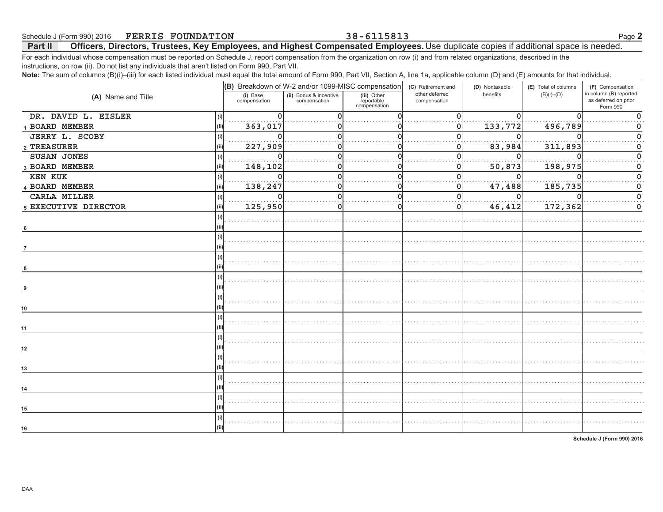### Schedule J (Form 990) 2016 **FERRIS FOUNDATION** Officers, Directors, Trustees, Key Employees, and Highest Compensated Employees. Use duplicate copies if additional space is needed. Part II

For each individual whose compensation must be reported on Schedule J, report compensation from the organization on row (i) and from related organizations, described in the instructions, on row (ii). Do not list any individuals that aren't listed on Form 990, Part VII.

Note: The sum of columns (B)(i)-(iii) for each listed individual must equal the total amount of Form 990, Part VII, Section A, line 1a, applicable column (D) and (E) amounts for that individual.

| (B) Breakdown of W-2 and/or 1099-MISC compensation<br>in column (B) reported<br>other deferred<br>benefits<br>$(B)(i)$ – $(D)$<br>(i) Base<br>(ii) Bonus & incentive<br>(iii) Other<br>(A) Name and Title<br>as deferred on prior<br>compensation<br>compensation<br>reportable<br>compensation<br>compensation<br>Form 990<br>DR. DAVID L. EISLER<br>(i)<br>1 BOARD MEMBER<br>363,017<br>133,772<br>496,789<br>(ii)<br>O<br>JERRY L. SCOBY<br>(i)<br>83,984<br>2 TREASURER<br>227,909<br>311,893<br>0<br>SUSAN JONES<br>n<br>(i)<br>50,873<br>3 BOARD MEMBER<br>148,102<br>198,975<br>(ii)<br>0<br><b>KEN KUK</b><br>$\mathbf 0$<br>$\Omega$<br>(i)<br>0<br>185,735<br>4 BOARD MEMBER<br>138,247<br>47,488<br>0<br>$\mathbf 0$<br>(ii)<br>CARLA MILLER<br>$\Omega$<br>n<br>(i)<br>46,412<br>0<br>5 EXECUTIVE DIRECTOR<br>125,950<br>172,362<br>0<br>(i)<br>6<br>$\overline{7}$<br>(i)<br>10<br>(i)<br>11<br>(i)<br>(i)<br>13<br>14<br>(i)<br>15<br>(i) | $\cdots$ |  |                    |                |                      |                  |
|---------------------------------------------------------------------------------------------------------------------------------------------------------------------------------------------------------------------------------------------------------------------------------------------------------------------------------------------------------------------------------------------------------------------------------------------------------------------------------------------------------------------------------------------------------------------------------------------------------------------------------------------------------------------------------------------------------------------------------------------------------------------------------------------------------------------------------------------------------------------------------------------------------------------------------------------------------|----------|--|--------------------|----------------|----------------------|------------------|
|                                                                                                                                                                                                                                                                                                                                                                                                                                                                                                                                                                                                                                                                                                                                                                                                                                                                                                                                                         |          |  | (C) Retirement and | (D) Nontaxable | (E) Total of columns | (F) Compensation |
|                                                                                                                                                                                                                                                                                                                                                                                                                                                                                                                                                                                                                                                                                                                                                                                                                                                                                                                                                         |          |  |                    |                |                      |                  |
|                                                                                                                                                                                                                                                                                                                                                                                                                                                                                                                                                                                                                                                                                                                                                                                                                                                                                                                                                         |          |  |                    |                |                      |                  |
|                                                                                                                                                                                                                                                                                                                                                                                                                                                                                                                                                                                                                                                                                                                                                                                                                                                                                                                                                         |          |  |                    |                |                      |                  |
|                                                                                                                                                                                                                                                                                                                                                                                                                                                                                                                                                                                                                                                                                                                                                                                                                                                                                                                                                         |          |  |                    |                |                      |                  |
|                                                                                                                                                                                                                                                                                                                                                                                                                                                                                                                                                                                                                                                                                                                                                                                                                                                                                                                                                         |          |  |                    |                |                      |                  |
|                                                                                                                                                                                                                                                                                                                                                                                                                                                                                                                                                                                                                                                                                                                                                                                                                                                                                                                                                         |          |  |                    |                |                      |                  |
|                                                                                                                                                                                                                                                                                                                                                                                                                                                                                                                                                                                                                                                                                                                                                                                                                                                                                                                                                         |          |  |                    |                |                      |                  |
|                                                                                                                                                                                                                                                                                                                                                                                                                                                                                                                                                                                                                                                                                                                                                                                                                                                                                                                                                         |          |  |                    |                |                      |                  |
|                                                                                                                                                                                                                                                                                                                                                                                                                                                                                                                                                                                                                                                                                                                                                                                                                                                                                                                                                         |          |  |                    |                |                      |                  |
|                                                                                                                                                                                                                                                                                                                                                                                                                                                                                                                                                                                                                                                                                                                                                                                                                                                                                                                                                         |          |  |                    |                |                      |                  |
|                                                                                                                                                                                                                                                                                                                                                                                                                                                                                                                                                                                                                                                                                                                                                                                                                                                                                                                                                         |          |  |                    |                |                      |                  |
|                                                                                                                                                                                                                                                                                                                                                                                                                                                                                                                                                                                                                                                                                                                                                                                                                                                                                                                                                         |          |  |                    |                |                      |                  |
|                                                                                                                                                                                                                                                                                                                                                                                                                                                                                                                                                                                                                                                                                                                                                                                                                                                                                                                                                         |          |  |                    |                |                      |                  |
|                                                                                                                                                                                                                                                                                                                                                                                                                                                                                                                                                                                                                                                                                                                                                                                                                                                                                                                                                         |          |  |                    |                |                      |                  |
|                                                                                                                                                                                                                                                                                                                                                                                                                                                                                                                                                                                                                                                                                                                                                                                                                                                                                                                                                         |          |  |                    |                |                      |                  |
|                                                                                                                                                                                                                                                                                                                                                                                                                                                                                                                                                                                                                                                                                                                                                                                                                                                                                                                                                         |          |  |                    |                |                      |                  |
|                                                                                                                                                                                                                                                                                                                                                                                                                                                                                                                                                                                                                                                                                                                                                                                                                                                                                                                                                         |          |  |                    |                |                      |                  |
|                                                                                                                                                                                                                                                                                                                                                                                                                                                                                                                                                                                                                                                                                                                                                                                                                                                                                                                                                         |          |  |                    |                |                      |                  |
|                                                                                                                                                                                                                                                                                                                                                                                                                                                                                                                                                                                                                                                                                                                                                                                                                                                                                                                                                         |          |  |                    |                |                      |                  |
|                                                                                                                                                                                                                                                                                                                                                                                                                                                                                                                                                                                                                                                                                                                                                                                                                                                                                                                                                         |          |  |                    |                |                      |                  |
|                                                                                                                                                                                                                                                                                                                                                                                                                                                                                                                                                                                                                                                                                                                                                                                                                                                                                                                                                         |          |  |                    |                |                      |                  |
|                                                                                                                                                                                                                                                                                                                                                                                                                                                                                                                                                                                                                                                                                                                                                                                                                                                                                                                                                         |          |  |                    |                |                      |                  |
|                                                                                                                                                                                                                                                                                                                                                                                                                                                                                                                                                                                                                                                                                                                                                                                                                                                                                                                                                         |          |  |                    |                |                      |                  |
|                                                                                                                                                                                                                                                                                                                                                                                                                                                                                                                                                                                                                                                                                                                                                                                                                                                                                                                                                         | 12       |  |                    |                |                      |                  |
|                                                                                                                                                                                                                                                                                                                                                                                                                                                                                                                                                                                                                                                                                                                                                                                                                                                                                                                                                         |          |  |                    |                |                      |                  |
|                                                                                                                                                                                                                                                                                                                                                                                                                                                                                                                                                                                                                                                                                                                                                                                                                                                                                                                                                         |          |  |                    |                |                      |                  |
|                                                                                                                                                                                                                                                                                                                                                                                                                                                                                                                                                                                                                                                                                                                                                                                                                                                                                                                                                         |          |  |                    |                |                      |                  |
|                                                                                                                                                                                                                                                                                                                                                                                                                                                                                                                                                                                                                                                                                                                                                                                                                                                                                                                                                         |          |  |                    |                |                      |                  |
|                                                                                                                                                                                                                                                                                                                                                                                                                                                                                                                                                                                                                                                                                                                                                                                                                                                                                                                                                         |          |  |                    |                |                      |                  |
|                                                                                                                                                                                                                                                                                                                                                                                                                                                                                                                                                                                                                                                                                                                                                                                                                                                                                                                                                         |          |  |                    |                |                      |                  |
|                                                                                                                                                                                                                                                                                                                                                                                                                                                                                                                                                                                                                                                                                                                                                                                                                                                                                                                                                         |          |  |                    |                |                      |                  |
|                                                                                                                                                                                                                                                                                                                                                                                                                                                                                                                                                                                                                                                                                                                                                                                                                                                                                                                                                         | 16       |  |                    |                |                      |                  |

Schedule J (Form 990) 2016

### 38-6115813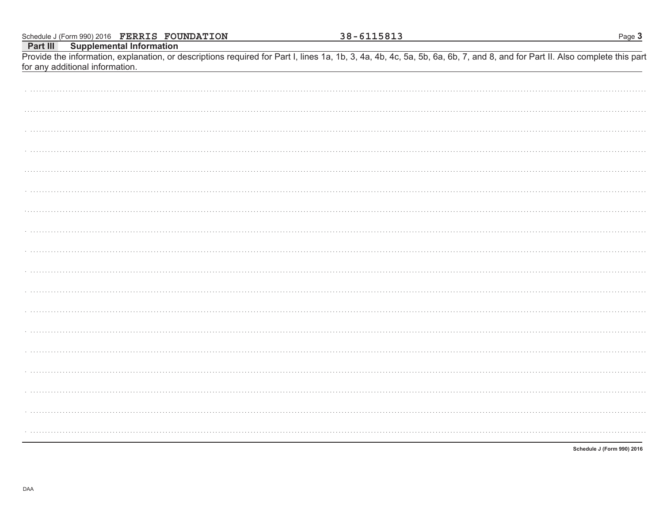|          |                                 | Schedule J (Form 990) 2016 FERRIS FOUNDATION |  | 38-6115813 |  | Page 3                                                                                                                                                                     |
|----------|---------------------------------|----------------------------------------------|--|------------|--|----------------------------------------------------------------------------------------------------------------------------------------------------------------------------|
| Part III |                                 | <b>Supplemental Information</b>              |  |            |  |                                                                                                                                                                            |
|          | for any additional information. |                                              |  |            |  | Provide the information, explanation, or descriptions required for Part I, lines 1a, 1b, 3, 4a, 4b, 4c, 5a, 5b, 6a, 6b, 7, and 8, and for Part II. Also complete this part |
|          |                                 |                                              |  |            |  |                                                                                                                                                                            |
|          |                                 |                                              |  |            |  |                                                                                                                                                                            |
|          |                                 |                                              |  |            |  |                                                                                                                                                                            |
|          |                                 |                                              |  |            |  |                                                                                                                                                                            |
|          |                                 |                                              |  |            |  |                                                                                                                                                                            |
|          |                                 |                                              |  |            |  |                                                                                                                                                                            |
|          |                                 |                                              |  |            |  |                                                                                                                                                                            |
|          |                                 |                                              |  |            |  |                                                                                                                                                                            |
|          |                                 |                                              |  |            |  |                                                                                                                                                                            |
|          |                                 |                                              |  |            |  |                                                                                                                                                                            |
|          |                                 |                                              |  |            |  |                                                                                                                                                                            |
|          |                                 |                                              |  |            |  |                                                                                                                                                                            |
|          |                                 |                                              |  |            |  |                                                                                                                                                                            |
|          |                                 |                                              |  |            |  |                                                                                                                                                                            |
|          |                                 |                                              |  |            |  |                                                                                                                                                                            |
|          |                                 |                                              |  |            |  |                                                                                                                                                                            |
|          |                                 |                                              |  |            |  |                                                                                                                                                                            |
|          |                                 |                                              |  |            |  |                                                                                                                                                                            |
|          |                                 |                                              |  |            |  |                                                                                                                                                                            |
|          |                                 |                                              |  |            |  |                                                                                                                                                                            |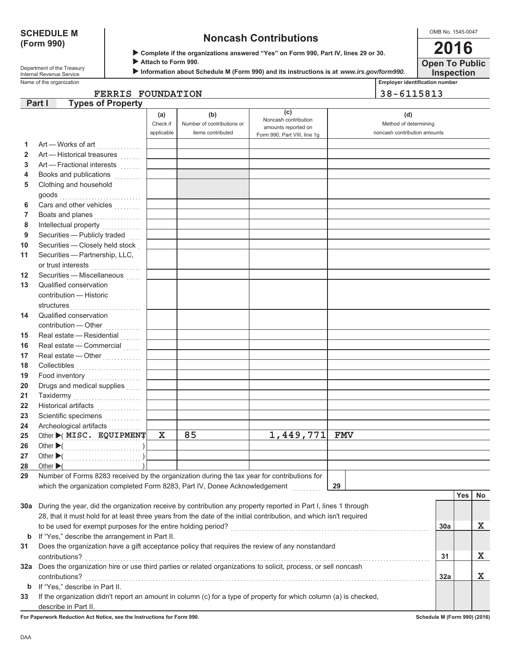### **SCHEDULE M** (Form 990)

## **Noncash Contributions**

OMB No. 1545-0047 2016

**Open To Public** 

| Department of the Treasury |
|----------------------------|
| Internal Revenue Service   |
| Name of the organization   |

Complete if the organizations answered "Yes" on Form 990, Part IV, lines 29 or 30.

Attach to Form 990.

Information about Schedule M (Form 990) and its instructions is at www.irs.gov/form990.

**Inspection** Employer identification number

38-6115813

|     | <b>Types of Property</b><br>Part I                                                                                 |            |                            |                              |                              |     |     |    |
|-----|--------------------------------------------------------------------------------------------------------------------|------------|----------------------------|------------------------------|------------------------------|-----|-----|----|
|     |                                                                                                                    | (a)        | (b)                        | (c)<br>Noncash contribution  | (d)                          |     |     |    |
|     |                                                                                                                    | Check if   | Number of contributions or | amounts reported on          | Method of determining        |     |     |    |
|     |                                                                                                                    | applicable | items contributed          | Form 990, Part VIII, line 1g | noncash contribution amounts |     |     |    |
| 1   | Art — Works of art<br>.                                                                                            |            |                            |                              |                              |     |     |    |
| 2   | Art - Historical treasures                                                                                         |            |                            |                              |                              |     |     |    |
| 3   | Art - Fractional interests                                                                                         |            |                            |                              |                              |     |     |    |
| 4   | Books and publications                                                                                             |            |                            |                              |                              |     |     |    |
| 5   | Clothing and household                                                                                             |            |                            |                              |                              |     |     |    |
|     |                                                                                                                    |            |                            |                              |                              |     |     |    |
| 6   | Cars and other vehicles                                                                                            |            |                            |                              |                              |     |     |    |
| 7   | Boats and planes                                                                                                   |            |                            |                              |                              |     |     |    |
| 8   | Intellectual property<br>                                                                                          |            |                            |                              |                              |     |     |    |
| 9   | Securities - Publicly traded                                                                                       |            |                            |                              |                              |     |     |    |
| 10  | Securities - Closely held stock                                                                                    |            |                            |                              |                              |     |     |    |
| 11  | Securities - Partnership, LLC,                                                                                     |            |                            |                              |                              |     |     |    |
|     |                                                                                                                    |            |                            |                              |                              |     |     |    |
| 12  | Securities - Miscellaneous                                                                                         |            |                            |                              |                              |     |     |    |
| 13  | Qualified conservation                                                                                             |            |                            |                              |                              |     |     |    |
|     | contribution - Historic                                                                                            |            |                            |                              |                              |     |     |    |
|     | structures                                                                                                         |            |                            |                              |                              |     |     |    |
| 14  | Qualified conservation                                                                                             |            |                            |                              |                              |     |     |    |
|     | contribution - Other                                                                                               |            |                            |                              |                              |     |     |    |
| 15  | Real estate - Residential                                                                                          |            |                            |                              |                              |     |     |    |
| 16  | Real estate - Commercial                                                                                           |            |                            |                              |                              |     |     |    |
| 17  | Real estate - Other                                                                                                |            |                            |                              |                              |     |     |    |
| 18  | Collectibles <b>Collectibles</b>                                                                                   |            |                            |                              |                              |     |     |    |
| 19  | Food inventory                                                                                                     |            |                            |                              |                              |     |     |    |
| 20  | Drugs and medical supplies                                                                                         |            |                            |                              |                              |     |     |    |
| 21  | Taxidermy                                                                                                          |            |                            |                              |                              |     |     |    |
| 22  | Historical artifacts                                                                                               |            |                            |                              |                              |     |     |    |
| 23  | Scientific specimens                                                                                               |            |                            |                              |                              |     |     |    |
| 24  |                                                                                                                    |            |                            |                              |                              |     |     |    |
| 25  | Other (MISC. EQUIPMENT                                                                                             | X.         | 85                         | 1,449,771 FMV                |                              |     |     |    |
| 26  |                                                                                                                    |            |                            |                              |                              |     |     |    |
| 27  |                                                                                                                    |            |                            |                              |                              |     |     |    |
| 28  | Other $\blacktriangleright$ (                                                                                      |            |                            |                              |                              |     |     |    |
| 29  | Number of Forms 8283 received by the organization during the tax year for contributions for                        |            |                            |                              |                              |     |     |    |
|     | which the organization completed Form 8283, Part IV, Donee Acknowledgement                                         |            |                            |                              | 29                           |     |     |    |
|     |                                                                                                                    |            |                            |                              |                              |     | Yes | No |
|     | 30a During the year, did the organization receive by contribution any property reported in Part I, lines 1 through |            |                            |                              |                              |     |     |    |
|     | 28, that it must hold for at least three years from the date of the initial contribution, and which isn't required |            |                            |                              |                              |     |     |    |
|     |                                                                                                                    |            |                            |                              |                              | 30a |     | x  |
| b   | If "Yes," describe the arrangement in Part II.                                                                     |            |                            |                              |                              |     |     |    |
| 31  | Does the organization have a gift acceptance policy that requires the review of any nonstandard                    |            |                            |                              |                              |     |     |    |
|     | contributions?                                                                                                     |            |                            |                              |                              | 31  |     | х  |
| 32a | Does the organization hire or use third parties or related organizations to solicit, process, or sell noncash      |            |                            |                              |                              |     |     |    |
|     | contributions?                                                                                                     |            |                            |                              |                              | 32a |     | х  |
| b   | If "Yes," describe in Part II.                                                                                     |            |                            |                              |                              |     |     |    |
| 33  | If the organization didn't report an amount in column (c) for a type of property for which column (a) is checked,  |            |                            |                              |                              |     |     |    |
|     | describe in Part II.                                                                                               |            |                            |                              |                              |     |     |    |

For Paperwork Reduction Act Notice, see the Instructions for Form 990.

FERRIS FOUNDATION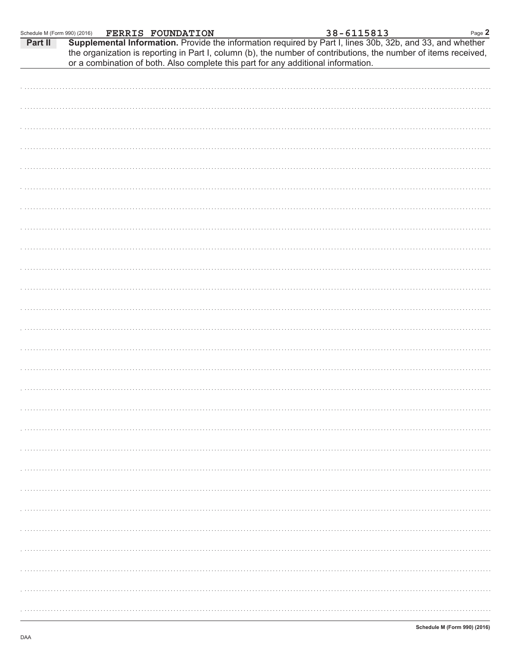| Schedule M (Form 990) (2016) |  | <b>FERRIS FOUNDATION</b> |  | 38-6115813                                                                        |                                                                                                                                                                                                                              | Page 2 |
|------------------------------|--|--------------------------|--|-----------------------------------------------------------------------------------|------------------------------------------------------------------------------------------------------------------------------------------------------------------------------------------------------------------------------|--------|
| Part II                      |  |                          |  | or a combination of both. Also complete this part for any additional information. | Supplemental Information. Provide the information required by Part I, lines 30b, 32b, and 33, and whether<br>the organization is reporting in Part I, column (b), the number of contributions, the number of items received, |        |
|                              |  |                          |  |                                                                                   |                                                                                                                                                                                                                              |        |
|                              |  |                          |  |                                                                                   |                                                                                                                                                                                                                              |        |
|                              |  |                          |  |                                                                                   |                                                                                                                                                                                                                              |        |
|                              |  |                          |  |                                                                                   |                                                                                                                                                                                                                              |        |
|                              |  |                          |  |                                                                                   |                                                                                                                                                                                                                              |        |
|                              |  |                          |  |                                                                                   |                                                                                                                                                                                                                              |        |
|                              |  |                          |  |                                                                                   |                                                                                                                                                                                                                              |        |
|                              |  |                          |  |                                                                                   |                                                                                                                                                                                                                              |        |
|                              |  |                          |  |                                                                                   |                                                                                                                                                                                                                              |        |
|                              |  |                          |  |                                                                                   |                                                                                                                                                                                                                              |        |
|                              |  |                          |  |                                                                                   |                                                                                                                                                                                                                              |        |
|                              |  |                          |  |                                                                                   |                                                                                                                                                                                                                              |        |
|                              |  |                          |  |                                                                                   |                                                                                                                                                                                                                              |        |
|                              |  |                          |  |                                                                                   |                                                                                                                                                                                                                              |        |
|                              |  |                          |  |                                                                                   |                                                                                                                                                                                                                              |        |
|                              |  |                          |  |                                                                                   |                                                                                                                                                                                                                              |        |
|                              |  |                          |  |                                                                                   |                                                                                                                                                                                                                              |        |
|                              |  |                          |  |                                                                                   |                                                                                                                                                                                                                              |        |
|                              |  |                          |  |                                                                                   |                                                                                                                                                                                                                              |        |
|                              |  |                          |  |                                                                                   |                                                                                                                                                                                                                              |        |
|                              |  |                          |  |                                                                                   |                                                                                                                                                                                                                              |        |
|                              |  |                          |  |                                                                                   |                                                                                                                                                                                                                              |        |
|                              |  |                          |  |                                                                                   |                                                                                                                                                                                                                              |        |
|                              |  |                          |  |                                                                                   |                                                                                                                                                                                                                              |        |
|                              |  |                          |  |                                                                                   |                                                                                                                                                                                                                              |        |
|                              |  |                          |  |                                                                                   |                                                                                                                                                                                                                              |        |
|                              |  |                          |  |                                                                                   |                                                                                                                                                                                                                              |        |
|                              |  |                          |  |                                                                                   |                                                                                                                                                                                                                              |        |
|                              |  |                          |  |                                                                                   |                                                                                                                                                                                                                              |        |
|                              |  |                          |  |                                                                                   |                                                                                                                                                                                                                              |        |
|                              |  |                          |  |                                                                                   |                                                                                                                                                                                                                              |        |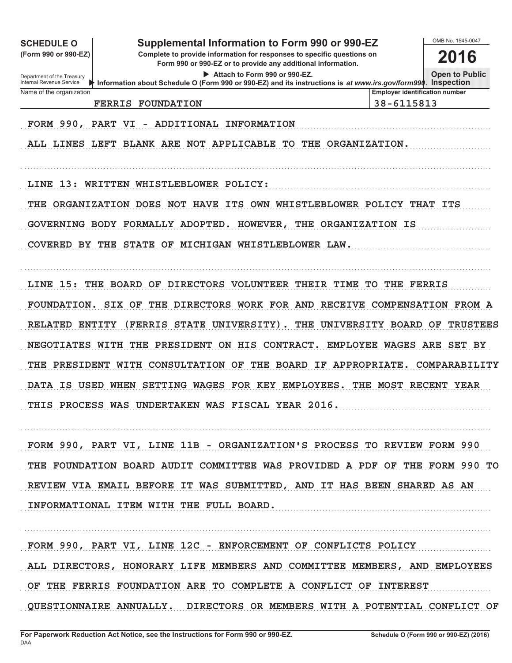| <b>SCHEDULE O</b>                                           | Supplemental Information to Form 990 or 990-EZ                                                                                                |                                       |                                                     | OMB No. 1545-0047     |
|-------------------------------------------------------------|-----------------------------------------------------------------------------------------------------------------------------------------------|---------------------------------------|-----------------------------------------------------|-----------------------|
| (Form 990 or 990-EZ)                                        | 2016                                                                                                                                          |                                       |                                                     |                       |
| Department of the Treasury<br>Internal Revenue Service<br>⋫ | Attach to Form 990 or 990-EZ.<br>Information about Schedule O (Form 990 or 990-EZ) and its instructions is at www.irs.gov/form990. Inspection |                                       |                                                     | <b>Open to Public</b> |
| Name of the organization<br><b>FERRIS</b>                   | <b>FOUNDATION</b>                                                                                                                             |                                       | <b>Employer identification number</b><br>38-6115813 |                       |
| FORM 990, PART                                              | ADDITIONAL INFORMATION<br>VI<br>$\overline{\phantom{a}}$                                                                                      |                                       |                                                     |                       |
|                                                             | ALL LINES LEFT BLANK ARE NOT APPLICABLE TO THE ORGANIZATION.                                                                                  |                                       |                                                     |                       |
| 13:<br>LINE                                                 | WRITTEN WHISTLEBLOWER POLICY:                                                                                                                 |                                       |                                                     |                       |
| THE ORGANIZATION DOES                                       | <b>NOT</b><br><b>HAVE</b>                                                                                                                     | ITS OWN WHISTLEBLOWER POLICY THAT ITS |                                                     |                       |
|                                                             | GOVERNING BODY FORMALLY ADOPTED. HOWEVER,                                                                                                     | THE ORGANIZATION IS                   |                                                     |                       |
| <b>COVERED BY THE STATE</b>                                 | MICHIGAN WHISTLEBLOWER LAW.<br>OF                                                                                                             |                                       |                                                     |                       |
| 15:<br>THE BOARD<br>LINE                                    | OF<br><b>DIRECTORS</b><br><b>VOLUNTEER</b>                                                                                                    | THEIR<br>TIME                         | TO THE FERRIS                                       |                       |
| FOUNDATION.                                                 | SIX OF<br>THE<br>DIRECTORS WORK FOR AND RECEIVE COMPENSATION FROM A                                                                           |                                       |                                                     |                       |
| <b>RELATED ENTITY</b>                                       | (FERRIS<br><b>STATE</b><br>UNIVERSITY)                                                                                                        | THE<br>UNIVERSITY BOARD               |                                                     | OF<br>TRUSTEES        |
| <b>NEGOTIATES</b>                                           | HIS<br>WITH THE<br><b>PRESIDENT</b><br>ON.                                                                                                    | CONTRACT.                             | <b>EMPLOYEE WAGES</b>                               | ARE<br>SET BY         |
| <b>THE PRESIDENT</b>                                        | WITH CONSULTATION<br>OF<br>THE                                                                                                                | <b>BOARD IF</b><br>APPROPRIATE.       |                                                     | COMPARABILITY         |
| DATA IS USED                                                | <b>SETTING</b><br><b>WAGES</b><br>FOR KEY<br>WHEN                                                                                             | <b>EMPLOYEES.</b>                     | THE MOST                                            | <b>RECENT YEAR</b>    |
|                                                             | THIS PROCESS WAS UNDERTAKEN WAS FISCAL YEAR 2016.                                                                                             |                                       |                                                     |                       |
|                                                             | FORM 990, PART VI, LINE 11B - ORGANIZATION'S PROCESS TO REVIEW FORM 990                                                                       |                                       |                                                     |                       |
|                                                             | THE FOUNDATION BOARD AUDIT COMMITTEE WAS PROVIDED A PDF OF THE FORM 990 TO                                                                    |                                       |                                                     |                       |
|                                                             | REVIEW VIA EMAIL BEFORE IT WAS SUBMITTED, AND IT HAS BEEN SHARED AS AN<br>INFORMATIONAL ITEM WITH THE FULL BOARD.                             |                                       |                                                     |                       |
|                                                             |                                                                                                                                               |                                       |                                                     |                       |

 **FORM 990, PART VI, LINE 12C - ENFORCEMENT OF CONFLICTS POLICY ALL DIRECTORS, HONORARY LIFE MEMBERS AND COMMITTEE MEMBERS, AND EMPLOYEES OF THE FERRIS FOUNDATION ARE TO COMPLETE A CONFLICT OF INTEREST QUESTIONNAIRE ANNUALLY. DIRECTORS OR MEMBERS WITH A POTENTIAL CONFLICT OF**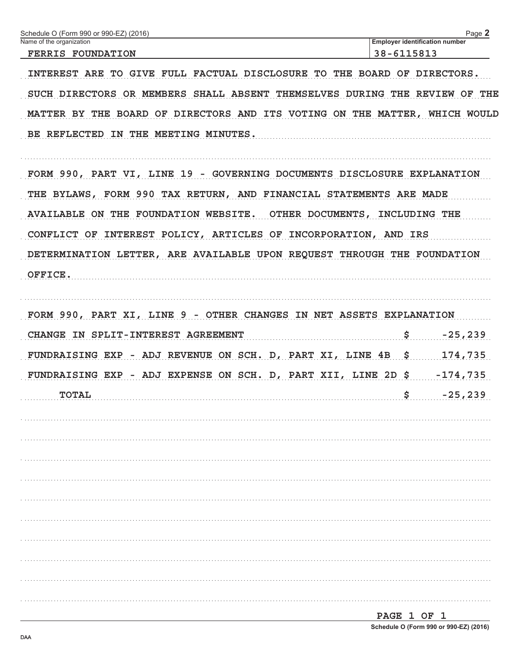| Name of the organization<br>38-6115813<br><b>FERRIS FOUNDATION</b>         | <b>Employer identification number</b> |
|----------------------------------------------------------------------------|---------------------------------------|
|                                                                            |                                       |
|                                                                            |                                       |
| INTEREST ARE TO GIVE FULL FACTUAL DISCLOSURE TO THE BOARD OF DIRECTORS.    |                                       |
| SUCH DIRECTORS OR MEMBERS SHALL ABSENT THEMSELVES DURING THE REVIEW OF THE |                                       |
| MATTER BY THE BOARD OF DIRECTORS AND ITS VOTING ON THE MATTER, WHICH WOULD |                                       |
| BE REFLECTED IN THE MEETING MINUTES.                                       |                                       |
|                                                                            |                                       |
| FORM 990, PART VI, LINE 19 - GOVERNING DOCUMENTS DISCLOSURE EXPLANATION    |                                       |
| THE BYLAWS, FORM 990 TAX RETURN, AND FINANCIAL STATEMENTS ARE MADE         |                                       |
| AVAILABLE ON THE FOUNDATION WEBSITE. OTHER DOCUMENTS, INCLUDING THE        |                                       |
| CONFLICT OF INTEREST POLICY, ARTICLES OF INCORPORATION, AND IRS            |                                       |
| DETERMINATION LETTER, ARE AVAILABLE UPON REQUEST THROUGH THE FOUNDATION    |                                       |
|                                                                            |                                       |
| OFFICE.                                                                    |                                       |
|                                                                            |                                       |
| FORM 990, PART XI, LINE 9 - OTHER CHANGES IN NET ASSETS EXPLANATION        |                                       |
| CHANGE IN SPLIT-INTEREST AGREEMENT                                         | \$<br>$-25, 239$                      |
| FUNDRAISING EXP - ADJ REVENUE ON SCH. D, PART XI, LINE 4B \$               | 174,735                               |
| FUNDRAISING EXP - ADJ EXPENSE ON SCH. D, PART XII, LINE 2D \$ -174,735     |                                       |
| <b>TOTAL</b>                                                               | \$<br>$-25, 239$                      |
|                                                                            |                                       |
|                                                                            |                                       |
|                                                                            |                                       |
|                                                                            |                                       |
|                                                                            |                                       |
|                                                                            |                                       |
|                                                                            |                                       |
|                                                                            |                                       |
|                                                                            |                                       |
|                                                                            |                                       |
|                                                                            | PAGE 1 OF 1                           |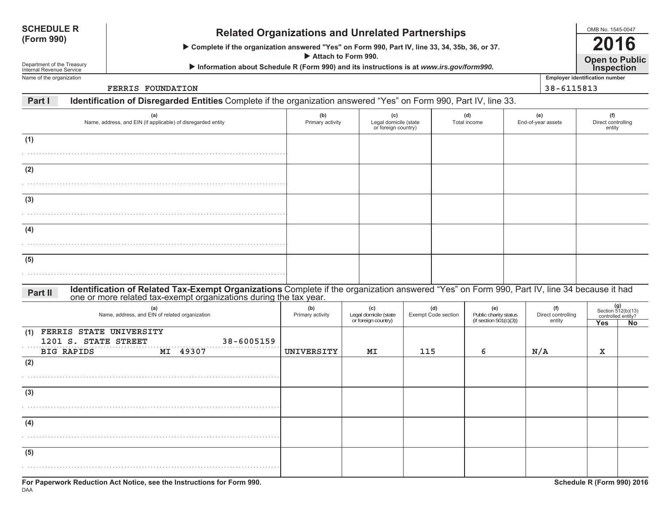| <b>SCHEDULE R</b><br>(Form 990)<br>Department of the Treasury<br>Internal Revenue Service |                                           | <b>Related Organizations and Unrelated Partnerships</b><br>> Complete if the organization answered "Yes" on Form 990, Part IV, line 33, 34, 35b, 36, or 37.<br>Attach to Form 990.<br>Information about Schedule R (Form 990) and its instructions is at www.irs.gov/form990. |                         |                                                     |                                   |                                                        |                           |                                                     |                                                                       |  |  |  |  |
|-------------------------------------------------------------------------------------------|-------------------------------------------|-------------------------------------------------------------------------------------------------------------------------------------------------------------------------------------------------------------------------------------------------------------------------------|-------------------------|-----------------------------------------------------|-----------------------------------|--------------------------------------------------------|---------------------------|-----------------------------------------------------|-----------------------------------------------------------------------|--|--|--|--|
| Name of the organization                                                                  |                                           | <b>FERRIS FOUNDATION</b>                                                                                                                                                                                                                                                      |                         |                                                     |                                   |                                                        |                           | <b>Employer identification number</b><br>38-6115813 |                                                                       |  |  |  |  |
| Part I                                                                                    |                                           | Identification of Disregarded Entities Complete if the organization answered "Yes" on Form 990, Part IV, line 33.                                                                                                                                                             |                         |                                                     |                                   |                                                        |                           |                                                     |                                                                       |  |  |  |  |
| (a)<br>Name, address, and EIN (if applicable) of disregarded entity                       |                                           |                                                                                                                                                                                                                                                                               | (b)<br>Primary activity | (c)<br>Legal domicile (state<br>or foreign country) |                                   | (d)<br>Total income                                    | (e)<br>End-of-year assets |                                                     | (f)<br>Direct controlling<br>entity                                   |  |  |  |  |
| (1)                                                                                       |                                           |                                                                                                                                                                                                                                                                               |                         |                                                     |                                   |                                                        |                           |                                                     |                                                                       |  |  |  |  |
| (2)                                                                                       |                                           |                                                                                                                                                                                                                                                                               |                         |                                                     |                                   |                                                        |                           |                                                     |                                                                       |  |  |  |  |
| (3)                                                                                       |                                           |                                                                                                                                                                                                                                                                               |                         |                                                     |                                   |                                                        |                           |                                                     |                                                                       |  |  |  |  |
| (4)                                                                                       |                                           |                                                                                                                                                                                                                                                                               |                         |                                                     |                                   |                                                        |                           |                                                     |                                                                       |  |  |  |  |
| (5)                                                                                       |                                           |                                                                                                                                                                                                                                                                               |                         |                                                     |                                   |                                                        |                           |                                                     |                                                                       |  |  |  |  |
| Part II                                                                                   |                                           | Identification of Related Tax-Exempt Organizations Complete if the organization answered "Yes" on Form 990, Part IV, line 34 because it had<br>one or more related tax-exempt organizations during the tax year.                                                              |                         |                                                     |                                   |                                                        |                           |                                                     |                                                                       |  |  |  |  |
|                                                                                           |                                           | (a)<br>Name, address, and EIN of related organization                                                                                                                                                                                                                         | (b)<br>Primary activity | (c)<br>Legal domicile (state<br>or foreign country) | (d)<br><b>Exempt Code section</b> | (e)<br>Public charity status<br>(if section 501(c)(3)) |                           | (f)<br>Direct controlling<br>entity                 | $(g)$<br>Section 512(b)(13)<br>controlled entity?<br>Yes<br><b>No</b> |  |  |  |  |
| (1)                                                                                       | 1201 S. STATE STREET<br><b>BIG RAPIDS</b> | FERRIS STATE UNIVERSITY<br>38-6005159<br>MI 49307                                                                                                                                                                                                                             | UNIVERSITY              | МI                                                  | 115                               | 6                                                      | N/A                       |                                                     | х                                                                     |  |  |  |  |
| (2)                                                                                       |                                           |                                                                                                                                                                                                                                                                               |                         |                                                     |                                   |                                                        |                           |                                                     |                                                                       |  |  |  |  |
| (3)                                                                                       |                                           |                                                                                                                                                                                                                                                                               |                         |                                                     |                                   |                                                        |                           |                                                     |                                                                       |  |  |  |  |
| (4)                                                                                       |                                           |                                                                                                                                                                                                                                                                               |                         |                                                     |                                   |                                                        |                           |                                                     |                                                                       |  |  |  |  |
| (5)                                                                                       |                                           |                                                                                                                                                                                                                                                                               |                         |                                                     |                                   |                                                        |                           |                                                     |                                                                       |  |  |  |  |
|                                                                                           |                                           |                                                                                                                                                                                                                                                                               |                         |                                                     |                                   |                                                        |                           |                                                     |                                                                       |  |  |  |  |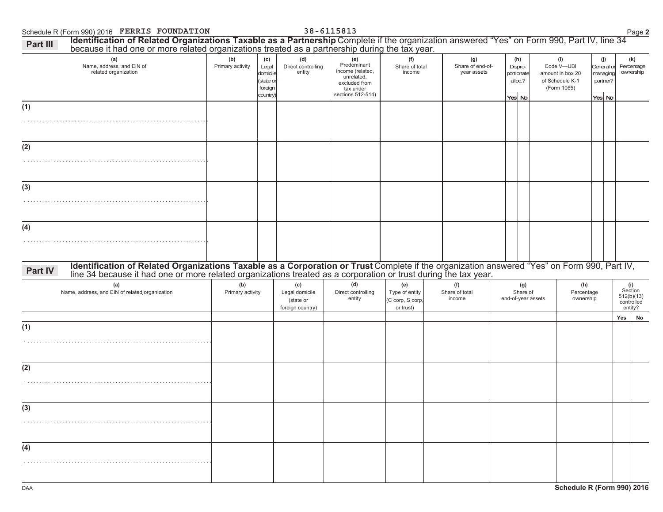**Part III** 

## $\blacksquare$  Schedule R (Form 990) 2016  $\blacksquare$   $\blacksquare$   $\blacksquare$   $\blacksquare$   $\blacksquare$   $\blacksquare$   $\blacksquare$   $\blacksquare$   $\blacksquare$   $\blacksquare$   $\blacksquare$   $\blacksquare$   $\blacksquare$   $\blacksquare$   $\blacksquare$   $\blacksquare$   $\blacksquare$   $\blacksquare$   $\blacksquare$   $\blacksquare$   $\blacksquare$   $\blacksquare$   $\blacksquare$   $\blacksquare$   $\blacksquare$   $\blacksquare$   $\blacksquare$ **,GHQURISHOL IID DENGIFISHTIF ISS INTERNATION OF READ OF READ OF SALLY, Inc. 34 Dark Profers of the Sarpt Bernso<br>By Decause it had one or more related organizations treated as a partnership during the tax year.**

| <u>because it had one or more related organizations treated as a partnership during the tax year.</u><br>(a)<br>Name, address, and EIN of<br>related organization                                                                                                                                 | (b)<br>(c)<br>Primary activity<br>Legal<br>domicile<br>(state or<br>foreign<br>country) |  | (d)<br>Direct controlling<br>entity                    | (e)<br>Predominant<br>income (related,<br>unrelated,<br>excluded from<br>tax under<br>sections 512-514) | (f)<br>Share of total<br>income                        |                                 | (g)<br>Share of end-of-<br>year assets |                    | (i)<br>(h)<br>Dispro-<br>Code V-UBI<br>portionate<br>amount in box 20<br>alloc.?<br>of Schedule K-1<br>(Form 1065)<br>Yes No |  |                                | (j)<br>General or<br>managing<br>partner?<br>Yes No |     | (k)<br>Percentage<br>ownership                          |
|---------------------------------------------------------------------------------------------------------------------------------------------------------------------------------------------------------------------------------------------------------------------------------------------------|-----------------------------------------------------------------------------------------|--|--------------------------------------------------------|---------------------------------------------------------------------------------------------------------|--------------------------------------------------------|---------------------------------|----------------------------------------|--------------------|------------------------------------------------------------------------------------------------------------------------------|--|--------------------------------|-----------------------------------------------------|-----|---------------------------------------------------------|
| (1)                                                                                                                                                                                                                                                                                               |                                                                                         |  |                                                        |                                                                                                         |                                                        |                                 |                                        |                    |                                                                                                                              |  |                                |                                                     |     |                                                         |
| (2)                                                                                                                                                                                                                                                                                               |                                                                                         |  |                                                        |                                                                                                         |                                                        |                                 |                                        |                    |                                                                                                                              |  |                                |                                                     |     |                                                         |
| (3)                                                                                                                                                                                                                                                                                               |                                                                                         |  |                                                        |                                                                                                         |                                                        |                                 |                                        |                    |                                                                                                                              |  |                                |                                                     |     |                                                         |
| (4)                                                                                                                                                                                                                                                                                               |                                                                                         |  |                                                        |                                                                                                         |                                                        |                                 |                                        |                    |                                                                                                                              |  |                                |                                                     |     |                                                         |
| Identification of Related Organizations Taxable as a Corporation or Trust Complete if the organization answered "Yes" on Form 990, Part IV, line 34 because it had one or more related organizations treated as a corporation<br>Part IV<br>(a)<br>Name, address, and EIN of related organization | (b)<br>Primary activity                                                                 |  | (c)<br>Legal domicile<br>(state or<br>foreign country) | (d)<br>Direct controlling<br>entity                                                                     | (e)<br>Type of entity<br>(C corp, S corp,<br>or trust) | (f)<br>Share of total<br>income |                                        | end-of-year assets | (g)<br>Share of                                                                                                              |  | (h)<br>Percentage<br>ownership |                                                     |     | (i)<br>Section<br>$512(b)(13)$<br>controlled<br>entity? |
| (1)                                                                                                                                                                                                                                                                                               |                                                                                         |  |                                                        |                                                                                                         |                                                        |                                 |                                        |                    |                                                                                                                              |  |                                |                                                     | Yes | No                                                      |
| (2)                                                                                                                                                                                                                                                                                               |                                                                                         |  |                                                        |                                                                                                         |                                                        |                                 |                                        |                    |                                                                                                                              |  |                                |                                                     |     |                                                         |
| (3)                                                                                                                                                                                                                                                                                               |                                                                                         |  |                                                        |                                                                                                         |                                                        |                                 |                                        |                    |                                                                                                                              |  |                                |                                                     |     |                                                         |
| (4)                                                                                                                                                                                                                                                                                               |                                                                                         |  |                                                        |                                                                                                         |                                                        |                                 |                                        |                    |                                                                                                                              |  |                                |                                                     |     |                                                         |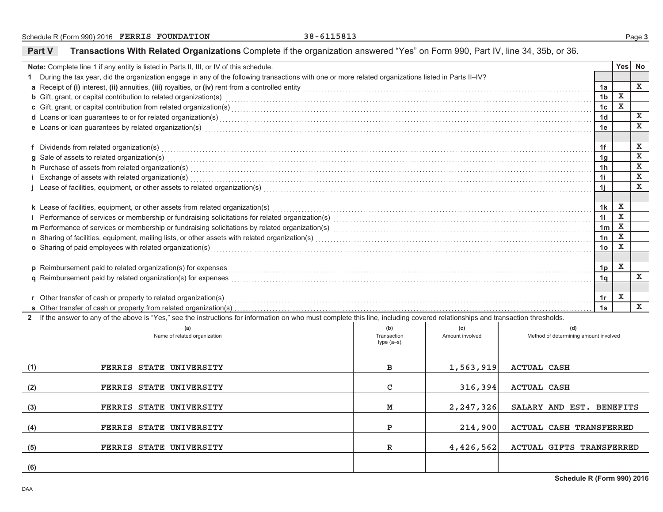Part V

Transactions With Related Organizations Complete if the organization answered "Yes" on Form 990, Part IV, line 34, 35b, or 36.

|                                                                                                                                                                                                                                     | Note: Complete line 1 if any entity is listed in Parts II, III, or IV of this schedule.                                                                                                                                        |              |                 |                                       |                                  | Yes <sup> </sup> | <b>No</b>    |  |  |  |
|-------------------------------------------------------------------------------------------------------------------------------------------------------------------------------------------------------------------------------------|--------------------------------------------------------------------------------------------------------------------------------------------------------------------------------------------------------------------------------|--------------|-----------------|---------------------------------------|----------------------------------|------------------|--------------|--|--|--|
| 1 During the tax year, did the organization engage in any of the following transactions with one or more related organizations listed in Parts II-IV?                                                                               |                                                                                                                                                                                                                                |              |                 |                                       |                                  |                  |              |  |  |  |
| a Receipt of (i) interest, (ii) annuities, (iii) royalties, or (iv) rent from a controlled entity [1] controlled entity controlled entity and controlled entity contains and the substitution of (i) interest, (ii) annuities,      |                                                                                                                                                                                                                                |              |                 |                                       |                                  |                  |              |  |  |  |
| <b>b</b> Gift, grant, or capital contribution to related organization(s) encourse contained and contained and contained and contribution to related organization(s) encourse contained and contained and contained and contained an |                                                                                                                                                                                                                                |              |                 |                                       |                                  |                  |              |  |  |  |
| c Gift, grant, or capital contribution from related organization(s) encourance contains and contained a substantial contribution from related organization(s) encourance contains and contained a substantial contribution of       |                                                                                                                                                                                                                                |              |                 |                                       |                                  |                  |              |  |  |  |
| d Loans or loan guarantees to or for related organization(s) encourance contains an account of the container and container and container and container and container and container and container and container and container a      |                                                                                                                                                                                                                                |              |                 |                                       |                                  |                  |              |  |  |  |
| e Loans or loan guarantees by related organization(s) encourance control and contain a control of the control or control or control or control or control or control or control or control or control or control or control or      |                                                                                                                                                                                                                                |              |                 |                                       |                                  |                  |              |  |  |  |
|                                                                                                                                                                                                                                     |                                                                                                                                                                                                                                |              |                 |                                       |                                  |                  |              |  |  |  |
| f Dividends from related organization(s)                                                                                                                                                                                            |                                                                                                                                                                                                                                |              |                 |                                       |                                  |                  |              |  |  |  |
|                                                                                                                                                                                                                                     | g Sale of assets to related organization(s)                                                                                                                                                                                    |              |                 |                                       | 1 <sub>q</sub>                   |                  | $\mathbf x$  |  |  |  |
|                                                                                                                                                                                                                                     | h Purchase of assets from related organization(s) encourance contains a container and container and container and container and container and container and container and container and container and container and container  |              |                 |                                       | 1 <sub>h</sub>                   |                  | $\mathbf x$  |  |  |  |
|                                                                                                                                                                                                                                     | i Exchange of assets with related organization(s) with an experiment control to the control of the control of the control or control or the control or control or control or control or control or control of the control of t |              |                 |                                       | 1i                               |                  | $\mathbf x$  |  |  |  |
|                                                                                                                                                                                                                                     |                                                                                                                                                                                                                                |              |                 |                                       | 1 <sub>i</sub>                   |                  | $\mathbf x$  |  |  |  |
|                                                                                                                                                                                                                                     |                                                                                                                                                                                                                                |              |                 |                                       |                                  |                  |              |  |  |  |
|                                                                                                                                                                                                                                     | k Lease of facilities, equipment, or other assets from related organization(s)                                                                                                                                                 |              |                 |                                       | 1k                               | x                |              |  |  |  |
|                                                                                                                                                                                                                                     |                                                                                                                                                                                                                                |              |                 |                                       | 11                               | $\mathbf x$      |              |  |  |  |
|                                                                                                                                                                                                                                     |                                                                                                                                                                                                                                |              |                 |                                       | 1 <sub>m</sub>                   | $\mathbf x$      |              |  |  |  |
| n Sharing of facilities, equipment, mailing lists, or other assets with related organization(s) [1] contained contained accommodal contained accommodal contained accommodal contained as a set of the state of the relation o      |                                                                                                                                                                                                                                |              |                 |                                       |                                  |                  |              |  |  |  |
| o Sharing of paid employees with related organization(s)                                                                                                                                                                            |                                                                                                                                                                                                                                |              |                 |                                       |                                  |                  |              |  |  |  |
|                                                                                                                                                                                                                                     |                                                                                                                                                                                                                                |              |                 |                                       |                                  |                  |              |  |  |  |
| p Reimbursement paid to related organization(s) for expenses                                                                                                                                                                        |                                                                                                                                                                                                                                |              |                 |                                       |                                  |                  |              |  |  |  |
|                                                                                                                                                                                                                                     | <b>q</b> Reimbursement paid by related organization(s) for expenses                                                                                                                                                            |              |                 |                                       | 1 <sub>p</sub><br>1 <sub>q</sub> |                  | $\mathbf{x}$ |  |  |  |
|                                                                                                                                                                                                                                     |                                                                                                                                                                                                                                |              |                 |                                       |                                  |                  |              |  |  |  |
|                                                                                                                                                                                                                                     | r Other transfer of cash or property to related organization(s) Materian Community and the content of the transfer of cash or property to related organization(s) Materian Community and Community and Community and Community |              |                 |                                       | 1r                               | x                |              |  |  |  |
|                                                                                                                                                                                                                                     | s Other transfer of cash or property from related organization(s)                                                                                                                                                              |              |                 |                                       | 1s                               |                  | $\mathbf{x}$ |  |  |  |
|                                                                                                                                                                                                                                     | 2 If the answer to any of the above is "Yes," see the instructions for information on who must complete this line, including covered relationships and transaction thresholds.                                                 |              |                 |                                       |                                  |                  |              |  |  |  |
|                                                                                                                                                                                                                                     | (a)                                                                                                                                                                                                                            | (b)          | (c)             | (d)                                   |                                  |                  |              |  |  |  |
|                                                                                                                                                                                                                                     | Name of related organization                                                                                                                                                                                                   | Transaction  | Amount involved | Method of determining amount involved |                                  |                  |              |  |  |  |
|                                                                                                                                                                                                                                     |                                                                                                                                                                                                                                | $type(a-s)$  |                 |                                       |                                  |                  |              |  |  |  |
|                                                                                                                                                                                                                                     |                                                                                                                                                                                                                                |              |                 |                                       |                                  |                  |              |  |  |  |
| (1)                                                                                                                                                                                                                                 | FERRIS STATE UNIVERSITY                                                                                                                                                                                                        | в            | 1,563,919       | <b>ACTUAL CASH</b>                    |                                  |                  |              |  |  |  |
|                                                                                                                                                                                                                                     |                                                                                                                                                                                                                                |              |                 |                                       |                                  |                  |              |  |  |  |
| (2)                                                                                                                                                                                                                                 | FERRIS STATE UNIVERSITY                                                                                                                                                                                                        | C            | 316,394         | <b>ACTUAL CASH</b>                    |                                  |                  |              |  |  |  |
|                                                                                                                                                                                                                                     |                                                                                                                                                                                                                                |              |                 |                                       |                                  |                  |              |  |  |  |
| (3)                                                                                                                                                                                                                                 | FERRIS STATE UNIVERSITY                                                                                                                                                                                                        | M            | 2,247,326       | SALARY AND EST. BENEFITS              |                                  |                  |              |  |  |  |
|                                                                                                                                                                                                                                     |                                                                                                                                                                                                                                |              |                 |                                       |                                  |                  |              |  |  |  |
| (4)                                                                                                                                                                                                                                 | FERRIS STATE UNIVERSITY                                                                                                                                                                                                        | P            | 214,900         | <b>ACTUAL CASH TRANSFERRED</b>        |                                  |                  |              |  |  |  |
|                                                                                                                                                                                                                                     |                                                                                                                                                                                                                                |              |                 |                                       |                                  |                  |              |  |  |  |
| (5)                                                                                                                                                                                                                                 | FERRIS STATE UNIVERSITY                                                                                                                                                                                                        | $\mathbb{R}$ | 4,426,562       | <b>ACTUAL GIFTS TRANSFERRED</b>       |                                  |                  |              |  |  |  |
|                                                                                                                                                                                                                                     |                                                                                                                                                                                                                                |              |                 |                                       |                                  |                  |              |  |  |  |
| (6)                                                                                                                                                                                                                                 |                                                                                                                                                                                                                                |              |                 |                                       |                                  |                  |              |  |  |  |
|                                                                                                                                                                                                                                     |                                                                                                                                                                                                                                |              |                 |                                       |                                  |                  |              |  |  |  |

Page 3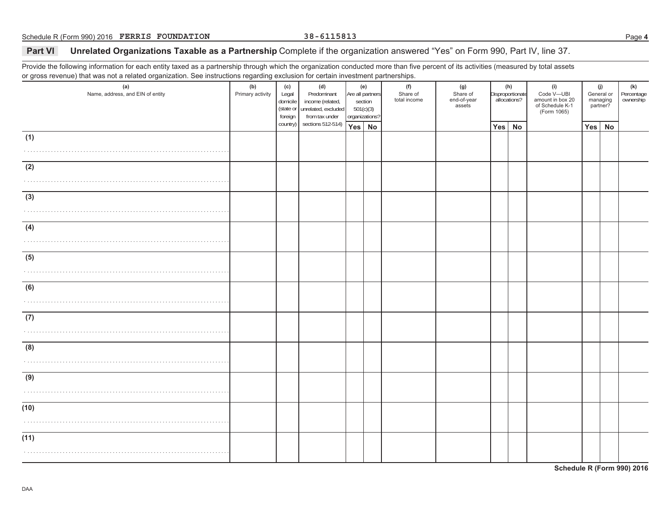### **Part VI Unrelated Organizations Taxable as a Partnership** Complete if the organization answered "Yes" on Form 990, Part IV, line 37.

Provide the following information for each entity taxed as a partnership through which the organization conducted more than five percent of its activities (measured by total assets or gross revenue) that was not a related organization. See instructions regarding exclusion for certain investment partnerships.

|                                         | - ອ--- --- -ອ           |                                                  |                                                                                 |                                                                   |  |                                 |                                          |                                         |    |                                                                         |                                           |    |                                |  |
|-----------------------------------------|-------------------------|--------------------------------------------------|---------------------------------------------------------------------------------|-------------------------------------------------------------------|--|---------------------------------|------------------------------------------|-----------------------------------------|----|-------------------------------------------------------------------------|-------------------------------------------|----|--------------------------------|--|
| (a)<br>Name, address, and EIN of entity | (b)<br>Primary activity | (c)<br>Legal<br>domicile<br>(state or<br>foreign | (d)<br>Predominant<br>income (related,<br>unrelated, excluded<br>from tax under | (e)<br>Are all partners<br>section<br>501(c)(3)<br>organizations? |  | (f)<br>Share of<br>total income | (g)<br>Share of<br>end-of-year<br>assets | (h)<br>Disproportionate<br>allocations? |    | (i)<br>Code V-UBI<br>amount in box 20<br>of Schedule K-1<br>(Form 1065) | (j)<br>General or<br>managing<br>partner? |    | (k)<br>Percentage<br>ownership |  |
|                                         |                         | country)                                         | sections 512-514)                                                               | Yes No                                                            |  |                                 |                                          | Yes                                     | No |                                                                         | Yes                                       | No |                                |  |
|                                         |                         |                                                  |                                                                                 |                                                                   |  |                                 |                                          |                                         |    |                                                                         |                                           |    |                                |  |
| (1)                                     |                         |                                                  |                                                                                 |                                                                   |  |                                 |                                          |                                         |    |                                                                         |                                           |    |                                |  |
|                                         |                         |                                                  |                                                                                 |                                                                   |  |                                 |                                          |                                         |    |                                                                         |                                           |    |                                |  |
|                                         |                         |                                                  |                                                                                 |                                                                   |  |                                 |                                          |                                         |    |                                                                         |                                           |    |                                |  |
| (2)                                     |                         |                                                  |                                                                                 |                                                                   |  |                                 |                                          |                                         |    |                                                                         |                                           |    |                                |  |
|                                         |                         |                                                  |                                                                                 |                                                                   |  |                                 |                                          |                                         |    |                                                                         |                                           |    |                                |  |
|                                         |                         |                                                  |                                                                                 |                                                                   |  |                                 |                                          |                                         |    |                                                                         |                                           |    |                                |  |
| (3)                                     |                         |                                                  |                                                                                 |                                                                   |  |                                 |                                          |                                         |    |                                                                         |                                           |    |                                |  |
|                                         |                         |                                                  |                                                                                 |                                                                   |  |                                 |                                          |                                         |    |                                                                         |                                           |    |                                |  |
|                                         |                         |                                                  |                                                                                 |                                                                   |  |                                 |                                          |                                         |    |                                                                         |                                           |    |                                |  |
|                                         |                         |                                                  |                                                                                 |                                                                   |  |                                 |                                          |                                         |    |                                                                         |                                           |    |                                |  |
| (4)                                     |                         |                                                  |                                                                                 |                                                                   |  |                                 |                                          |                                         |    |                                                                         |                                           |    |                                |  |
|                                         |                         |                                                  |                                                                                 |                                                                   |  |                                 |                                          |                                         |    |                                                                         |                                           |    |                                |  |
|                                         |                         |                                                  |                                                                                 |                                                                   |  |                                 |                                          |                                         |    |                                                                         |                                           |    |                                |  |
| (5)                                     |                         |                                                  |                                                                                 |                                                                   |  |                                 |                                          |                                         |    |                                                                         |                                           |    |                                |  |
|                                         |                         |                                                  |                                                                                 |                                                                   |  |                                 |                                          |                                         |    |                                                                         |                                           |    |                                |  |
|                                         |                         |                                                  |                                                                                 |                                                                   |  |                                 |                                          |                                         |    |                                                                         |                                           |    |                                |  |
| (6)                                     |                         |                                                  |                                                                                 |                                                                   |  |                                 |                                          |                                         |    |                                                                         |                                           |    |                                |  |
|                                         |                         |                                                  |                                                                                 |                                                                   |  |                                 |                                          |                                         |    |                                                                         |                                           |    |                                |  |
|                                         |                         |                                                  |                                                                                 |                                                                   |  |                                 |                                          |                                         |    |                                                                         |                                           |    |                                |  |
|                                         |                         |                                                  |                                                                                 |                                                                   |  |                                 |                                          |                                         |    |                                                                         |                                           |    |                                |  |
| (7)                                     |                         |                                                  |                                                                                 |                                                                   |  |                                 |                                          |                                         |    |                                                                         |                                           |    |                                |  |
|                                         |                         |                                                  |                                                                                 |                                                                   |  |                                 |                                          |                                         |    |                                                                         |                                           |    |                                |  |
|                                         |                         |                                                  |                                                                                 |                                                                   |  |                                 |                                          |                                         |    |                                                                         |                                           |    |                                |  |
| (8)                                     |                         |                                                  |                                                                                 |                                                                   |  |                                 |                                          |                                         |    |                                                                         |                                           |    |                                |  |
|                                         |                         |                                                  |                                                                                 |                                                                   |  |                                 |                                          |                                         |    |                                                                         |                                           |    |                                |  |
|                                         |                         |                                                  |                                                                                 |                                                                   |  |                                 |                                          |                                         |    |                                                                         |                                           |    |                                |  |
| (9)                                     |                         |                                                  |                                                                                 |                                                                   |  |                                 |                                          |                                         |    |                                                                         |                                           |    |                                |  |
|                                         |                         |                                                  |                                                                                 |                                                                   |  |                                 |                                          |                                         |    |                                                                         |                                           |    |                                |  |
|                                         |                         |                                                  |                                                                                 |                                                                   |  |                                 |                                          |                                         |    |                                                                         |                                           |    |                                |  |
|                                         |                         |                                                  |                                                                                 |                                                                   |  |                                 |                                          |                                         |    |                                                                         |                                           |    |                                |  |
| (10)                                    |                         |                                                  |                                                                                 |                                                                   |  |                                 |                                          |                                         |    |                                                                         |                                           |    |                                |  |
|                                         |                         |                                                  |                                                                                 |                                                                   |  |                                 |                                          |                                         |    |                                                                         |                                           |    |                                |  |
|                                         |                         |                                                  |                                                                                 |                                                                   |  |                                 |                                          |                                         |    |                                                                         |                                           |    |                                |  |
| (11)                                    |                         |                                                  |                                                                                 |                                                                   |  |                                 |                                          |                                         |    |                                                                         |                                           |    |                                |  |
|                                         |                         |                                                  |                                                                                 |                                                                   |  |                                 |                                          |                                         |    |                                                                         |                                           |    |                                |  |
|                                         |                         |                                                  |                                                                                 |                                                                   |  |                                 |                                          |                                         |    |                                                                         |                                           |    |                                |  |
|                                         |                         |                                                  |                                                                                 |                                                                   |  |                                 |                                          |                                         |    |                                                                         |                                           |    |                                |  |

**Schedule R (Form 990) 2016**